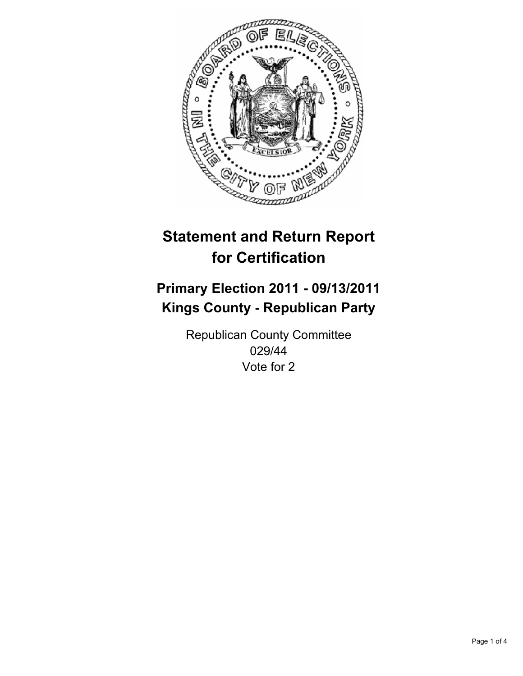

## **Primary Election 2011 - 09/13/2011 Kings County - Republican Party**

Republican County Committee 029/44 Vote for 2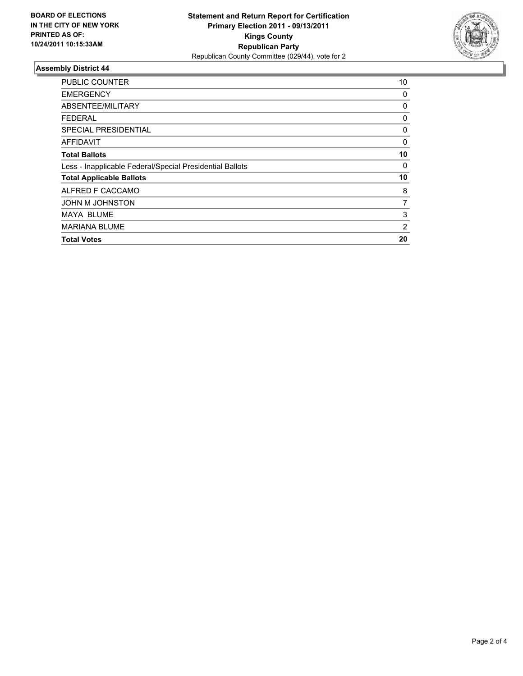

| <b>PUBLIC COUNTER</b>                                    | 10 |
|----------------------------------------------------------|----|
| <b>EMERGENCY</b>                                         | 0  |
| ABSENTEE/MILITARY                                        | 0  |
| <b>FEDERAL</b>                                           | 0  |
| <b>SPECIAL PRESIDENTIAL</b>                              | 0  |
| <b>AFFIDAVIT</b>                                         | 0  |
| <b>Total Ballots</b>                                     | 10 |
| Less - Inapplicable Federal/Special Presidential Ballots | 0  |
| <b>Total Applicable Ballots</b>                          | 10 |
| ALFRED F CACCAMO                                         | 8  |
| JOHN M JOHNSTON                                          | 7  |
| <b>MAYA BLUME</b>                                        | 3  |
| <b>MARIANA BLUME</b>                                     | 2  |
| <b>Total Votes</b>                                       | 20 |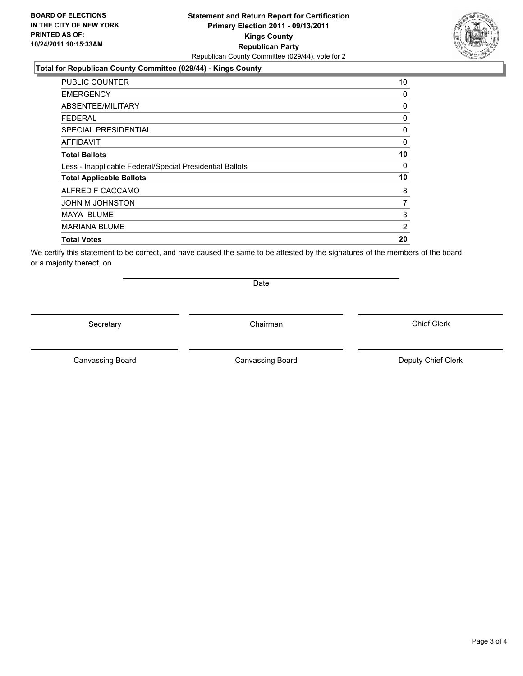### **Total for Republican County Committee (029/44) - Kings County**

| <b>PUBLIC COUNTER</b>                                    | 10             |
|----------------------------------------------------------|----------------|
| <b>EMERGENCY</b>                                         | 0              |
| ABSENTEE/MILITARY                                        | 0              |
| <b>FEDERAL</b>                                           | 0              |
| <b>SPECIAL PRESIDENTIAL</b>                              | 0              |
| AFFIDAVIT                                                | 0              |
| <b>Total Ballots</b>                                     | 10             |
| Less - Inapplicable Federal/Special Presidential Ballots | 0              |
| <b>Total Applicable Ballots</b>                          | 10             |
| ALFRED F CACCAMO                                         | 8              |
| JOHN M JOHNSTON                                          | 7              |
| MAYA BLUME                                               | 3              |
| <b>MARIANA BLUME</b>                                     | $\overline{2}$ |
| <b>Total Votes</b>                                       | 20             |

We certify this statement to be correct, and have caused the same to be attested by the signatures of the members of the board, or a majority thereof, on

Secretary **Chairman** 

Date

Canvassing Board **Canvassing Board** Canvassing Board **Deputy Chief Clerk** 

Canvassing Board

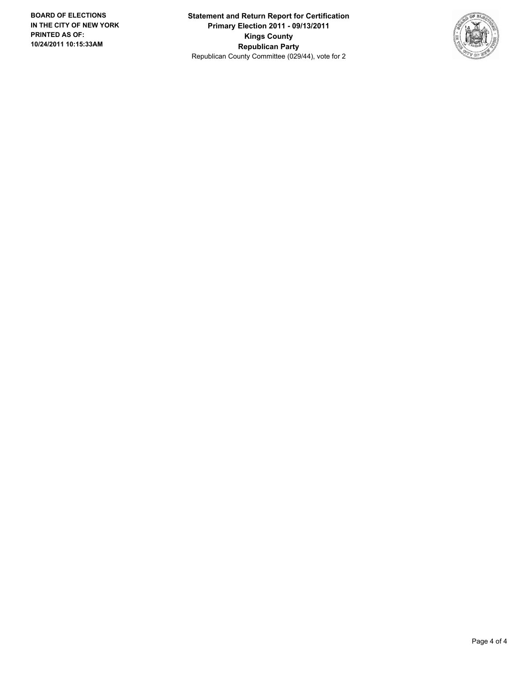**Statement and Return Report for Certification Primary Election 2011 - 09/13/2011 Kings County Republican Party** Republican County Committee (029/44), vote for 2

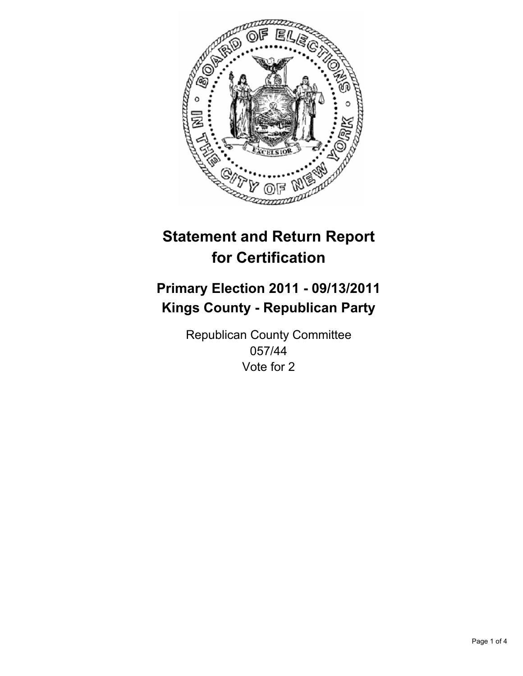

## **Primary Election 2011 - 09/13/2011 Kings County - Republican Party**

Republican County Committee 057/44 Vote for 2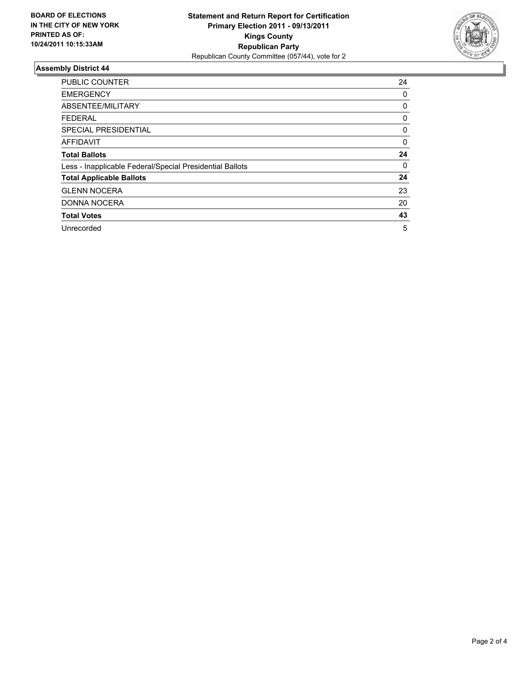

| <b>PUBLIC COUNTER</b>                                    | 24 |
|----------------------------------------------------------|----|
| <b>EMERGENCY</b>                                         | 0  |
| ABSENTEE/MILITARY                                        | 0  |
| <b>FEDERAL</b>                                           | 0  |
| SPECIAL PRESIDENTIAL                                     | 0  |
| <b>AFFIDAVIT</b>                                         | 0  |
| <b>Total Ballots</b>                                     | 24 |
| Less - Inapplicable Federal/Special Presidential Ballots | 0  |
| <b>Total Applicable Ballots</b>                          | 24 |
| <b>GLENN NOCERA</b>                                      | 23 |
| <b>DONNA NOCERA</b>                                      | 20 |
| <b>Total Votes</b>                                       | 43 |
| Unrecorded                                               | 5  |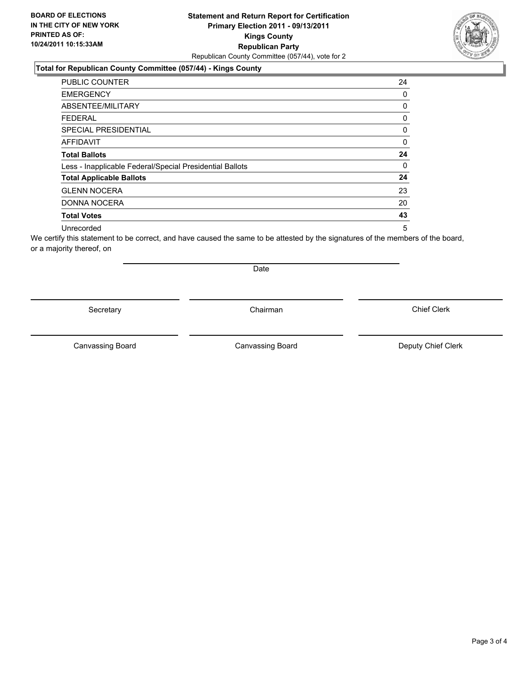### **Statement and Return Report for Certification Primary Election 2011 - 09/13/2011 Kings County Republican Party** Republican County Committee (057/44), vote for 2

#### **Total for Republican County Committee (057/44) - Kings County**

| <b>PUBLIC COUNTER</b>                                    | 24 |
|----------------------------------------------------------|----|
| <b>EMERGENCY</b>                                         | 0  |
| ABSENTEE/MILITARY                                        | 0  |
| <b>FEDERAL</b>                                           | 0  |
| SPECIAL PRESIDENTIAL                                     | 0  |
| <b>AFFIDAVIT</b>                                         | 0  |
| <b>Total Ballots</b>                                     | 24 |
| Less - Inapplicable Federal/Special Presidential Ballots | 0  |
| <b>Total Applicable Ballots</b>                          | 24 |
| <b>GLENN NOCERA</b>                                      | 23 |
| DONNA NOCERA                                             | 20 |
| <b>Total Votes</b>                                       | 43 |
| Unrecorded                                               | 5  |

We certify this statement to be correct, and have caused the same to be attested by the signatures of the members of the board, or a majority thereof, on

Secretary **Chairman** 

**Date** 

Canvassing Board Canvassing Board **Canvassing Board** Canvassing Board **Deputy Chief Clerk** 

Chief Clerk



Page 3 of 4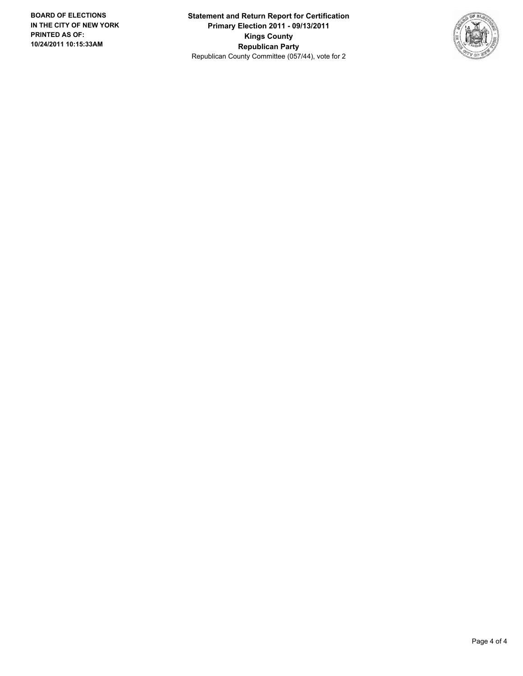**Statement and Return Report for Certification Primary Election 2011 - 09/13/2011 Kings County Republican Party** Republican County Committee (057/44), vote for 2

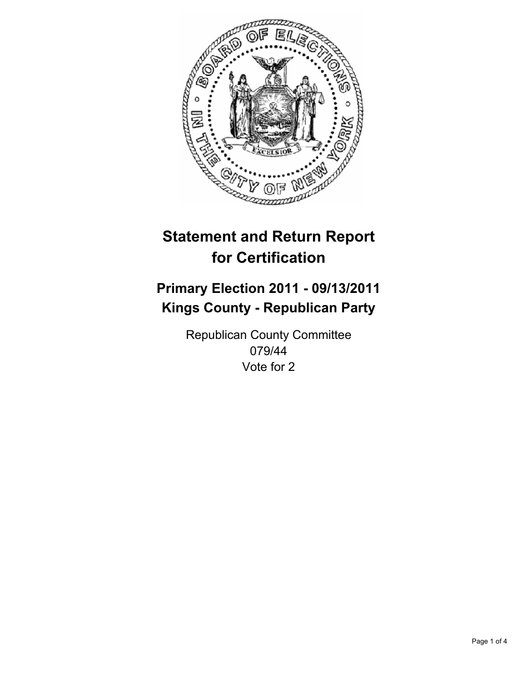

## **Primary Election 2011 - 09/13/2011 Kings County - Republican Party**

Republican County Committee 079/44 Vote for 2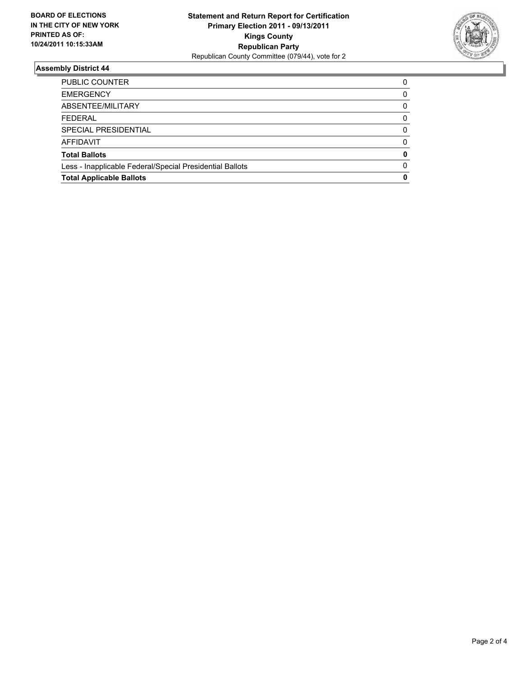

| PUBLIC COUNTER                                           | 0 |
|----------------------------------------------------------|---|
| <b>EMERGENCY</b>                                         | 0 |
| ABSENTEE/MILITARY                                        | 0 |
| <b>FEDERAL</b>                                           | 0 |
| SPECIAL PRESIDENTIAL                                     | 0 |
| <b>AFFIDAVIT</b>                                         | 0 |
| <b>Total Ballots</b>                                     | 0 |
| Less - Inapplicable Federal/Special Presidential Ballots | O |
| <b>Total Applicable Ballots</b>                          | 0 |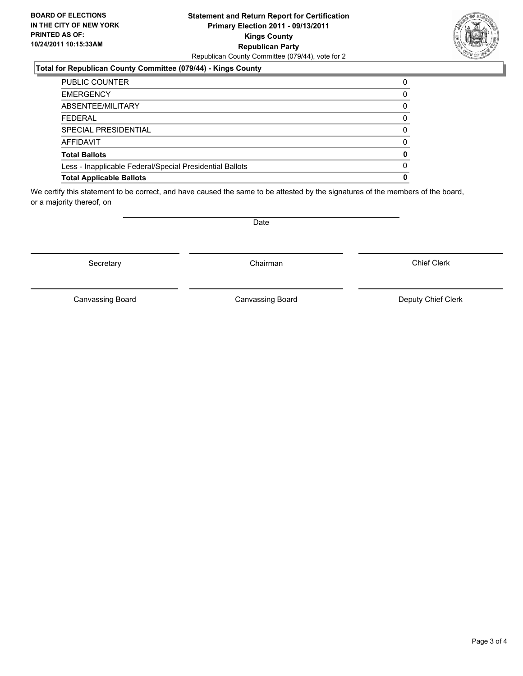### **Statement and Return Report for Certification Primary Election 2011 - 09/13/2011 Kings County Republican Party** Republican County Committee (079/44), vote for 2

### **Total for Republican County Committee (079/44) - Kings County**

| <b>PUBLIC COUNTER</b>                                    | 0        |
|----------------------------------------------------------|----------|
| <b>EMERGENCY</b>                                         | 0        |
| ABSENTEE/MILITARY                                        | 0        |
| <b>FEDERAL</b>                                           | 0        |
| SPECIAL PRESIDENTIAL                                     | 0        |
| AFFIDAVIT                                                | 0        |
| <b>Total Ballots</b>                                     | 0        |
| Less - Inapplicable Federal/Special Presidential Ballots | $\Omega$ |
| <b>Total Applicable Ballots</b>                          | 0        |

We certify this statement to be correct, and have caused the same to be attested by the signatures of the members of the board, or a majority thereof, on

Secretary **Chairman** 

Canvassing Board

Date

Canvassing Board **Canvassing Board** Canvassing Board **Deputy Chief Clerk**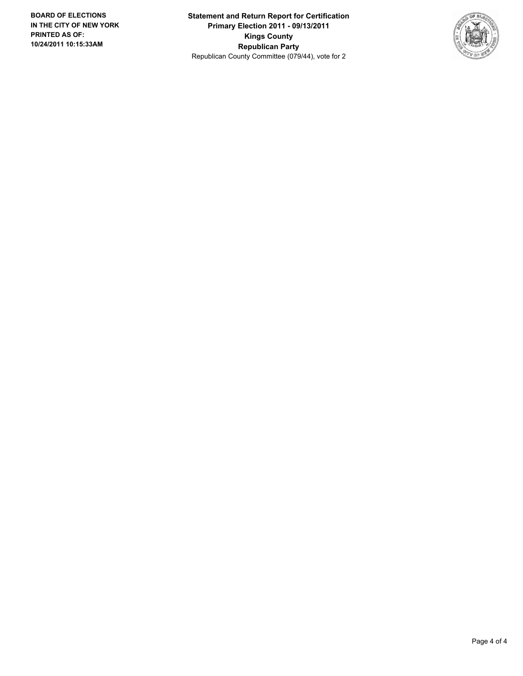**Statement and Return Report for Certification Primary Election 2011 - 09/13/2011 Kings County Republican Party** Republican County Committee (079/44), vote for 2

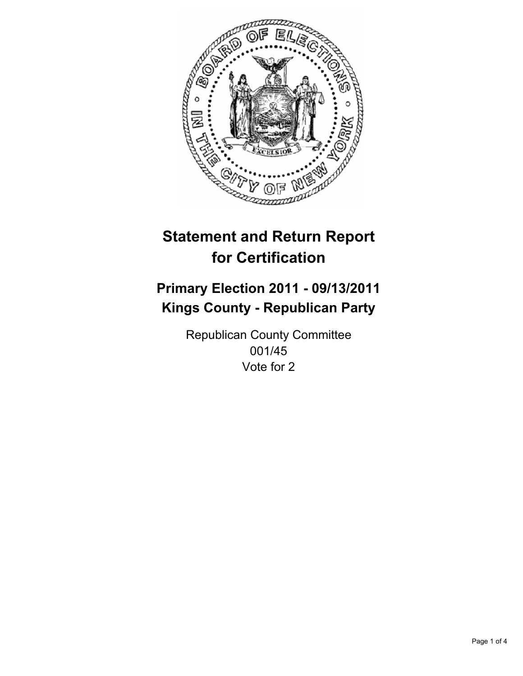

## **Primary Election 2011 - 09/13/2011 Kings County - Republican Party**

Republican County Committee 001/45 Vote for 2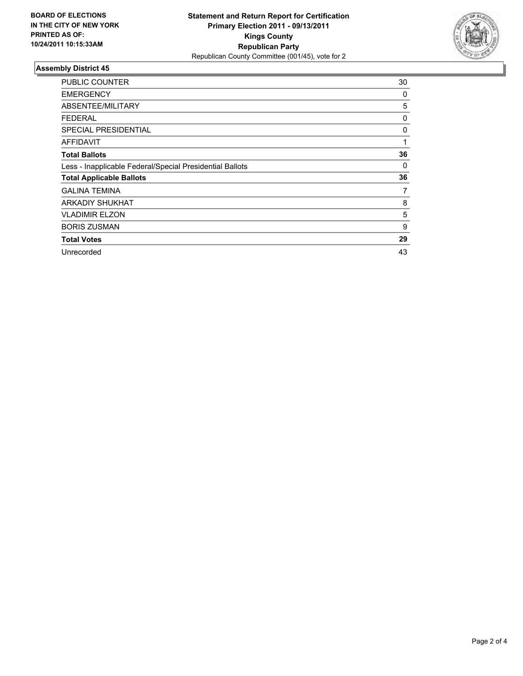

| <b>PUBLIC COUNTER</b>                                    | 30 |
|----------------------------------------------------------|----|
| <b>EMERGENCY</b>                                         | 0  |
| ABSENTEE/MILITARY                                        | 5  |
| <b>FEDERAL</b>                                           | 0  |
| <b>SPECIAL PRESIDENTIAL</b>                              | 0  |
| <b>AFFIDAVIT</b>                                         | 1  |
| <b>Total Ballots</b>                                     | 36 |
| Less - Inapplicable Federal/Special Presidential Ballots | 0  |
| <b>Total Applicable Ballots</b>                          | 36 |
| <b>GALINA TEMINA</b>                                     | 7  |
| <b>ARKADIY SHUKHAT</b>                                   | 8  |
| <b>VLADIMIR ELZON</b>                                    | 5  |
| <b>BORIS ZUSMAN</b>                                      | 9  |
| <b>Total Votes</b>                                       | 29 |
| Unrecorded                                               | 43 |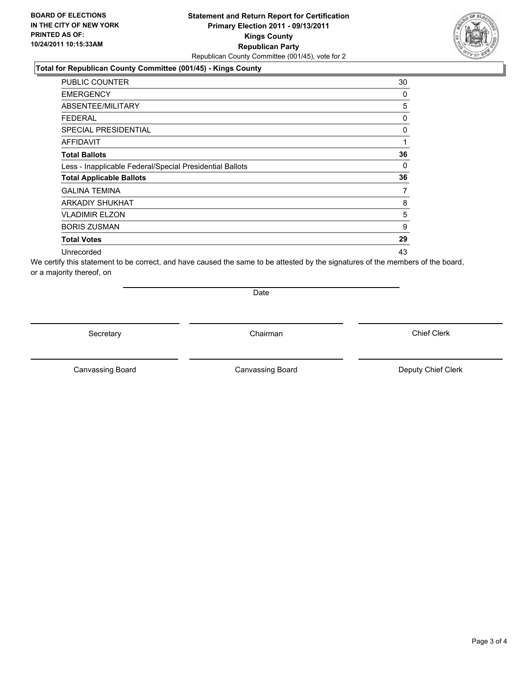#### **Total for Republican County Committee (001/45) - Kings County**

| <b>PUBLIC COUNTER</b>                                    | 30 |
|----------------------------------------------------------|----|
| <b>EMERGENCY</b>                                         | 0  |
| ABSENTEE/MILITARY                                        | 5  |
| <b>FEDERAL</b>                                           | 0  |
| <b>SPECIAL PRESIDENTIAL</b>                              | 0  |
| AFFIDAVIT                                                | 1  |
| <b>Total Ballots</b>                                     | 36 |
| Less - Inapplicable Federal/Special Presidential Ballots | 0  |
| <b>Total Applicable Ballots</b>                          | 36 |
| <b>GALINA TEMINA</b>                                     | 7  |
| <b>ARKADIY SHUKHAT</b>                                   | 8  |
| <b>VLADIMIR ELZON</b>                                    | 5  |
| <b>BORIS ZUSMAN</b>                                      | 9  |
| <b>Total Votes</b>                                       | 29 |
| Unrecorded                                               | 43 |

We certify this statement to be correct, and have caused the same to be attested by the signatures of the members of the board, or a majority thereof, on

Date

Secretary **Chairman** 

Canvassing Board **Canvassing Board** Canvassing Board **Deputy Chief Clerk** 

Canvassing Board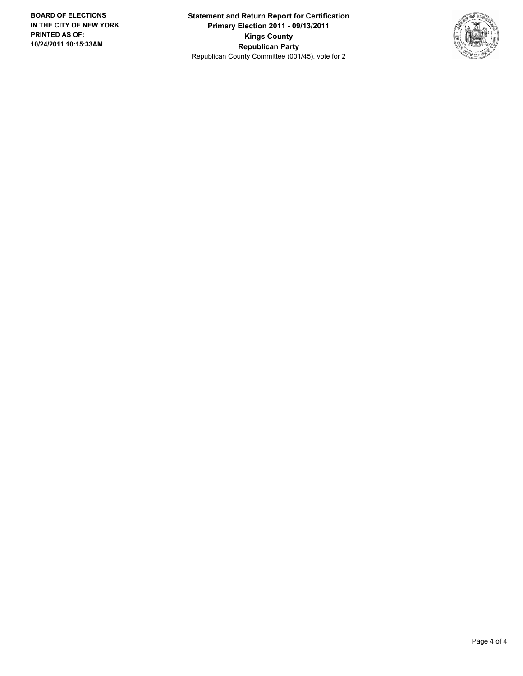**Statement and Return Report for Certification Primary Election 2011 - 09/13/2011 Kings County Republican Party** Republican County Committee (001/45), vote for 2

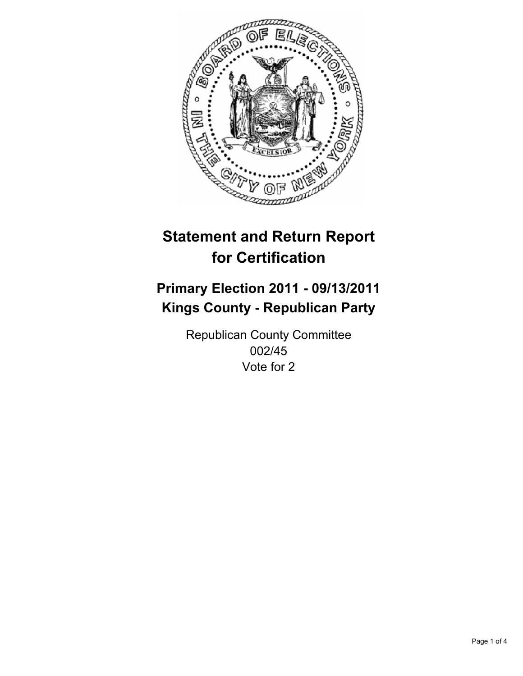

## **Primary Election 2011 - 09/13/2011 Kings County - Republican Party**

Republican County Committee 002/45 Vote for 2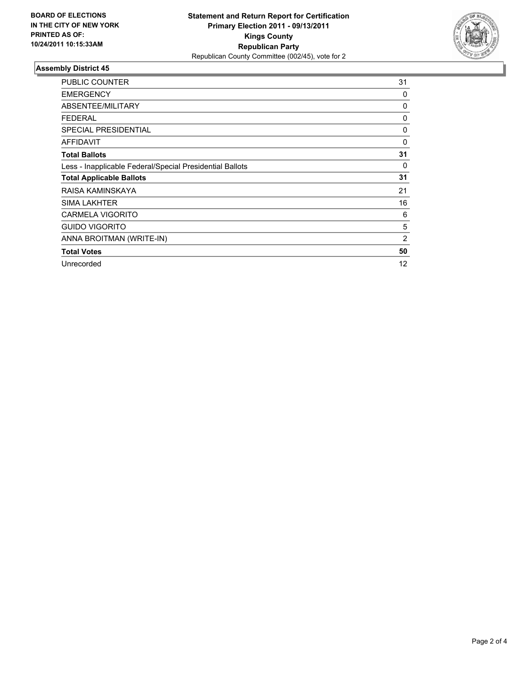

| <b>PUBLIC COUNTER</b>                                    | 31 |
|----------------------------------------------------------|----|
| <b>EMERGENCY</b>                                         | 0  |
| ABSENTEE/MILITARY                                        | 0  |
| <b>FEDERAL</b>                                           | 0  |
| <b>SPECIAL PRESIDENTIAL</b>                              | 0  |
| <b>AFFIDAVIT</b>                                         | 0  |
| <b>Total Ballots</b>                                     | 31 |
| Less - Inapplicable Federal/Special Presidential Ballots | 0  |
| <b>Total Applicable Ballots</b>                          | 31 |
| RAISA KAMINSKAYA                                         | 21 |
| <b>SIMA LAKHTER</b>                                      | 16 |
| <b>CARMELA VIGORITO</b>                                  | 6  |
| <b>GUIDO VIGORITO</b>                                    | 5  |
| ANNA BROITMAN (WRITE-IN)                                 | 2  |
| <b>Total Votes</b>                                       | 50 |
| Unrecorded                                               | 12 |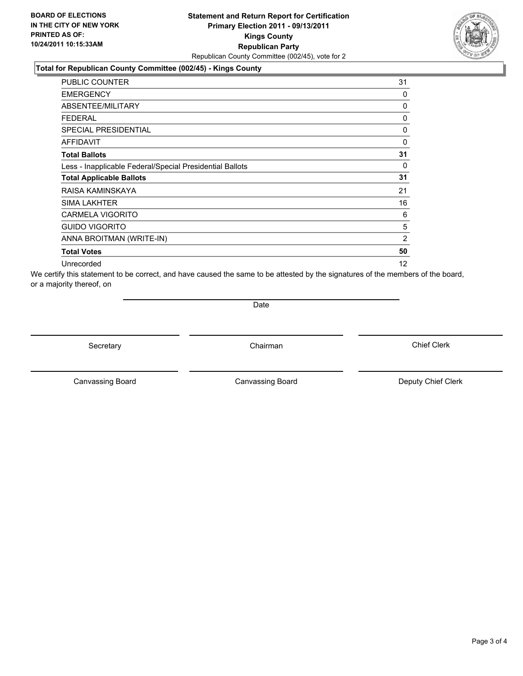#### **Total for Republican County Committee (002/45) - Kings County**

| <b>PUBLIC COUNTER</b>                                    | 31 |
|----------------------------------------------------------|----|
| <b>EMERGENCY</b>                                         | 0  |
| ABSENTEE/MILITARY                                        | 0  |
| <b>FEDERAL</b>                                           | 0  |
| <b>SPECIAL PRESIDENTIAL</b>                              | 0  |
| <b>AFFIDAVIT</b>                                         | 0  |
| <b>Total Ballots</b>                                     | 31 |
| Less - Inapplicable Federal/Special Presidential Ballots | 0  |
| <b>Total Applicable Ballots</b>                          | 31 |
| RAISA KAMINSKAYA                                         | 21 |
| <b>SIMA LAKHTER</b>                                      | 16 |
| <b>CARMELA VIGORITO</b>                                  | 6  |
| <b>GUIDO VIGORITO</b>                                    | 5  |
| ANNA BROITMAN (WRITE-IN)                                 | 2  |
| <b>Total Votes</b>                                       | 50 |
| Unrecorded                                               | 12 |

We certify this statement to be correct, and have caused the same to be attested by the signatures of the members of the board, or a majority thereof, on

**Date** 

Secretary **Chairman** 

Canvassing Board **Canvassing Board** Canvassing Board **Deputy Chief Clerk** 

Canvassing Board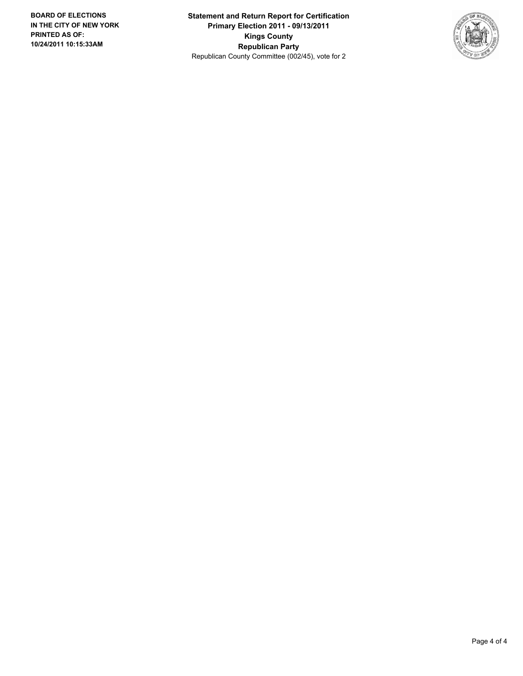**Statement and Return Report for Certification Primary Election 2011 - 09/13/2011 Kings County Republican Party** Republican County Committee (002/45), vote for 2

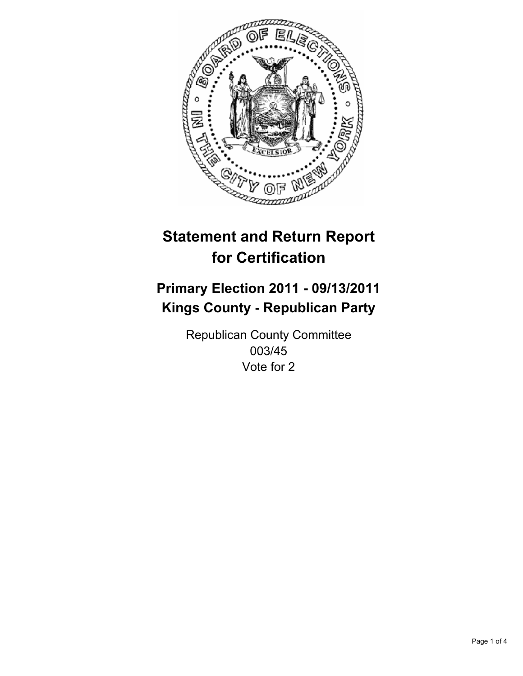

## **Primary Election 2011 - 09/13/2011 Kings County - Republican Party**

Republican County Committee 003/45 Vote for 2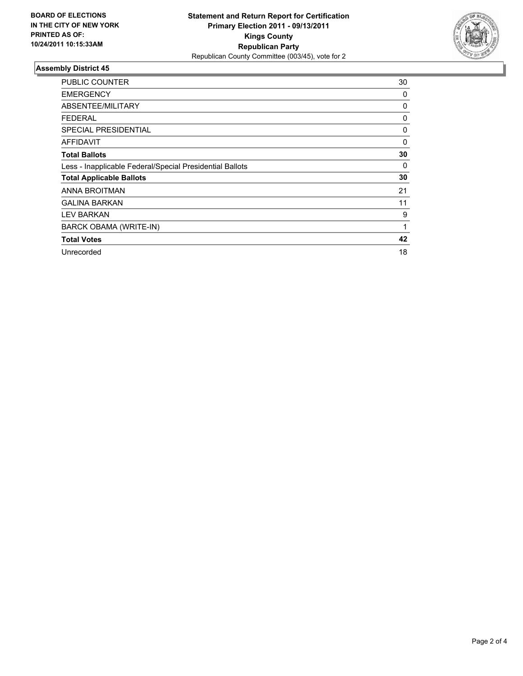

| <b>PUBLIC COUNTER</b>                                    | 30 |
|----------------------------------------------------------|----|
| <b>EMERGENCY</b>                                         | 0  |
| ABSENTEE/MILITARY                                        | 0  |
| <b>FEDERAL</b>                                           | 0  |
| <b>SPECIAL PRESIDENTIAL</b>                              | 0  |
| AFFIDAVIT                                                | 0  |
| <b>Total Ballots</b>                                     | 30 |
| Less - Inapplicable Federal/Special Presidential Ballots | 0  |
| <b>Total Applicable Ballots</b>                          | 30 |
| ANNA BROITMAN                                            | 21 |
| <b>GALINA BARKAN</b>                                     | 11 |
| <b>LEV BARKAN</b>                                        | 9  |
| BARCK OBAMA (WRITE-IN)                                   | 1  |
| <b>Total Votes</b>                                       | 42 |
| Unrecorded                                               | 18 |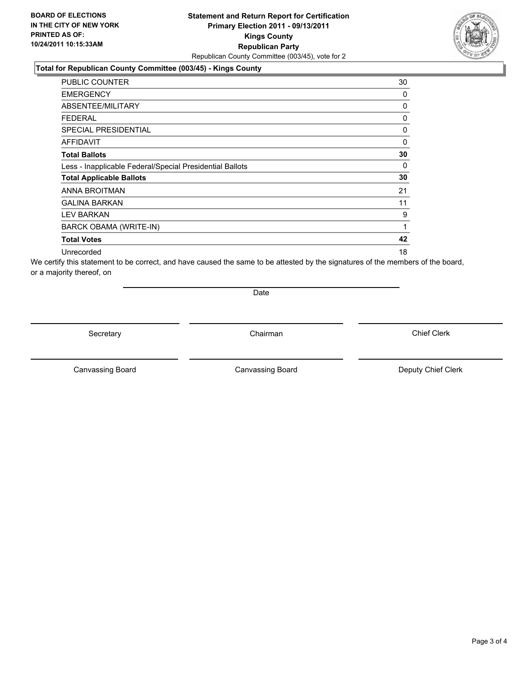#### **Total for Republican County Committee (003/45) - Kings County**

| <b>PUBLIC COUNTER</b>                                    | 30 |
|----------------------------------------------------------|----|
| <b>EMERGENCY</b>                                         | 0  |
| ABSENTEE/MILITARY                                        | 0  |
| <b>FEDERAL</b>                                           | 0  |
| <b>SPECIAL PRESIDENTIAL</b>                              | 0  |
| AFFIDAVIT                                                | 0  |
| <b>Total Ballots</b>                                     | 30 |
| Less - Inapplicable Federal/Special Presidential Ballots | 0  |
| <b>Total Applicable Ballots</b>                          | 30 |
| ANNA BROITMAN                                            | 21 |
| <b>GALINA BARKAN</b>                                     | 11 |
| <b>LEV BARKAN</b>                                        | 9  |
| <b>BARCK OBAMA (WRITE-IN)</b>                            | 1  |
| <b>Total Votes</b>                                       | 42 |
| Unrecorded                                               | 18 |

We certify this statement to be correct, and have caused the same to be attested by the signatures of the members of the board, or a majority thereof, on

Date

Secretary **Chairman** 

Canvassing Board **Canvassing Board** Canvassing Board **Deputy Chief Clerk** 

Canvassing Board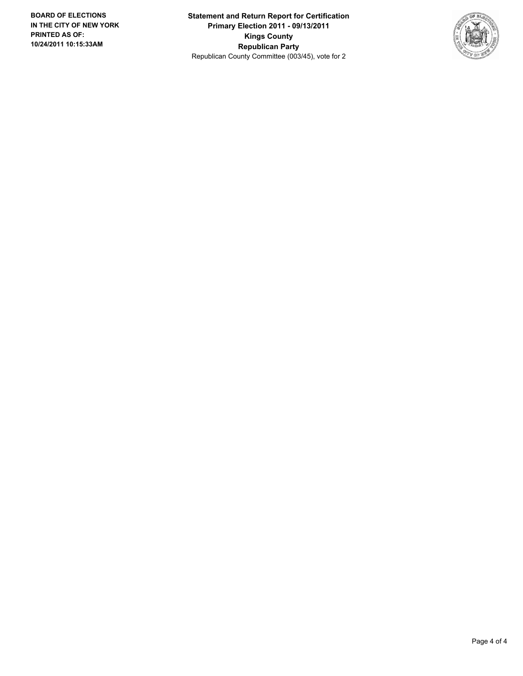**Statement and Return Report for Certification Primary Election 2011 - 09/13/2011 Kings County Republican Party** Republican County Committee (003/45), vote for 2

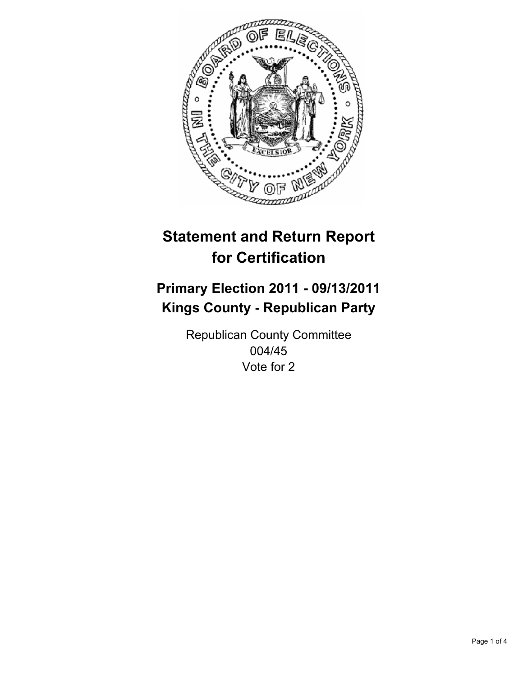

## **Primary Election 2011 - 09/13/2011 Kings County - Republican Party**

Republican County Committee 004/45 Vote for 2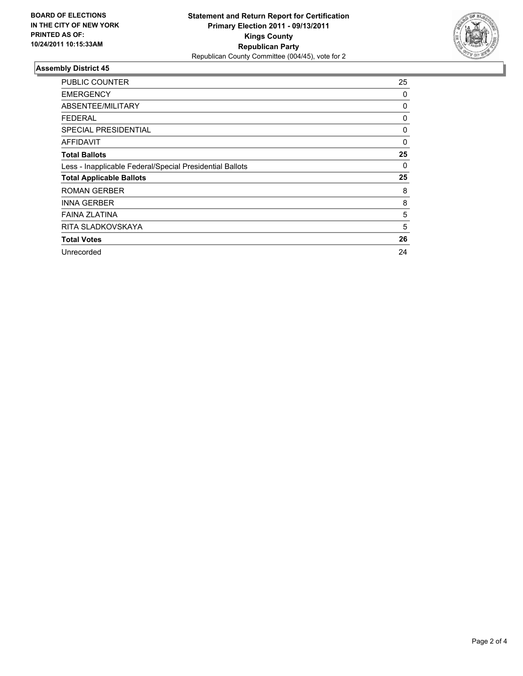

| <b>PUBLIC COUNTER</b>                                    | 25 |
|----------------------------------------------------------|----|
| <b>EMERGENCY</b>                                         | 0  |
| ABSENTEE/MILITARY                                        | 0  |
| <b>FEDERAL</b>                                           | 0  |
| <b>SPECIAL PRESIDENTIAL</b>                              | 0  |
| AFFIDAVIT                                                | 0  |
| <b>Total Ballots</b>                                     | 25 |
| Less - Inapplicable Federal/Special Presidential Ballots | 0  |
| <b>Total Applicable Ballots</b>                          | 25 |
| <b>ROMAN GERBER</b>                                      | 8  |
| <b>INNA GERBER</b>                                       | 8  |
| <b>FAINA ZLATINA</b>                                     | 5  |
| RITA SLADKOVSKAYA                                        | 5  |
| <b>Total Votes</b>                                       | 26 |
| Unrecorded                                               | 24 |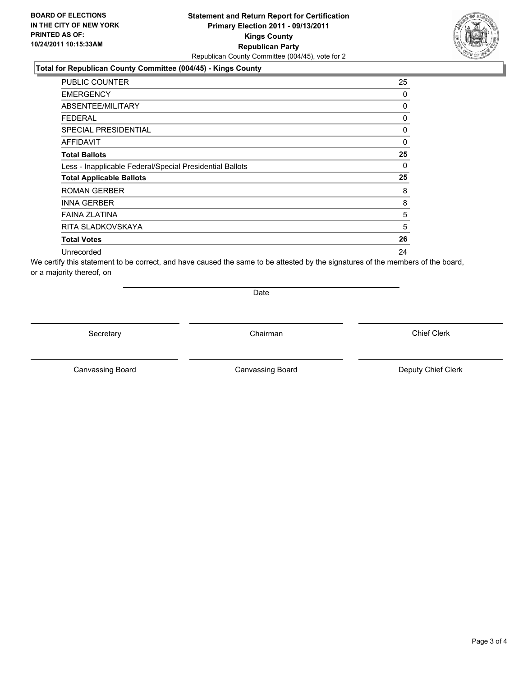#### **Total for Republican County Committee (004/45) - Kings County**

| <b>PUBLIC COUNTER</b>                                    | 25 |
|----------------------------------------------------------|----|
| <b>EMERGENCY</b>                                         | 0  |
| ABSENTEE/MILITARY                                        | 0  |
| <b>FEDERAL</b>                                           | 0  |
| <b>SPECIAL PRESIDENTIAL</b>                              | 0  |
| AFFIDAVIT                                                | 0  |
| <b>Total Ballots</b>                                     | 25 |
| Less - Inapplicable Federal/Special Presidential Ballots | 0  |
| <b>Total Applicable Ballots</b>                          | 25 |
| <b>ROMAN GERBER</b>                                      | 8  |
| <b>INNA GERBER</b>                                       | 8  |
| <b>FAINA ZLATINA</b>                                     | 5  |
| RITA SLADKOVSKAYA                                        | 5  |
| <b>Total Votes</b>                                       | 26 |
| Unrecorded                                               | 24 |

We certify this statement to be correct, and have caused the same to be attested by the signatures of the members of the board, or a majority thereof, on

Date

Secretary **Chairman** 

Canvassing Board **Canvassing Board** Canvassing Board **Deputy Chief Clerk** 

Canvassing Board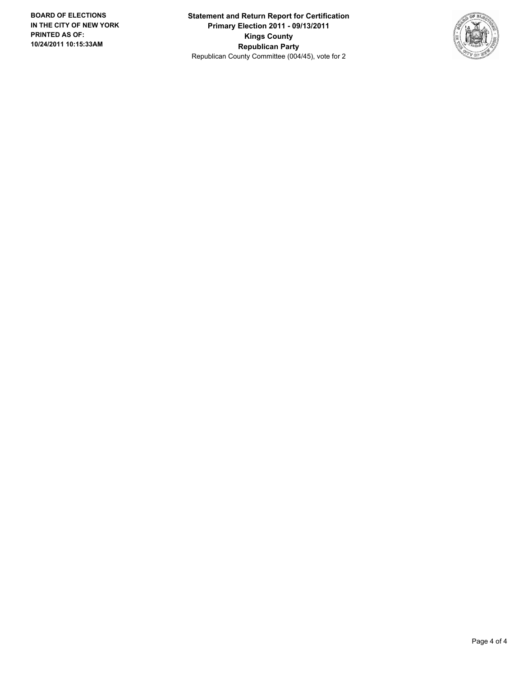**Statement and Return Report for Certification Primary Election 2011 - 09/13/2011 Kings County Republican Party** Republican County Committee (004/45), vote for 2

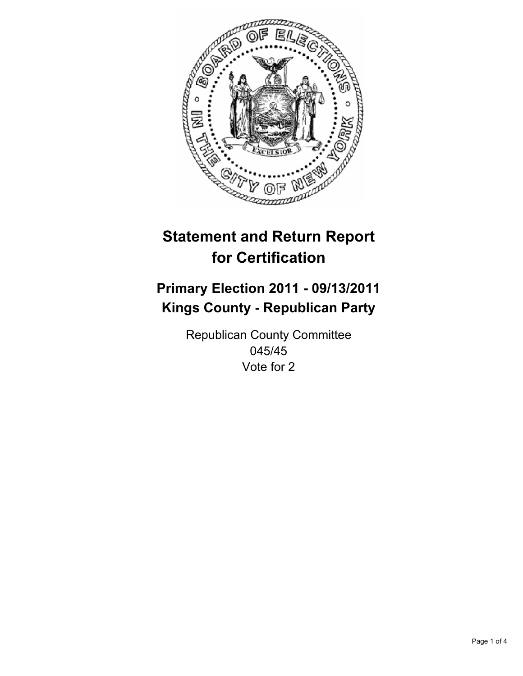

## **Primary Election 2011 - 09/13/2011 Kings County - Republican Party**

Republican County Committee 045/45 Vote for 2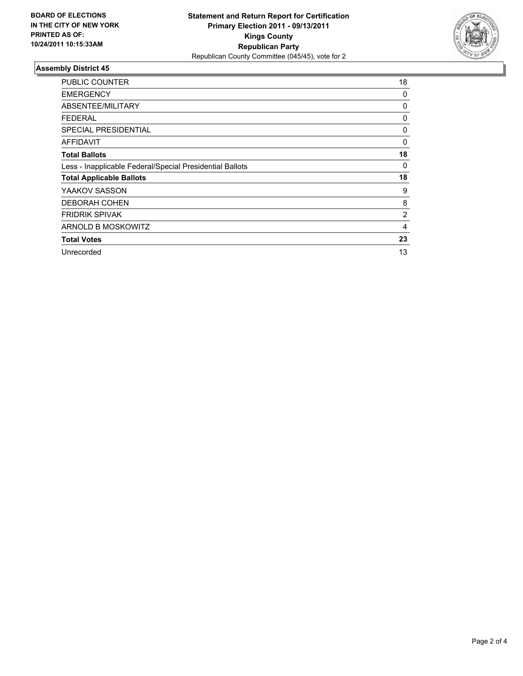

| <b>PUBLIC COUNTER</b>                                    | 18             |
|----------------------------------------------------------|----------------|
| <b>EMERGENCY</b>                                         | 0              |
| ABSENTEE/MILITARY                                        | 0              |
| <b>FEDERAL</b>                                           | 0              |
| <b>SPECIAL PRESIDENTIAL</b>                              | 0              |
| AFFIDAVIT                                                | 0              |
| <b>Total Ballots</b>                                     | 18             |
| Less - Inapplicable Federal/Special Presidential Ballots | 0              |
| <b>Total Applicable Ballots</b>                          | 18             |
| YAAKOV SASSON                                            | 9              |
| <b>DEBORAH COHEN</b>                                     | 8              |
| <b>FRIDRIK SPIVAK</b>                                    | $\overline{2}$ |
| ARNOLD B MOSKOWITZ                                       | 4              |
| <b>Total Votes</b>                                       | 23             |
| Unrecorded                                               | 13             |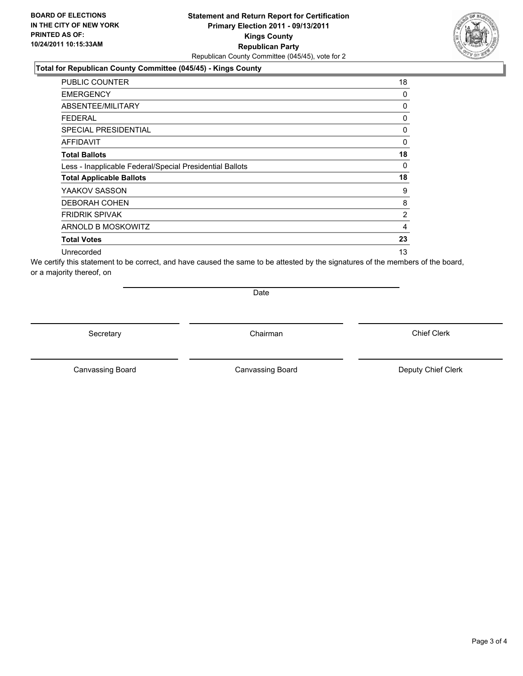#### **Total for Republican County Committee (045/45) - Kings County**

| <b>PUBLIC COUNTER</b>                                    | 18             |
|----------------------------------------------------------|----------------|
| <b>EMERGENCY</b>                                         | 0              |
| ABSENTEE/MILITARY                                        | 0              |
| <b>FEDERAL</b>                                           | 0              |
| <b>SPECIAL PRESIDENTIAL</b>                              | 0              |
| AFFIDAVIT                                                | 0              |
| <b>Total Ballots</b>                                     | 18             |
| Less - Inapplicable Federal/Special Presidential Ballots | 0              |
| <b>Total Applicable Ballots</b>                          | 18             |
| YAAKOV SASSON                                            | 9              |
| <b>DEBORAH COHEN</b>                                     | 8              |
| <b>FRIDRIK SPIVAK</b>                                    | $\overline{2}$ |
| ARNOLD B MOSKOWITZ                                       | 4              |
| <b>Total Votes</b>                                       | 23             |
| Unrecorded                                               | 13             |

We certify this statement to be correct, and have caused the same to be attested by the signatures of the members of the board, or a majority thereof, on

Date

Secretary **Chairman** 

Canvassing Board **Canvassing Board** Canvassing Board **Deputy Chief Clerk** 

Canvassing Board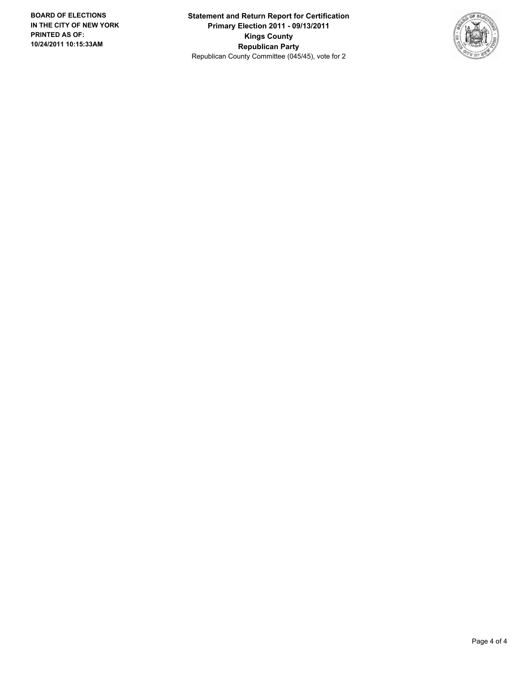**Statement and Return Report for Certification Primary Election 2011 - 09/13/2011 Kings County Republican Party** Republican County Committee (045/45), vote for 2

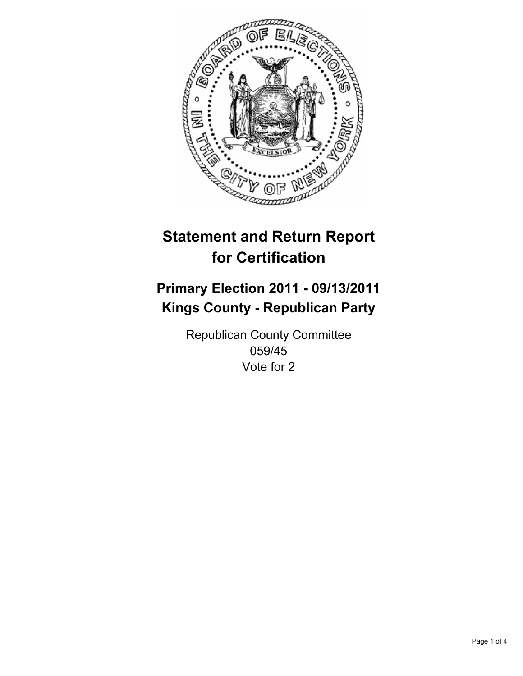

## **Primary Election 2011 - 09/13/2011 Kings County - Republican Party**

Republican County Committee 059/45 Vote for 2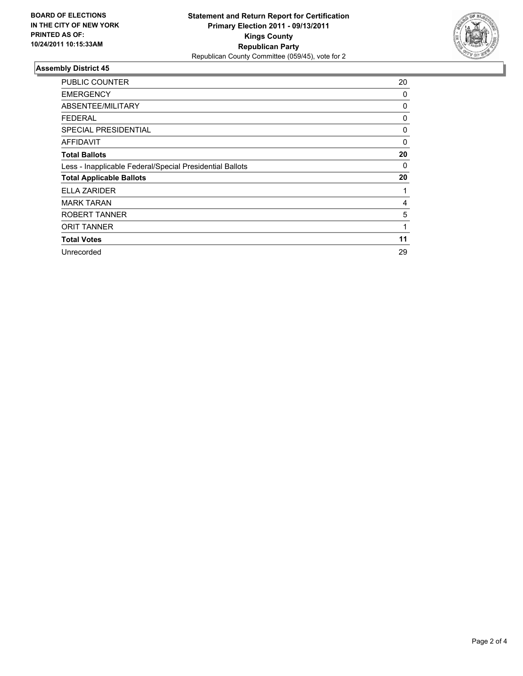

| <b>PUBLIC COUNTER</b>                                    | 20 |
|----------------------------------------------------------|----|
| <b>EMERGENCY</b>                                         | 0  |
| <b>ABSENTEE/MILITARY</b>                                 | 0  |
| <b>FEDERAL</b>                                           | 0  |
| <b>SPECIAL PRESIDENTIAL</b>                              | 0  |
| AFFIDAVIT                                                | 0  |
| <b>Total Ballots</b>                                     | 20 |
| Less - Inapplicable Federal/Special Presidential Ballots | 0  |
| <b>Total Applicable Ballots</b>                          | 20 |
| <b>ELLA ZARIDER</b>                                      | 1  |
| <b>MARK TARAN</b>                                        | 4  |
| ROBERT TANNER                                            | 5  |
| <b>ORIT TANNER</b>                                       | 1  |
| <b>Total Votes</b>                                       | 11 |
| Unrecorded                                               | 29 |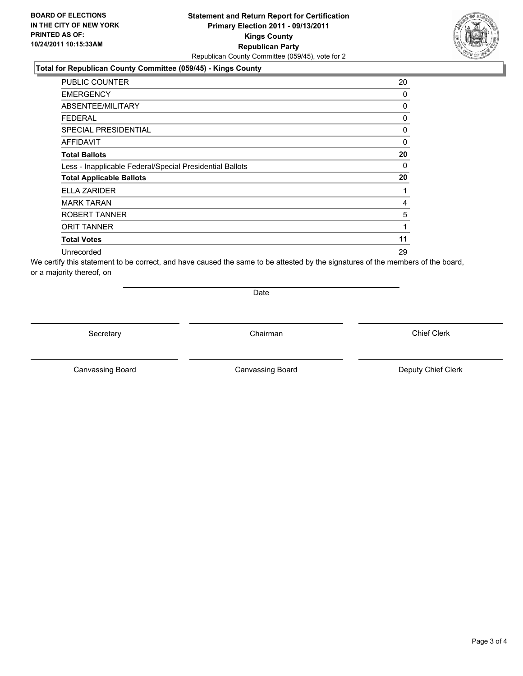#### **Total for Republican County Committee (059/45) - Kings County**

| <b>PUBLIC COUNTER</b>                                    | 20 |
|----------------------------------------------------------|----|
| <b>EMERGENCY</b>                                         | 0  |
| ABSENTEE/MILITARY                                        | 0  |
| <b>FEDERAL</b>                                           | 0  |
| SPECIAL PRESIDENTIAL                                     | 0  |
| AFFIDAVIT                                                | 0  |
| <b>Total Ballots</b>                                     | 20 |
| Less - Inapplicable Federal/Special Presidential Ballots | 0  |
| <b>Total Applicable Ballots</b>                          | 20 |
| <b>ELLA ZARIDER</b>                                      | 1  |
| <b>MARK TARAN</b>                                        | 4  |
| ROBERT TANNER                                            | 5  |
| <b>ORIT TANNER</b>                                       | 1  |
| <b>Total Votes</b>                                       | 11 |
| Unrecorded                                               | 29 |

We certify this statement to be correct, and have caused the same to be attested by the signatures of the members of the board, or a majority thereof, on

Date

Secretary **Chairman** 

Canvassing Board **Canvassing Board** Canvassing Board **Deputy Chief Clerk** 

Canvassing Board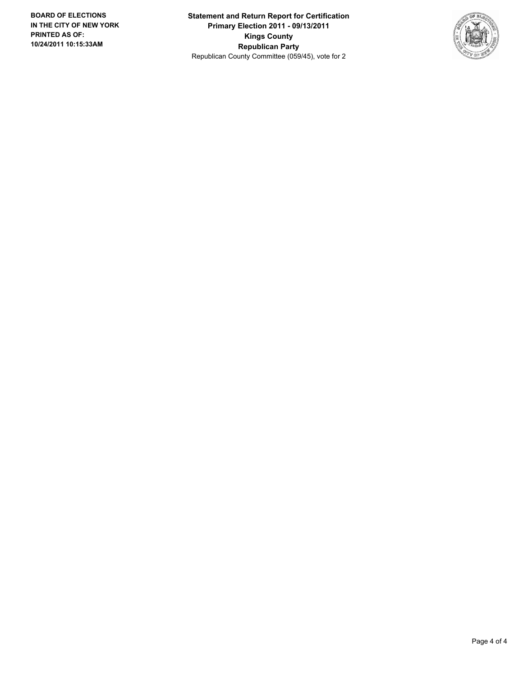**Statement and Return Report for Certification Primary Election 2011 - 09/13/2011 Kings County Republican Party** Republican County Committee (059/45), vote for 2

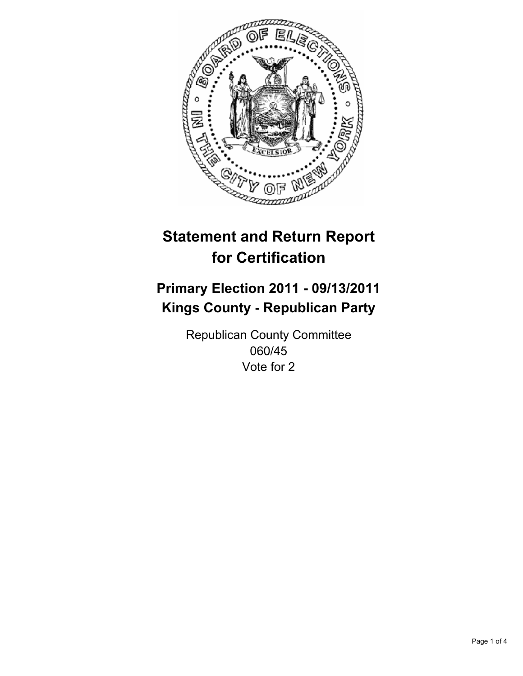

## **Primary Election 2011 - 09/13/2011 Kings County - Republican Party**

Republican County Committee 060/45 Vote for 2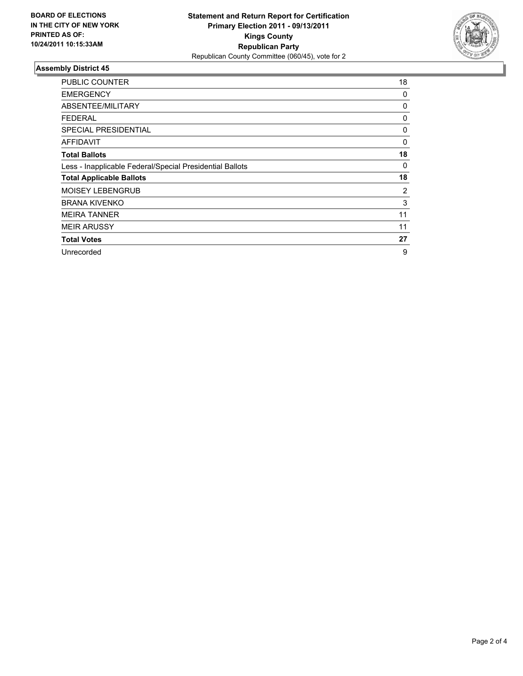

| <b>PUBLIC COUNTER</b>                                    | 18 |
|----------------------------------------------------------|----|
| <b>EMERGENCY</b>                                         | 0  |
| <b>ABSENTEE/MILITARY</b>                                 | 0  |
| <b>FEDERAL</b>                                           | 0  |
| <b>SPECIAL PRESIDENTIAL</b>                              | 0  |
| AFFIDAVIT                                                | 0  |
| <b>Total Ballots</b>                                     | 18 |
| Less - Inapplicable Federal/Special Presidential Ballots | 0  |
| <b>Total Applicable Ballots</b>                          | 18 |
| <b>MOISEY LEBENGRUB</b>                                  | 2  |
| <b>BRANA KIVENKO</b>                                     | 3  |
| <b>MEIRA TANNER</b>                                      | 11 |
| <b>MEIR ARUSSY</b>                                       | 11 |
| <b>Total Votes</b>                                       | 27 |
| Unrecorded                                               | 9  |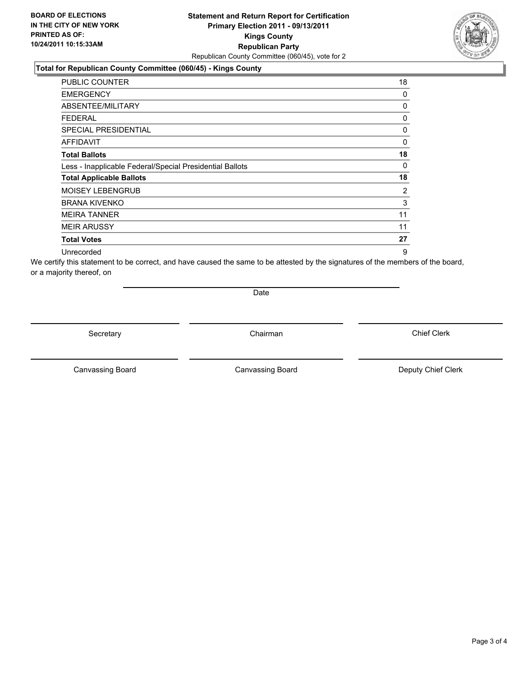#### **Total for Republican County Committee (060/45) - Kings County**

| <b>PUBLIC COUNTER</b>                                    | 18 |
|----------------------------------------------------------|----|
| <b>EMERGENCY</b>                                         | 0  |
| ABSENTEE/MILITARY                                        | 0  |
| <b>FEDERAL</b>                                           | 0  |
| SPECIAL PRESIDENTIAL                                     | 0  |
| <b>AFFIDAVIT</b>                                         | 0  |
| <b>Total Ballots</b>                                     | 18 |
| Less - Inapplicable Federal/Special Presidential Ballots | 0  |
| <b>Total Applicable Ballots</b>                          | 18 |
| <b>MOISEY LEBENGRUB</b>                                  | 2  |
| <b>BRANA KIVENKO</b>                                     | 3  |
| <b>MEIRA TANNER</b>                                      | 11 |
| <b>MEIR ARUSSY</b>                                       | 11 |
| <b>Total Votes</b>                                       | 27 |
| Unrecorded                                               | 9  |

We certify this statement to be correct, and have caused the same to be attested by the signatures of the members of the board, or a majority thereof, on

Date

Secretary **Chairman** 

Canvassing Board **Canvassing Board** Canvassing Board **Deputy Chief Clerk** 

Canvassing Board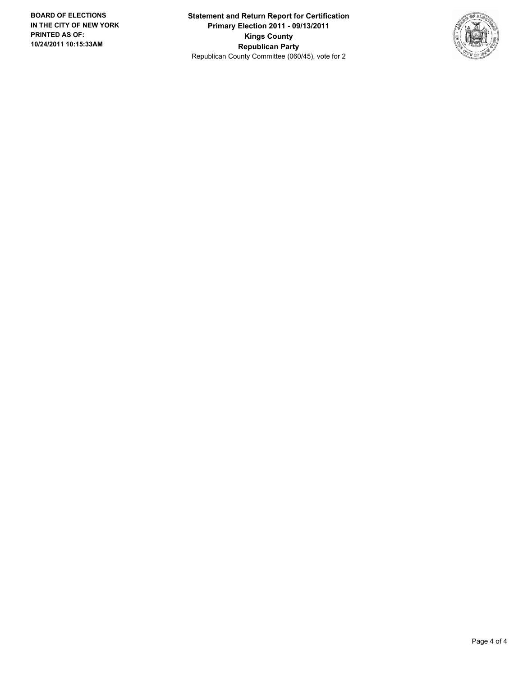**Statement and Return Report for Certification Primary Election 2011 - 09/13/2011 Kings County Republican Party** Republican County Committee (060/45), vote for 2

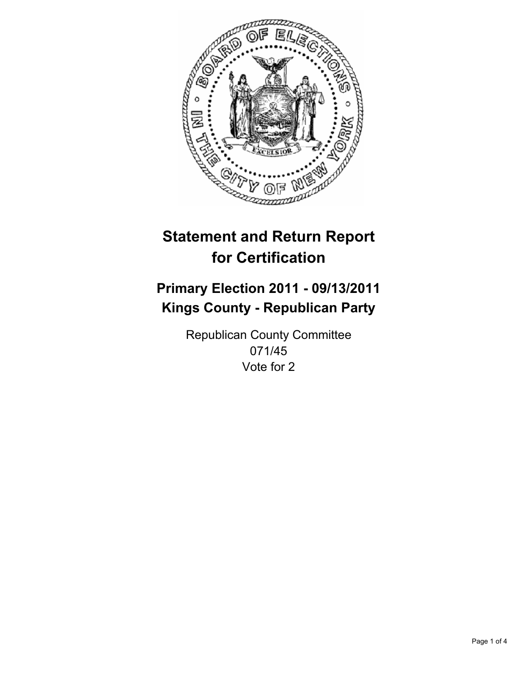

## **Primary Election 2011 - 09/13/2011 Kings County - Republican Party**

Republican County Committee 071/45 Vote for 2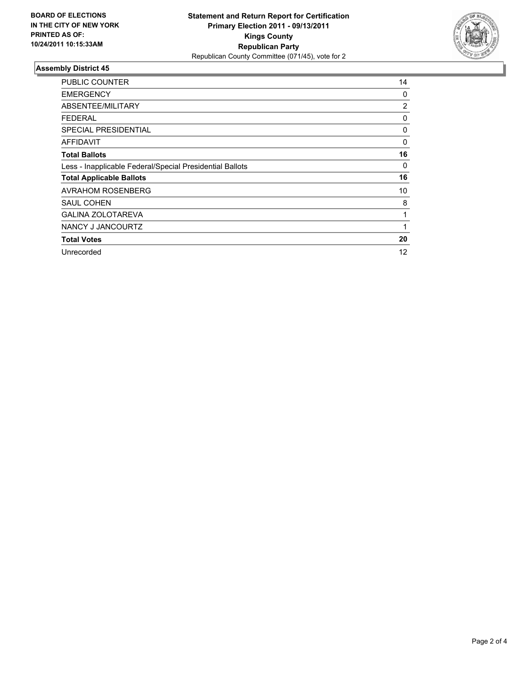

| <b>PUBLIC COUNTER</b>                                    | 14             |
|----------------------------------------------------------|----------------|
| <b>EMERGENCY</b>                                         | 0              |
| ABSENTEE/MILITARY                                        | $\overline{2}$ |
| <b>FEDERAL</b>                                           | 0              |
| <b>SPECIAL PRESIDENTIAL</b>                              | 0              |
| AFFIDAVIT                                                | 0              |
| <b>Total Ballots</b>                                     | 16             |
| Less - Inapplicable Federal/Special Presidential Ballots | 0              |
| <b>Total Applicable Ballots</b>                          | 16             |
| <b>AVRAHOM ROSENBERG</b>                                 | 10             |
| <b>SAUL COHEN</b>                                        | 8              |
| <b>GALINA ZOLOTAREVA</b>                                 | 1              |
| NANCY J JANCOURTZ                                        | 1              |
| <b>Total Votes</b>                                       | 20             |
| Unrecorded                                               | 12             |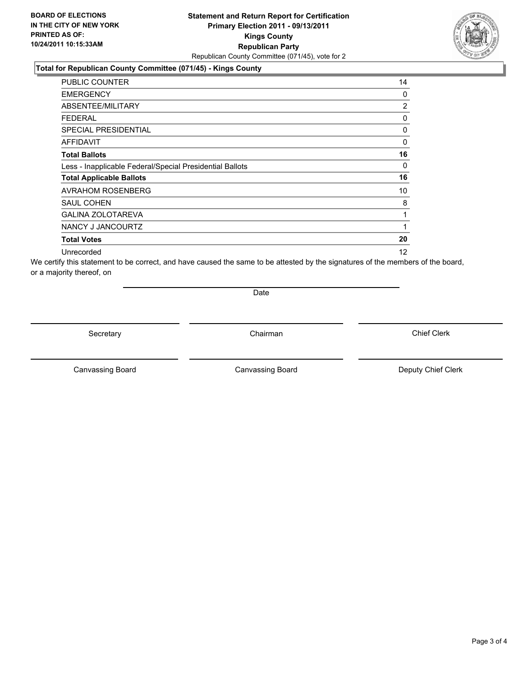#### **Total for Republican County Committee (071/45) - Kings County**

| <b>PUBLIC COUNTER</b>                                    | 14             |
|----------------------------------------------------------|----------------|
| <b>EMERGENCY</b>                                         | 0              |
| ABSENTEE/MILITARY                                        | $\overline{2}$ |
| <b>FEDERAL</b>                                           | 0              |
| <b>SPECIAL PRESIDENTIAL</b>                              | 0              |
| AFFIDAVIT                                                | 0              |
| <b>Total Ballots</b>                                     | 16             |
| Less - Inapplicable Federal/Special Presidential Ballots | 0              |
| <b>Total Applicable Ballots</b>                          | 16             |
| <b>AVRAHOM ROSENBERG</b>                                 | 10             |
| <b>SAUL COHEN</b>                                        | 8              |
| <b>GALINA ZOLOTAREVA</b>                                 | 1              |
| NANCY J JANCOURTZ                                        | 1              |
| <b>Total Votes</b>                                       | 20             |
| Unrecorded                                               | 12             |

We certify this statement to be correct, and have caused the same to be attested by the signatures of the members of the board, or a majority thereof, on

Date

Secretary **Chairman** 

Canvassing Board **Canvassing Board** Canvassing Board **Deputy Chief Clerk** 

Canvassing Board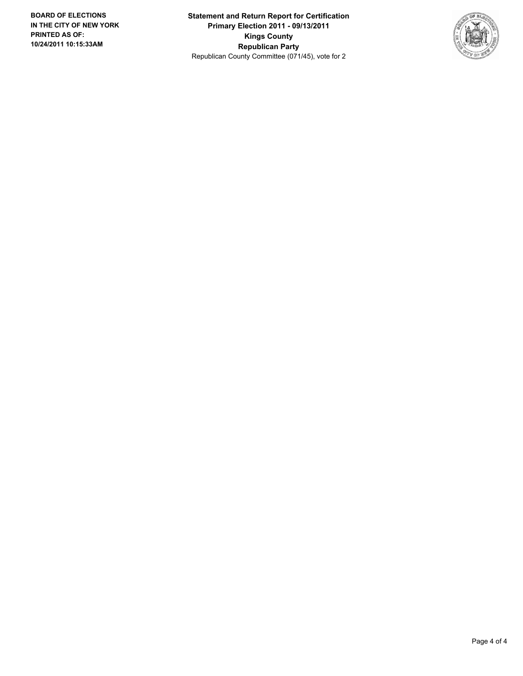**Statement and Return Report for Certification Primary Election 2011 - 09/13/2011 Kings County Republican Party** Republican County Committee (071/45), vote for 2

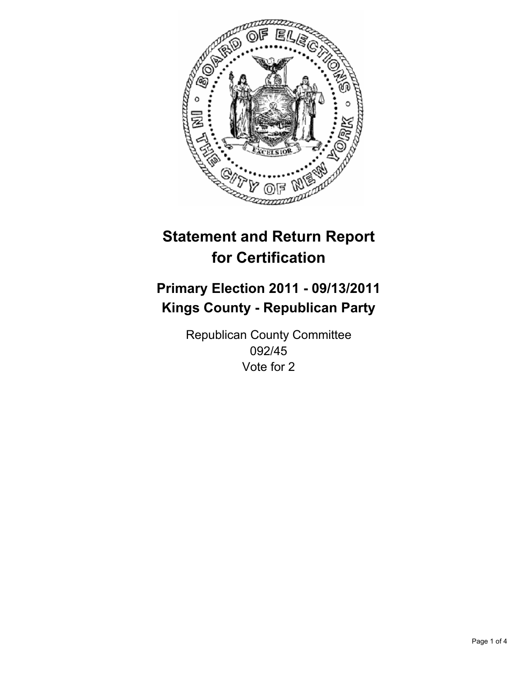

## **Primary Election 2011 - 09/13/2011 Kings County - Republican Party**

Republican County Committee 092/45 Vote for 2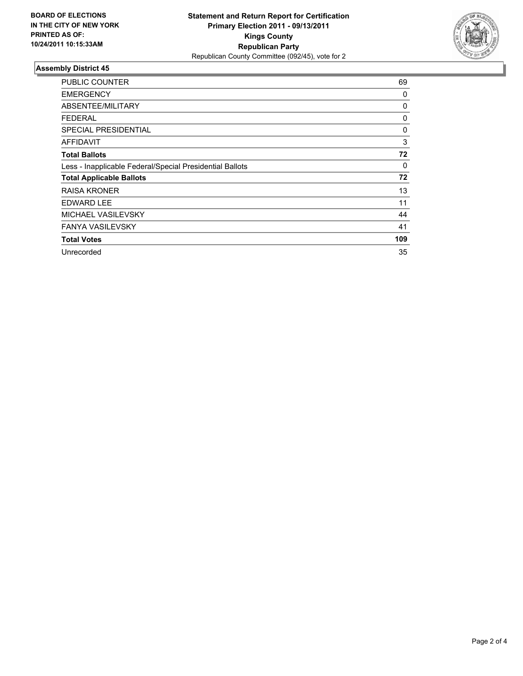

| <b>PUBLIC COUNTER</b>                                    | 69  |
|----------------------------------------------------------|-----|
| <b>EMERGENCY</b>                                         | 0   |
| ABSENTEE/MILITARY                                        | 0   |
| <b>FEDERAL</b>                                           | 0   |
| <b>SPECIAL PRESIDENTIAL</b>                              | 0   |
| AFFIDAVIT                                                | 3   |
| <b>Total Ballots</b>                                     | 72  |
| Less - Inapplicable Federal/Special Presidential Ballots | 0   |
| <b>Total Applicable Ballots</b>                          | 72  |
| <b>RAISA KRONER</b>                                      | 13  |
| <b>EDWARD LEE</b>                                        | 11  |
| <b>MICHAEL VASILEVSKY</b>                                | 44  |
| <b>FANYA VASILEVSKY</b>                                  | 41  |
| <b>Total Votes</b>                                       | 109 |
| Unrecorded                                               | 35  |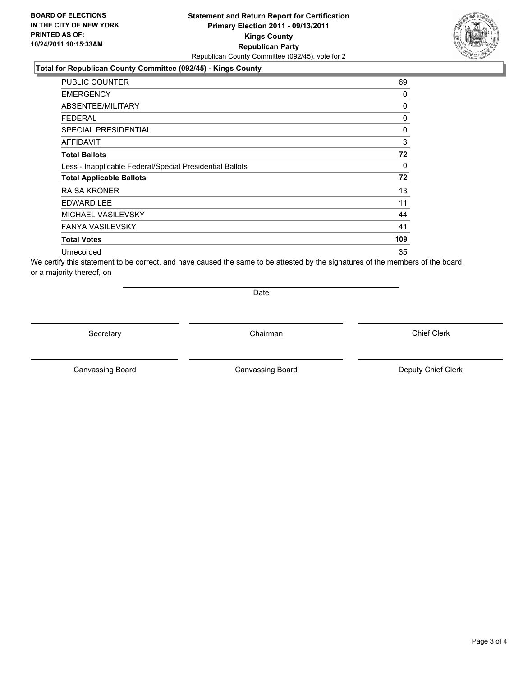#### **Statement and Return Report for Certification Primary Election 2011 - 09/13/2011 Kings County Republican Party** Republican County Committee (092/45), vote for 2

### **Total for Republican County Committee (092/45) - Kings County**

| <b>PUBLIC COUNTER</b>                                    | 69  |
|----------------------------------------------------------|-----|
| <b>EMERGENCY</b>                                         | 0   |
| ABSENTEE/MILITARY                                        | 0   |
| <b>FEDERAL</b>                                           | 0   |
| <b>SPECIAL PRESIDENTIAL</b>                              | 0   |
| <b>AFFIDAVIT</b>                                         | 3   |
| <b>Total Ballots</b>                                     | 72  |
| Less - Inapplicable Federal/Special Presidential Ballots | 0   |
| <b>Total Applicable Ballots</b>                          | 72  |
| <b>RAISA KRONER</b>                                      | 13  |
| <b>EDWARD LEE</b>                                        | 11  |
| MICHAEL VASILEVSKY                                       | 44  |
| <b>FANYA VASILEVSKY</b>                                  | 41  |
| <b>Total Votes</b>                                       | 109 |
| Unrecorded                                               | 35  |

We certify this statement to be correct, and have caused the same to be attested by the signatures of the members of the board, or a majority thereof, on

Date

Secretary **Chairman** 

Canvassing Board **Canvassing Board** Canvassing Board **Deputy Chief Clerk** 

Canvassing Board

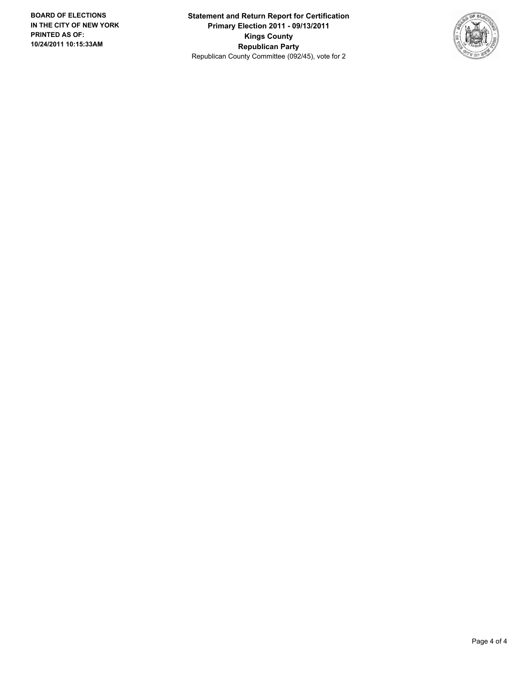**Statement and Return Report for Certification Primary Election 2011 - 09/13/2011 Kings County Republican Party** Republican County Committee (092/45), vote for 2

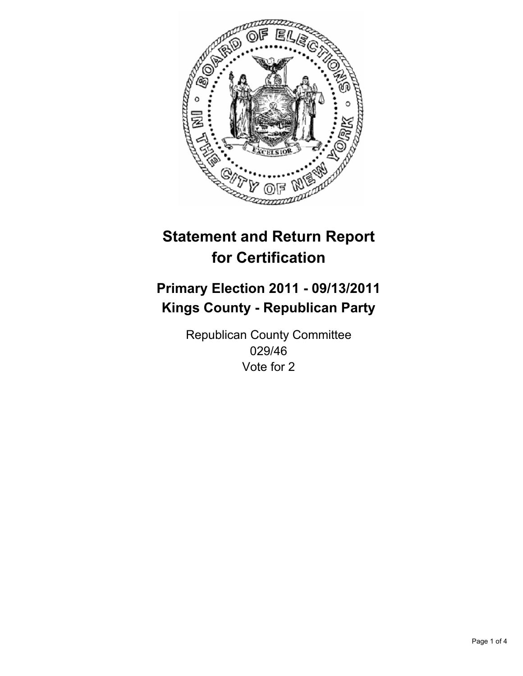

## **Primary Election 2011 - 09/13/2011 Kings County - Republican Party**

Republican County Committee 029/46 Vote for 2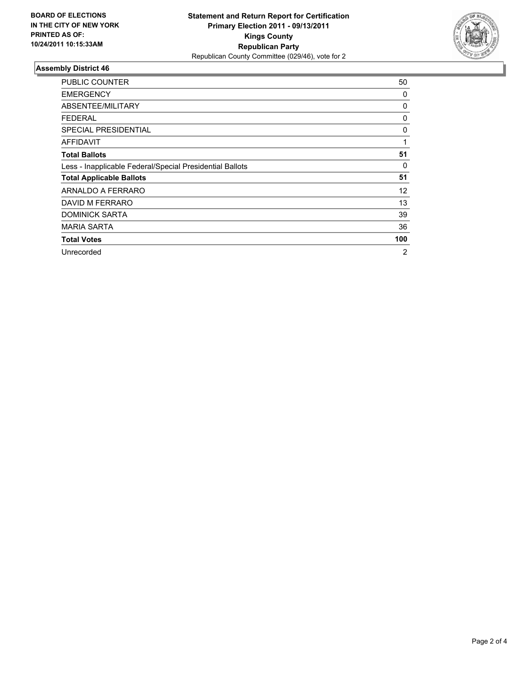

| <b>PUBLIC COUNTER</b>                                    | 50  |
|----------------------------------------------------------|-----|
| <b>EMERGENCY</b>                                         | 0   |
| <b>ABSENTEE/MILITARY</b>                                 | 0   |
| <b>FEDERAL</b>                                           | 0   |
| <b>SPECIAL PRESIDENTIAL</b>                              | 0   |
| AFFIDAVIT                                                | 1   |
| <b>Total Ballots</b>                                     | 51  |
| Less - Inapplicable Federal/Special Presidential Ballots | 0   |
| <b>Total Applicable Ballots</b>                          | 51  |
| ARNALDO A FERRARO                                        | 12  |
| DAVID M FERRARO                                          | 13  |
| <b>DOMINICK SARTA</b>                                    | 39  |
| <b>MARIA SARTA</b>                                       | 36  |
| <b>Total Votes</b>                                       | 100 |
| Unrecorded                                               | 2   |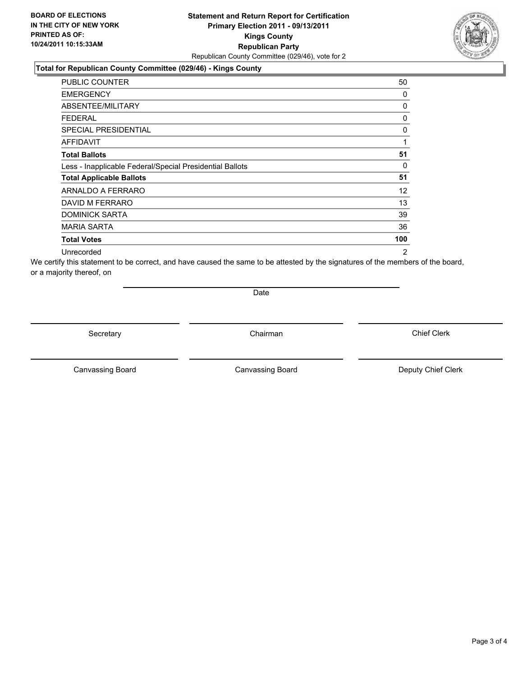#### **Total for Republican County Committee (029/46) - Kings County**

| <b>PUBLIC COUNTER</b>                                    | 50  |
|----------------------------------------------------------|-----|
| <b>EMERGENCY</b>                                         | 0   |
| ABSENTEE/MILITARY                                        | 0   |
| <b>FEDERAL</b>                                           | 0   |
| SPECIAL PRESIDENTIAL                                     | 0   |
| AFFIDAVIT                                                | 1   |
| <b>Total Ballots</b>                                     | 51  |
| Less - Inapplicable Federal/Special Presidential Ballots | 0   |
| <b>Total Applicable Ballots</b>                          | 51  |
| ARNALDO A FERRARO                                        | 12  |
| DAVID M FERRARO                                          | 13  |
| <b>DOMINICK SARTA</b>                                    | 39  |
| <b>MARIA SARTA</b>                                       | 36  |
| <b>Total Votes</b>                                       | 100 |
| Unrecorded                                               | 2   |

We certify this statement to be correct, and have caused the same to be attested by the signatures of the members of the board, or a majority thereof, on

Date

Secretary **Chairman** 

Canvassing Board **Canvassing Board** Canvassing Board **Deputy Chief Clerk** 

Canvassing Board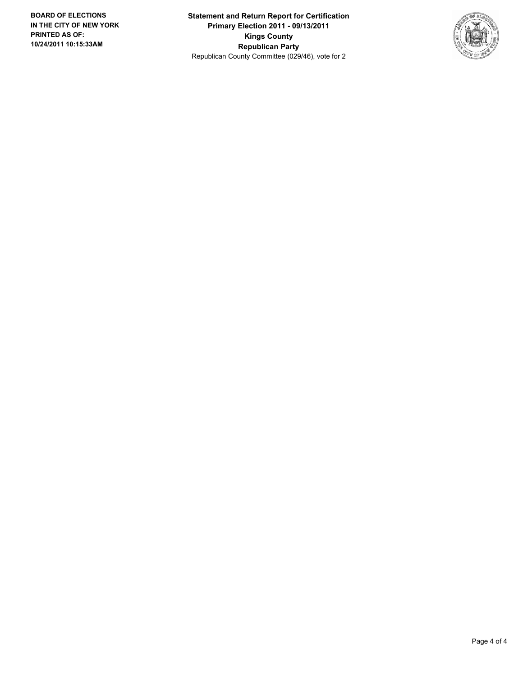**Statement and Return Report for Certification Primary Election 2011 - 09/13/2011 Kings County Republican Party** Republican County Committee (029/46), vote for 2

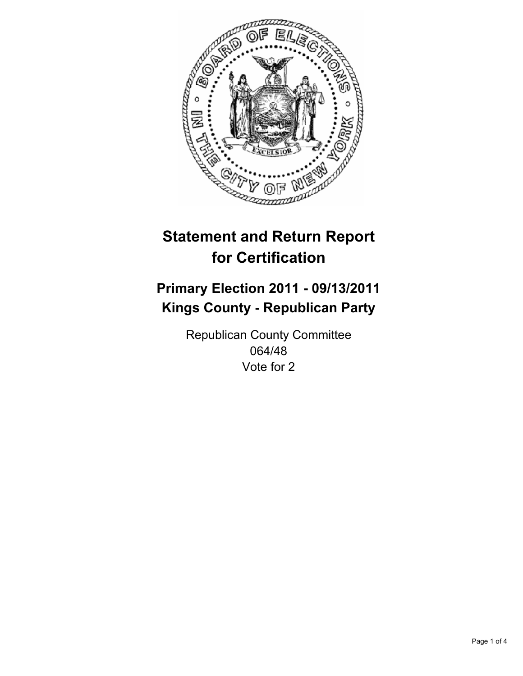

## **Primary Election 2011 - 09/13/2011 Kings County - Republican Party**

Republican County Committee 064/48 Vote for 2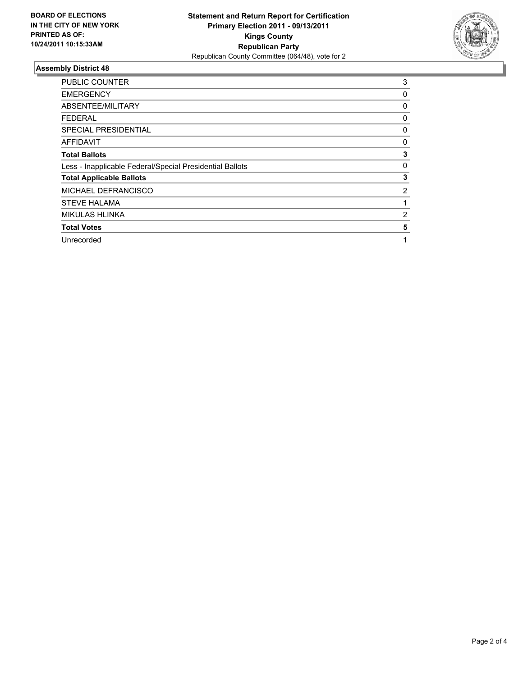

| <b>PUBLIC COUNTER</b>                                    | 3 |
|----------------------------------------------------------|---|
| <b>EMERGENCY</b>                                         | 0 |
| ABSENTEE/MILITARY                                        | 0 |
| <b>FEDERAL</b>                                           | 0 |
| <b>SPECIAL PRESIDENTIAL</b>                              | 0 |
| <b>AFFIDAVIT</b>                                         | 0 |
| <b>Total Ballots</b>                                     | 3 |
| Less - Inapplicable Federal/Special Presidential Ballots | 0 |
| <b>Total Applicable Ballots</b>                          | 3 |
| MICHAEL DEFRANCISCO                                      | 2 |
| <b>STEVE HALAMA</b>                                      |   |
| <b>MIKULAS HLINKA</b>                                    | 2 |
| <b>Total Votes</b>                                       | 5 |
| Unrecorded                                               | 1 |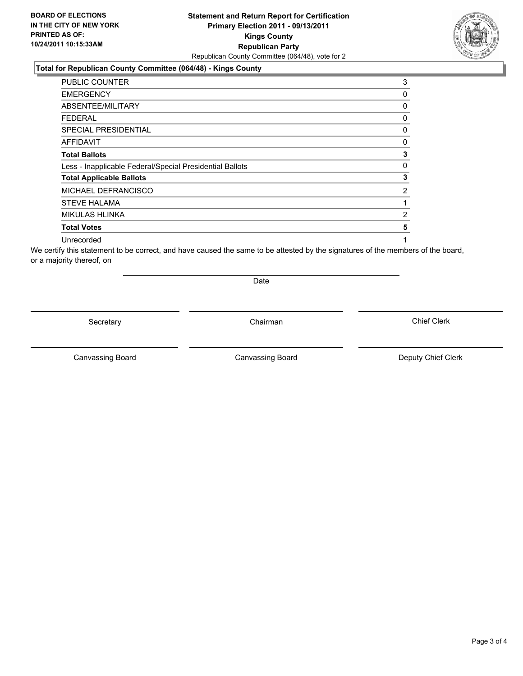### **Total for Republican County Committee (064/48) - Kings County**

| <b>PUBLIC COUNTER</b>                                    | 3 |
|----------------------------------------------------------|---|
| <b>EMERGENCY</b>                                         | 0 |
| ABSENTEE/MILITARY                                        | 0 |
| <b>FEDERAL</b>                                           | 0 |
| <b>SPECIAL PRESIDENTIAL</b>                              | 0 |
| <b>AFFIDAVIT</b>                                         | 0 |
| <b>Total Ballots</b>                                     | 3 |
| Less - Inapplicable Federal/Special Presidential Ballots | 0 |
| <b>Total Applicable Ballots</b>                          | 3 |
| MICHAEL DEFRANCISCO                                      | 2 |
| <b>STEVE HALAMA</b>                                      | 1 |
| <b>MIKULAS HLINKA</b>                                    | 2 |
| <b>Total Votes</b>                                       | 5 |
| Unrecorded                                               |   |

We certify this statement to be correct, and have caused the same to be attested by the signatures of the members of the board, or a majority thereof, on

Secretary **Chairman** 

Date

Canvassing Board **Canvassing Board** Canvassing Board **Deputy Chief Clerk** 

Canvassing Board

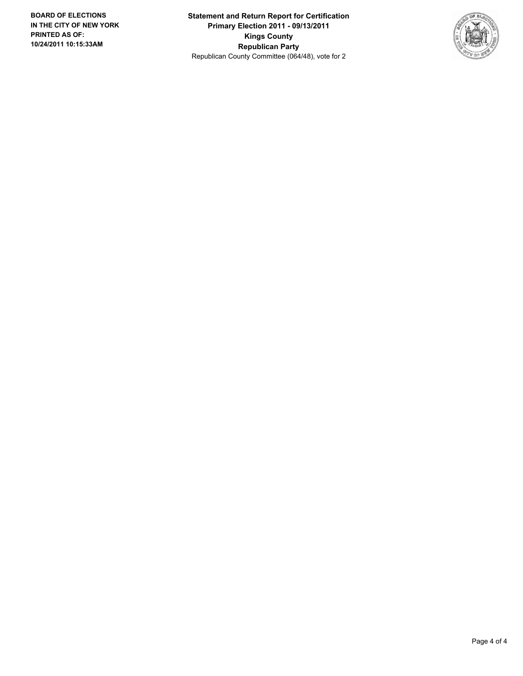**Statement and Return Report for Certification Primary Election 2011 - 09/13/2011 Kings County Republican Party** Republican County Committee (064/48), vote for 2

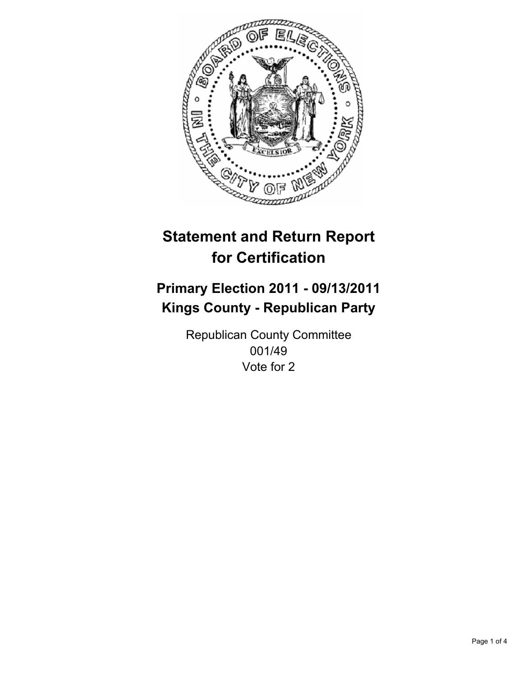

## **Primary Election 2011 - 09/13/2011 Kings County - Republican Party**

Republican County Committee 001/49 Vote for 2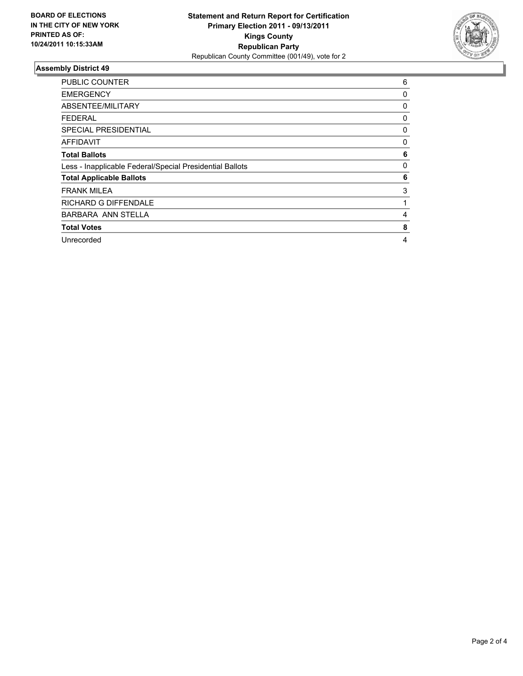

| <b>PUBLIC COUNTER</b>                                    | 6 |
|----------------------------------------------------------|---|
| <b>EMERGENCY</b>                                         | 0 |
| ABSENTEE/MILITARY                                        | 0 |
| <b>FEDERAL</b>                                           | 0 |
| <b>SPECIAL PRESIDENTIAL</b>                              | 0 |
| AFFIDAVIT                                                | 0 |
| <b>Total Ballots</b>                                     | 6 |
| Less - Inapplicable Federal/Special Presidential Ballots | 0 |
| <b>Total Applicable Ballots</b>                          | 6 |
| <b>FRANK MILEA</b>                                       | 3 |
| <b>RICHARD G DIFFENDALE</b>                              | 1 |
| <b>BARBARA ANN STELLA</b>                                | 4 |
| <b>Total Votes</b>                                       | 8 |
| Unrecorded                                               | 4 |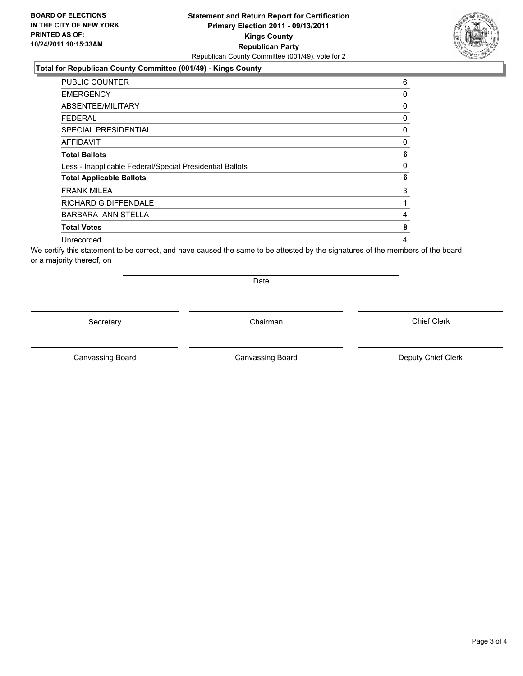### **Total for Republican County Committee (001/49) - Kings County**

| <b>PUBLIC COUNTER</b>                                    | 6            |
|----------------------------------------------------------|--------------|
| <b>EMERGENCY</b>                                         | 0            |
| ABSENTEE/MILITARY                                        | 0            |
| <b>FEDERAL</b>                                           | 0            |
| <b>SPECIAL PRESIDENTIAL</b>                              | 0            |
| <b>AFFIDAVIT</b>                                         | 0            |
| <b>Total Ballots</b>                                     | 6            |
| Less - Inapplicable Federal/Special Presidential Ballots | $\mathbf{0}$ |
| <b>Total Applicable Ballots</b>                          | 6            |
| <b>FRANK MILEA</b>                                       | 3            |
| <b>RICHARD G DIFFENDALE</b>                              | 1            |
| <b>BARBARA ANN STELLA</b>                                | 4            |
| <b>Total Votes</b>                                       | 8            |
| Unrecorded                                               | 4            |

We certify this statement to be correct, and have caused the same to be attested by the signatures of the members of the board, or a majority thereof, on

Secretary **Chairman** 

Date

Canvassing Board **Canvassing Board** Canvassing Board **Deputy Chief Clerk** 

Canvassing Board

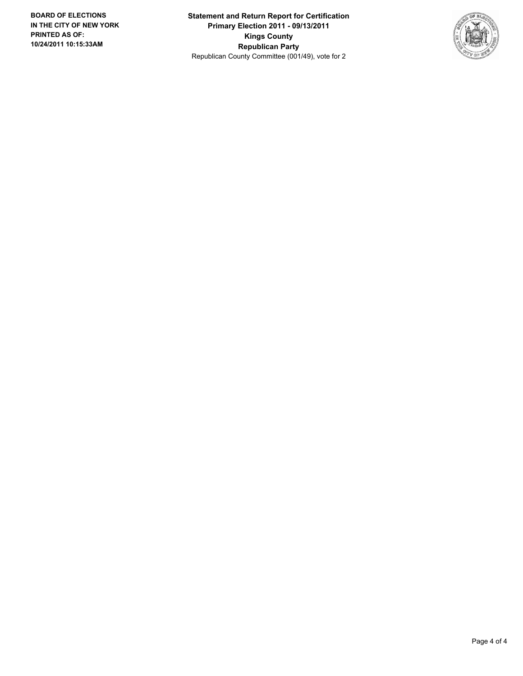**Statement and Return Report for Certification Primary Election 2011 - 09/13/2011 Kings County Republican Party** Republican County Committee (001/49), vote for 2

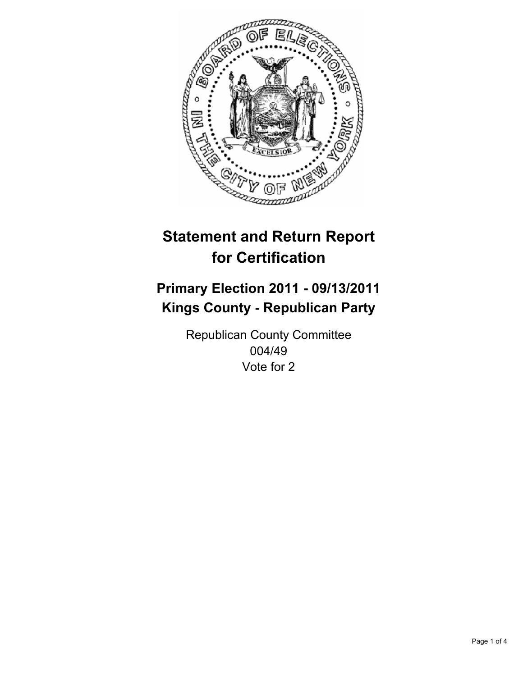

## **Primary Election 2011 - 09/13/2011 Kings County - Republican Party**

Republican County Committee 004/49 Vote for 2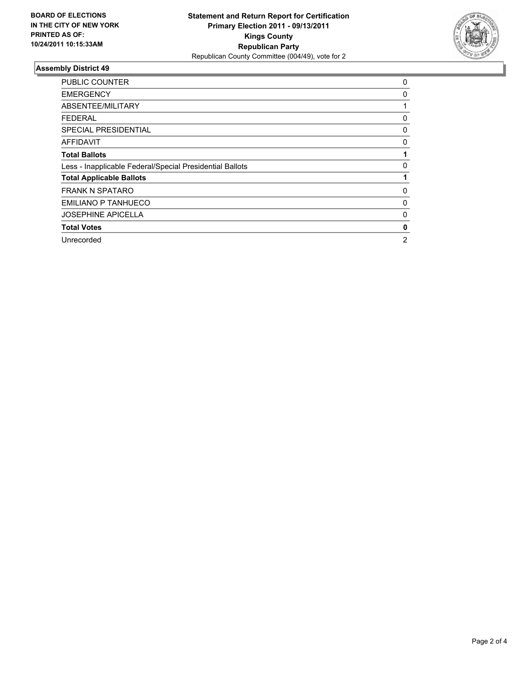

| <b>PUBLIC COUNTER</b>                                    | 0              |
|----------------------------------------------------------|----------------|
| <b>EMERGENCY</b>                                         | 0              |
| ABSENTEE/MILITARY                                        |                |
| <b>FEDERAL</b>                                           | 0              |
| <b>SPECIAL PRESIDENTIAL</b>                              | 0              |
| <b>AFFIDAVIT</b>                                         | 0              |
| <b>Total Ballots</b>                                     |                |
| Less - Inapplicable Federal/Special Presidential Ballots | 0              |
| <b>Total Applicable Ballots</b>                          |                |
| <b>FRANK N SPATARO</b>                                   | 0              |
| EMILIANO P TANHUECO                                      | 0              |
| <b>JOSEPHINE APICELLA</b>                                | 0              |
| <b>Total Votes</b>                                       | 0              |
| Unrecorded                                               | $\overline{2}$ |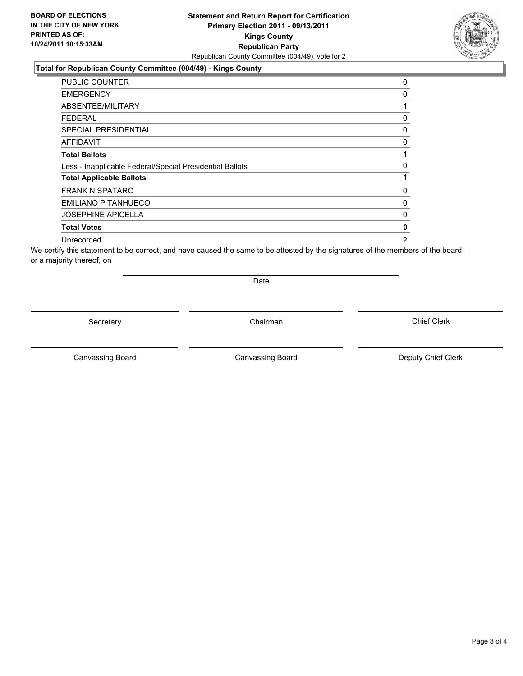### **Total for Republican County Committee (004/49) - Kings County**

| PUBLIC COUNTER                                           | 0 |
|----------------------------------------------------------|---|
| <b>EMERGENCY</b>                                         | 0 |
| ABSENTEE/MILITARY                                        |   |
| FEDERAL                                                  | 0 |
| <b>SPECIAL PRESIDENTIAL</b>                              | 0 |
| <b>AFFIDAVIT</b>                                         | 0 |
| <b>Total Ballots</b>                                     | 1 |
| Less - Inapplicable Federal/Special Presidential Ballots | 0 |
| <b>Total Applicable Ballots</b>                          | 1 |
| <b>FRANK N SPATARO</b>                                   | 0 |
| EMILIANO P TANHUECO                                      | 0 |
| <b>JOSEPHINE APICELLA</b>                                | 0 |
| <b>Total Votes</b>                                       | 0 |
| Unrecorded                                               | 2 |

We certify this statement to be correct, and have caused the same to be attested by the signatures of the members of the board, or a majority thereof, on

Secretary **Chairman** 

Date

Canvassing Board

Canvassing Board **Canvassing Board** Canvassing Board **Deputy Chief Clerk** 

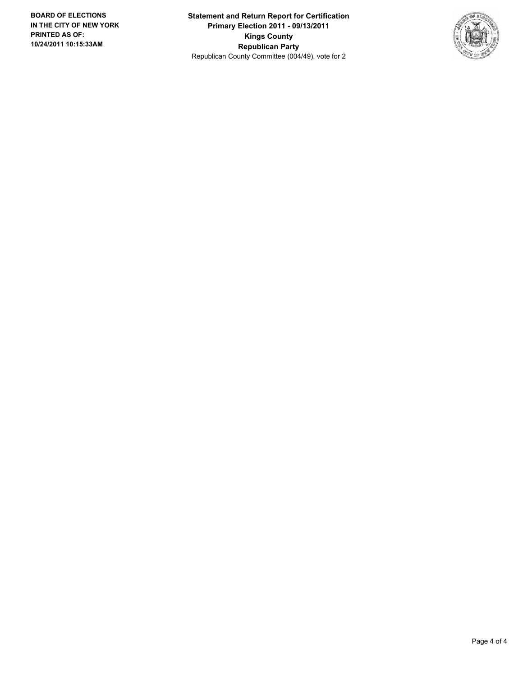**Statement and Return Report for Certification Primary Election 2011 - 09/13/2011 Kings County Republican Party** Republican County Committee (004/49), vote for 2

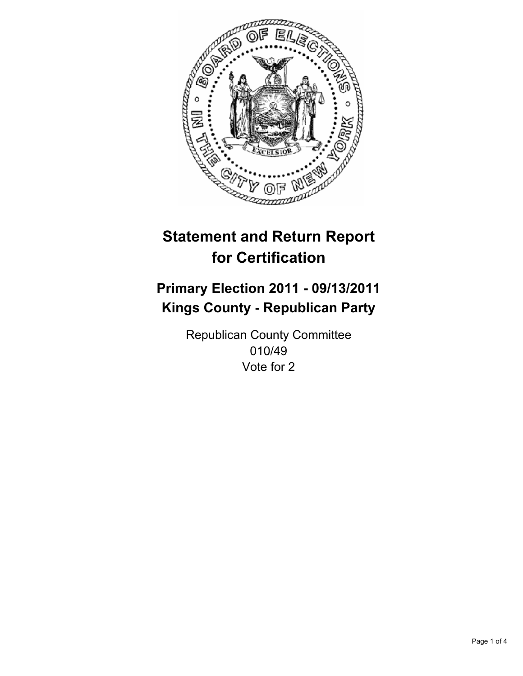

## **Primary Election 2011 - 09/13/2011 Kings County - Republican Party**

Republican County Committee 010/49 Vote for 2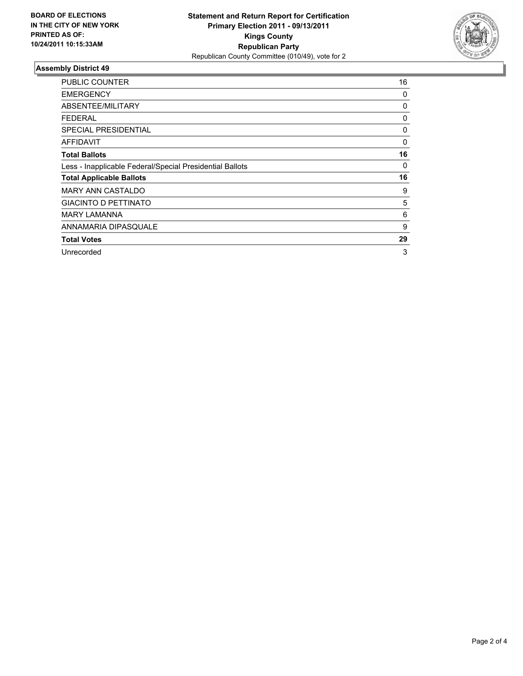

| <b>PUBLIC COUNTER</b>                                    | 16 |
|----------------------------------------------------------|----|
| <b>EMERGENCY</b>                                         | 0  |
| ABSENTEE/MILITARY                                        | 0  |
| <b>FEDERAL</b>                                           | 0  |
| <b>SPECIAL PRESIDENTIAL</b>                              | 0  |
| AFFIDAVIT                                                | 0  |
| <b>Total Ballots</b>                                     | 16 |
| Less - Inapplicable Federal/Special Presidential Ballots | 0  |
| <b>Total Applicable Ballots</b>                          | 16 |
| <b>MARY ANN CASTALDO</b>                                 | 9  |
| <b>GIACINTO D PETTINATO</b>                              | 5  |
| <b>MARY LAMANNA</b>                                      | 6  |
| ANNAMARIA DIPASQUALE                                     | 9  |
| <b>Total Votes</b>                                       | 29 |
| Unrecorded                                               | 3  |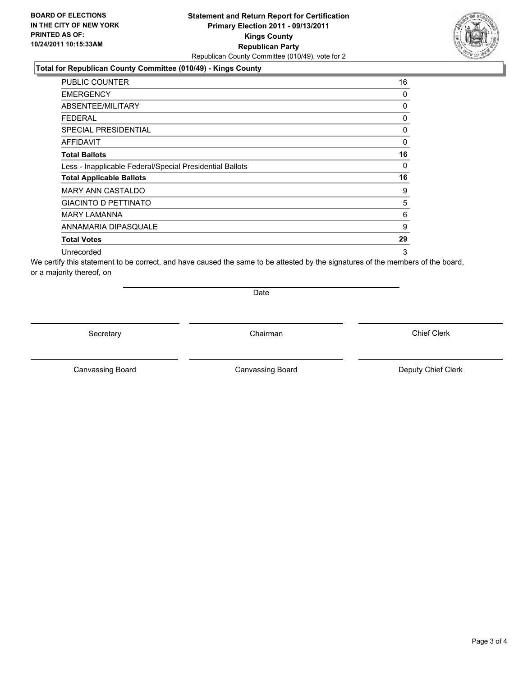#### **Total for Republican County Committee (010/49) - Kings County**

| <b>PUBLIC COUNTER</b>                                    | 16 |
|----------------------------------------------------------|----|
| <b>EMERGENCY</b>                                         | 0  |
| ABSENTEE/MILITARY                                        | 0  |
| FEDERAL                                                  | 0  |
| <b>SPECIAL PRESIDENTIAL</b>                              | 0  |
| AFFIDAVIT                                                | 0  |
| <b>Total Ballots</b>                                     | 16 |
| Less - Inapplicable Federal/Special Presidential Ballots | 0  |
| <b>Total Applicable Ballots</b>                          | 16 |
| <b>MARY ANN CASTALDO</b>                                 | 9  |
| <b>GIACINTO D PETTINATO</b>                              | 5  |
| <b>MARY LAMANNA</b>                                      | 6  |
| ANNAMARIA DIPASQUALE                                     | 9  |
| <b>Total Votes</b>                                       | 29 |
| Unrecorded                                               | 3  |

We certify this statement to be correct, and have caused the same to be attested by the signatures of the members of the board, or a majority thereof, on

Date

Secretary **Chairman** 

Canvassing Board **Canvassing Board** Canvassing Board **Deputy Chief Clerk** 

Canvassing Board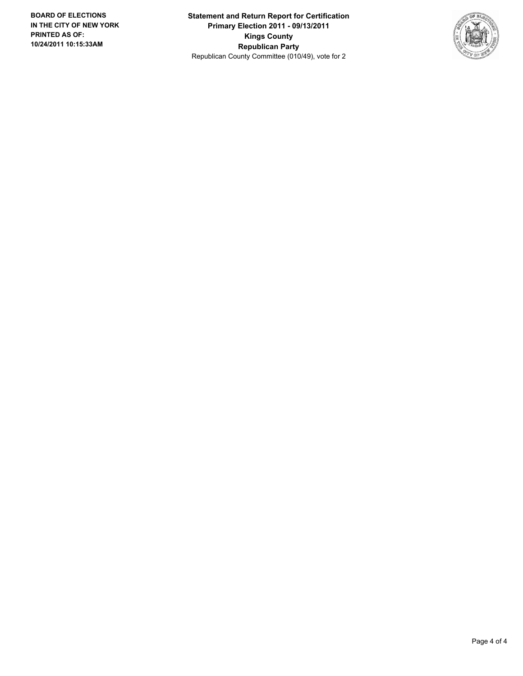**Statement and Return Report for Certification Primary Election 2011 - 09/13/2011 Kings County Republican Party** Republican County Committee (010/49), vote for 2

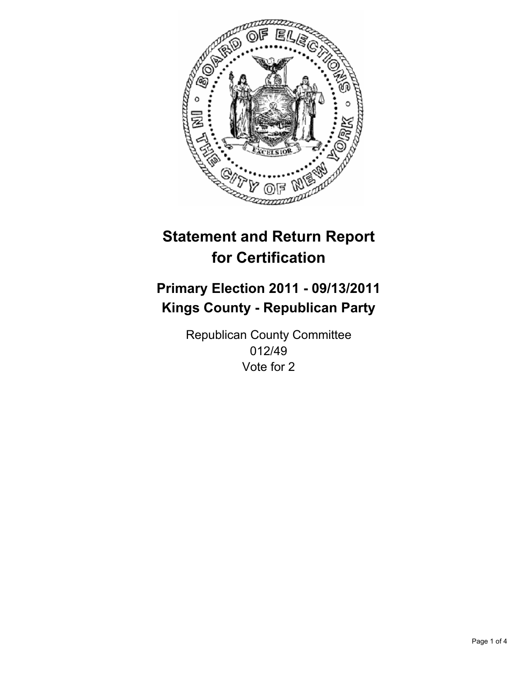

## **Primary Election 2011 - 09/13/2011 Kings County - Republican Party**

Republican County Committee 012/49 Vote for 2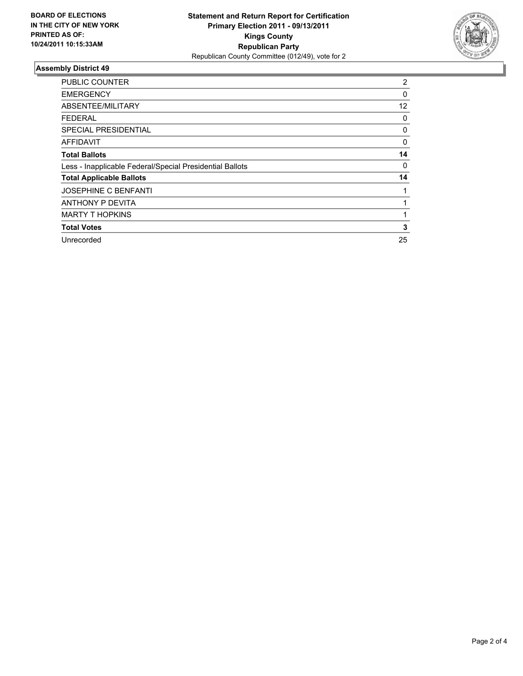

| <b>PUBLIC COUNTER</b>                                    | $\overline{2}$ |
|----------------------------------------------------------|----------------|
| <b>EMERGENCY</b>                                         | 0              |
| ABSENTEE/MILITARY                                        | 12             |
| <b>FEDERAL</b>                                           | 0              |
| <b>SPECIAL PRESIDENTIAL</b>                              | 0              |
| <b>AFFIDAVIT</b>                                         | 0              |
| <b>Total Ballots</b>                                     | 14             |
| Less - Inapplicable Federal/Special Presidential Ballots | 0              |
| <b>Total Applicable Ballots</b>                          | 14             |
| <b>JOSEPHINE C BENFANTI</b>                              |                |
| <b>ANTHONY P DEVITA</b>                                  | 1              |
| <b>MARTY T HOPKINS</b>                                   |                |
| <b>Total Votes</b>                                       | 3              |
| Unrecorded                                               | 25             |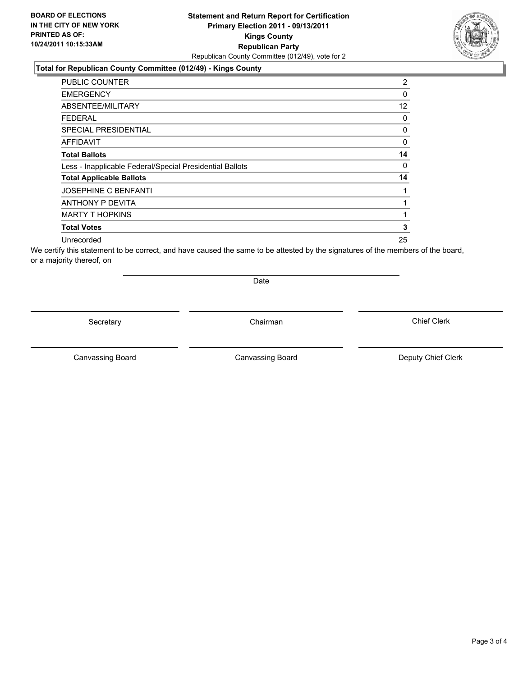### **Total for Republican County Committee (012/49) - Kings County**

| <b>PUBLIC COUNTER</b>                                    | 2  |
|----------------------------------------------------------|----|
| <b>EMERGENCY</b>                                         | 0  |
| ABSENTEE/MILITARY                                        | 12 |
| <b>FEDERAL</b>                                           | 0  |
| <b>SPECIAL PRESIDENTIAL</b>                              | 0  |
| AFFIDAVIT                                                | 0  |
| <b>Total Ballots</b>                                     | 14 |
| Less - Inapplicable Federal/Special Presidential Ballots | 0  |
| <b>Total Applicable Ballots</b>                          | 14 |
| JOSEPHINE C BENFANTI                                     |    |
| ANTHONY P DEVITA                                         |    |
| <b>MARTY T HOPKINS</b>                                   |    |
| <b>Total Votes</b>                                       | 3  |
| Unrecorded                                               | 25 |

We certify this statement to be correct, and have caused the same to be attested by the signatures of the members of the board, or a majority thereof, on

Secretary **Chairman** 

Date

Canvassing Board **Canvassing Board** Canvassing Board **Deputy Chief Clerk** 

Canvassing Board

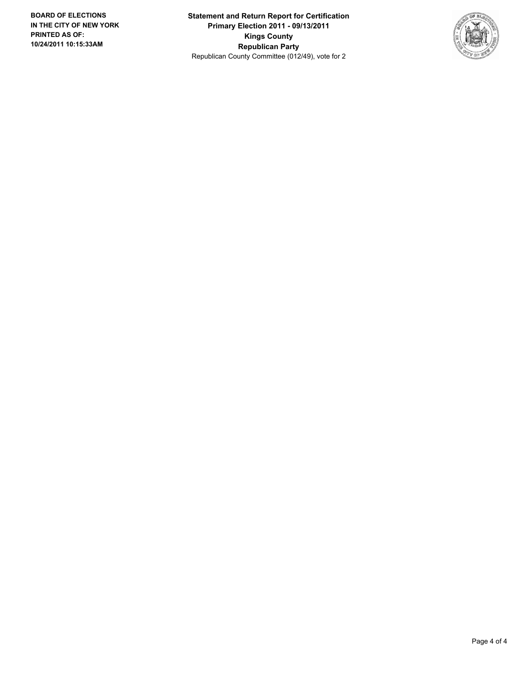**Statement and Return Report for Certification Primary Election 2011 - 09/13/2011 Kings County Republican Party** Republican County Committee (012/49), vote for 2

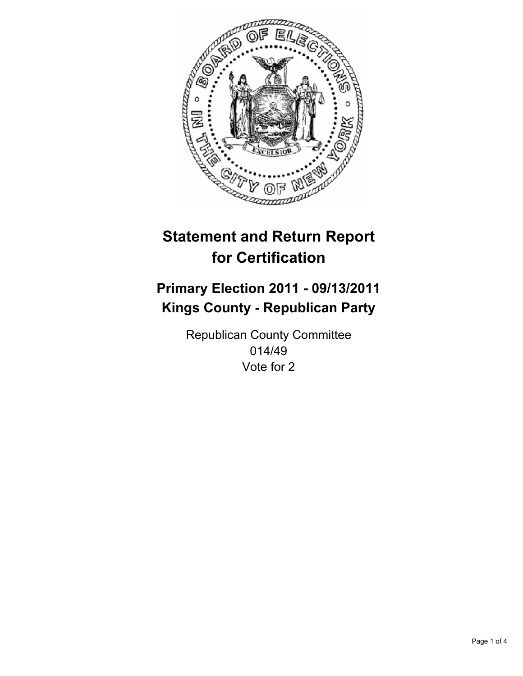

## **Primary Election 2011 - 09/13/2011 Kings County - Republican Party**

Republican County Committee 014/49 Vote for 2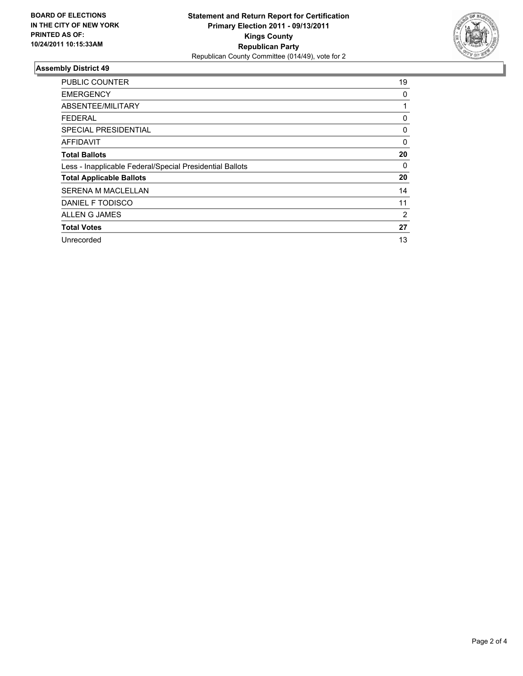

| <b>PUBLIC COUNTER</b>                                    | 19             |
|----------------------------------------------------------|----------------|
| <b>EMERGENCY</b>                                         | 0              |
| ABSENTEE/MILITARY                                        |                |
| <b>FEDERAL</b>                                           | 0              |
| SPECIAL PRESIDENTIAL                                     | 0              |
| <b>AFFIDAVIT</b>                                         | 0              |
| <b>Total Ballots</b>                                     | 20             |
| Less - Inapplicable Federal/Special Presidential Ballots | 0              |
| <b>Total Applicable Ballots</b>                          | 20             |
| SERENA M MACLELLAN                                       | 14             |
| DANIEL F TODISCO                                         | 11             |
| ALLEN G JAMES                                            | $\overline{2}$ |
| <b>Total Votes</b>                                       | 27             |
| Unrecorded                                               | 13             |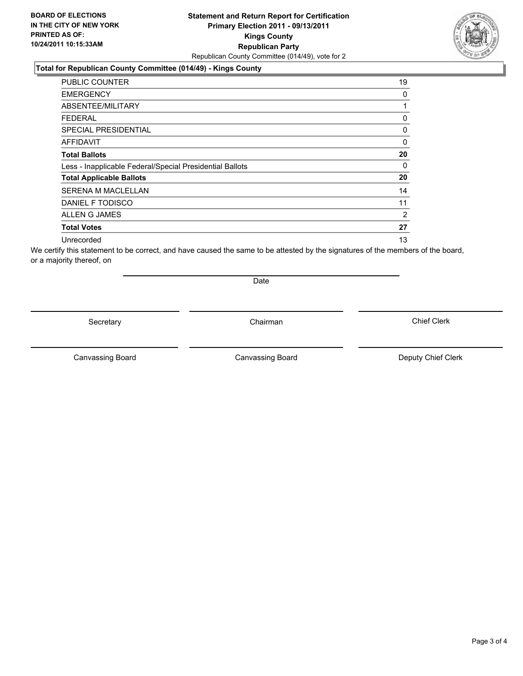### **Total for Republican County Committee (014/49) - Kings County**

| <b>PUBLIC COUNTER</b>                                    | 19             |
|----------------------------------------------------------|----------------|
| <b>EMERGENCY</b>                                         | 0              |
| ABSENTEE/MILITARY                                        | 1              |
| FEDERAL                                                  | 0              |
| <b>SPECIAL PRESIDENTIAL</b>                              | 0              |
| <b>AFFIDAVIT</b>                                         | 0              |
| <b>Total Ballots</b>                                     | 20             |
| Less - Inapplicable Federal/Special Presidential Ballots | 0              |
| <b>Total Applicable Ballots</b>                          | 20             |
| <b>SERENA M MACLELLAN</b>                                | 14             |
| DANIEL F TODISCO                                         | 11             |
| ALLEN G JAMES                                            | $\overline{2}$ |
| <b>Total Votes</b>                                       | 27             |
| Unrecorded                                               | 13             |

We certify this statement to be correct, and have caused the same to be attested by the signatures of the members of the board, or a majority thereof, on

Secretary **Chairman** 

Date

Canvassing Board **Canvassing Board** Canvassing Board **Deputy Chief Clerk** 

Canvassing Board

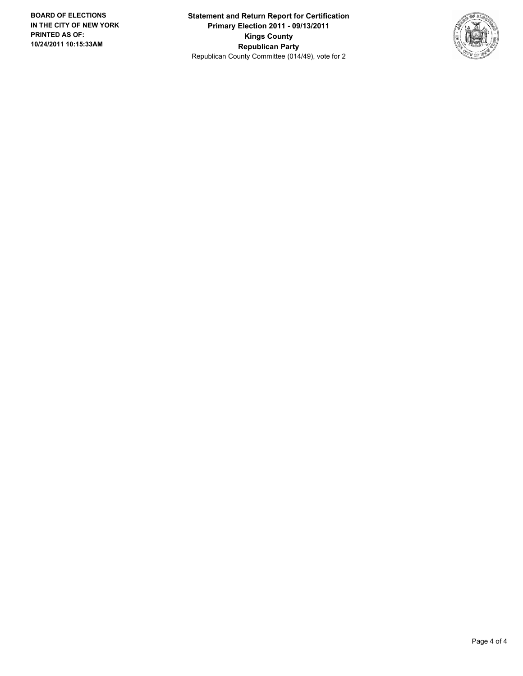**Statement and Return Report for Certification Primary Election 2011 - 09/13/2011 Kings County Republican Party** Republican County Committee (014/49), vote for 2

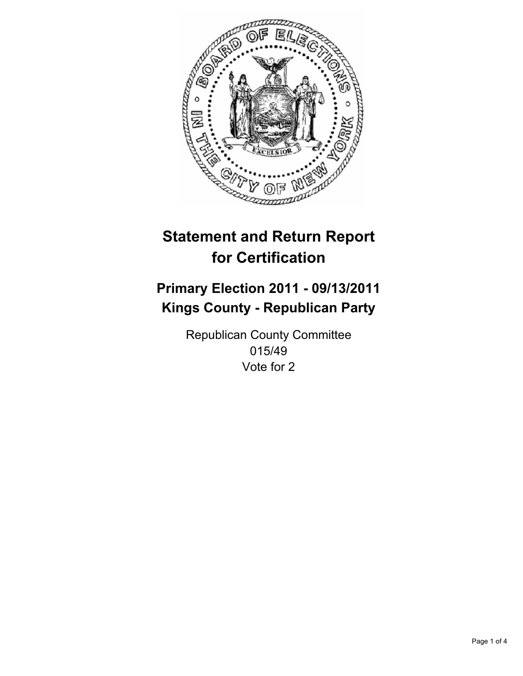

## **Primary Election 2011 - 09/13/2011 Kings County - Republican Party**

Republican County Committee 015/49 Vote for 2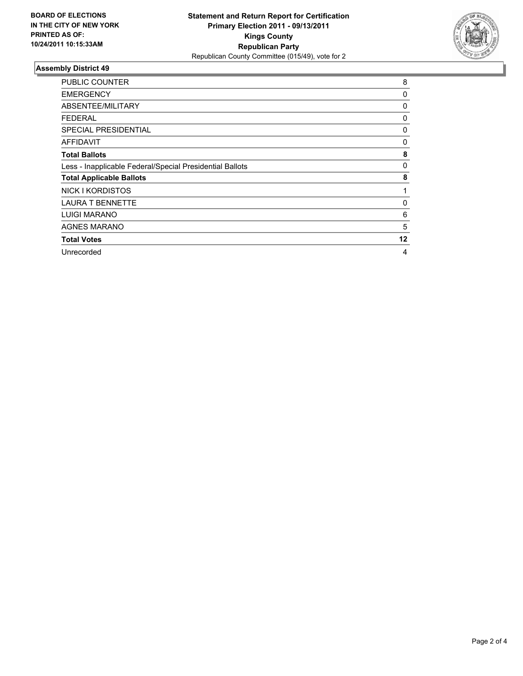

| <b>PUBLIC COUNTER</b>                                    | 8  |
|----------------------------------------------------------|----|
| <b>EMERGENCY</b>                                         | 0  |
| ABSENTEE/MILITARY                                        | 0  |
| <b>FEDERAL</b>                                           | 0  |
| <b>SPECIAL PRESIDENTIAL</b>                              | 0  |
| AFFIDAVIT                                                | 0  |
| <b>Total Ballots</b>                                     | 8  |
| Less - Inapplicable Federal/Special Presidential Ballots | 0  |
| <b>Total Applicable Ballots</b>                          | 8  |
| NICK I KORDISTOS                                         |    |
| <b>LAURA T BENNETTE</b>                                  | 0  |
| <b>LUIGI MARANO</b>                                      | 6  |
| <b>AGNES MARANO</b>                                      | 5  |
| <b>Total Votes</b>                                       | 12 |
| Unrecorded                                               | 4  |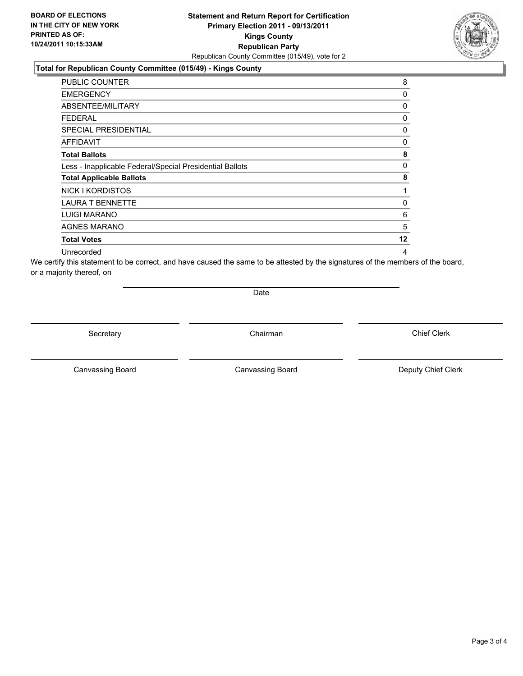### **Total for Republican County Committee (015/49) - Kings County**

| <b>PUBLIC COUNTER</b>                                    | 8        |
|----------------------------------------------------------|----------|
| <b>EMERGENCY</b>                                         | 0        |
| ABSENTEE/MILITARY                                        | 0        |
| <b>FEDERAL</b>                                           | 0        |
| <b>SPECIAL PRESIDENTIAL</b>                              | 0        |
| AFFIDAVIT                                                | $\Omega$ |
| <b>Total Ballots</b>                                     | 8        |
| Less - Inapplicable Federal/Special Presidential Ballots | 0        |
| <b>Total Applicable Ballots</b>                          | 8        |
| NICK I KORDISTOS                                         | 1        |
| <b>LAURA T BENNETTE</b>                                  | 0        |
| <b>LUIGI MARANO</b>                                      | 6        |
| <b>AGNES MARANO</b>                                      | 5        |
| <b>Total Votes</b>                                       | $12 \,$  |
| Unrecorded                                               | 4        |

We certify this statement to be correct, and have caused the same to be attested by the signatures of the members of the board, or a majority thereof, on

Date

Secretary **Chairman** 

Canvassing Board **Canvassing Board** Canvassing Board **Deputy Chief Clerk** 

Canvassing Board

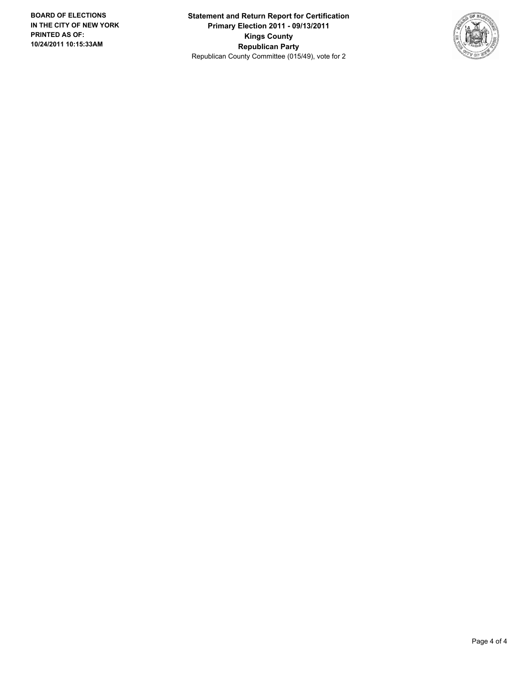**Statement and Return Report for Certification Primary Election 2011 - 09/13/2011 Kings County Republican Party** Republican County Committee (015/49), vote for 2

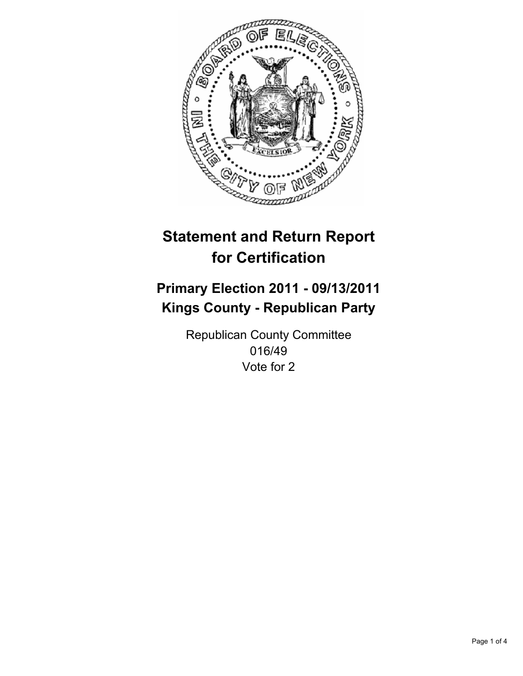

## **Primary Election 2011 - 09/13/2011 Kings County - Republican Party**

Republican County Committee 016/49 Vote for 2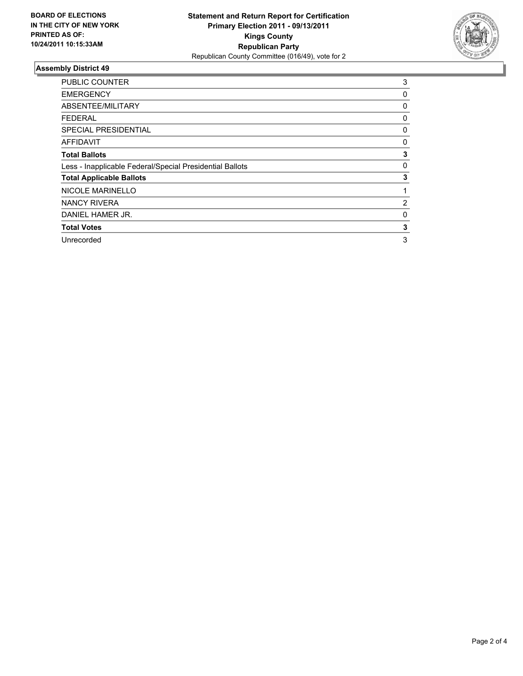

| <b>PUBLIC COUNTER</b>                                    | 3 |
|----------------------------------------------------------|---|
| <b>EMERGENCY</b>                                         | 0 |
| ABSENTEE/MILITARY                                        | 0 |
| FEDERAL                                                  | 0 |
| <b>SPECIAL PRESIDENTIAL</b>                              | 0 |
| AFFIDAVIT                                                | 0 |
| <b>Total Ballots</b>                                     | 3 |
| Less - Inapplicable Federal/Special Presidential Ballots | 0 |
| <b>Total Applicable Ballots</b>                          | 3 |
| <b>NICOLE MARINELLO</b>                                  | 1 |
| <b>NANCY RIVERA</b>                                      | 2 |
| DANIEL HAMER JR.                                         | 0 |
| <b>Total Votes</b>                                       | 3 |
| Unrecorded                                               | 3 |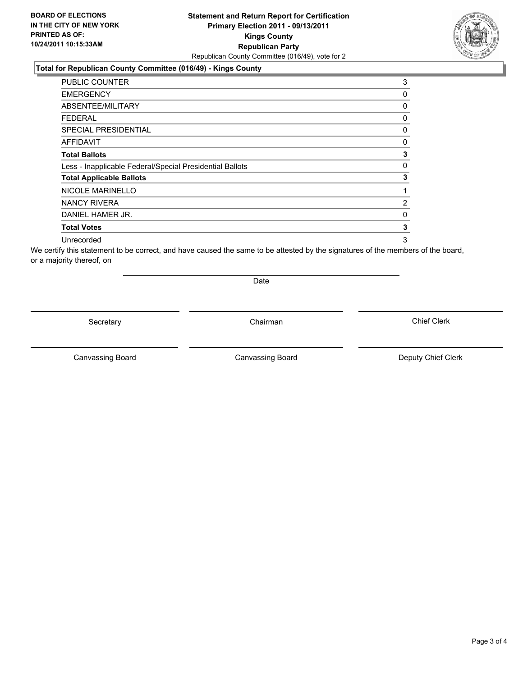### **Total for Republican County Committee (016/49) - Kings County**

| <b>PUBLIC COUNTER</b>                                    | 3              |
|----------------------------------------------------------|----------------|
| <b>EMERGENCY</b>                                         | 0              |
| ABSENTEE/MILITARY                                        | 0              |
| FEDERAL                                                  | 0              |
| <b>SPECIAL PRESIDENTIAL</b>                              | 0              |
| <b>AFFIDAVIT</b>                                         | 0              |
| <b>Total Ballots</b>                                     | 3              |
| Less - Inapplicable Federal/Special Presidential Ballots | 0              |
| <b>Total Applicable Ballots</b>                          | 3              |
| <b>NICOLE MARINELLO</b>                                  |                |
| NANCY RIVERA                                             | $\overline{2}$ |
| DANIEL HAMER JR.                                         | 0              |
| <b>Total Votes</b>                                       | 3              |
| Unrecorded                                               | 3              |

We certify this statement to be correct, and have caused the same to be attested by the signatures of the members of the board, or a majority thereof, on

Secretary **Chairman** 

Date

Canvassing Board **Canvassing Board** Canvassing Board **Deputy Chief Clerk** 

Canvassing Board

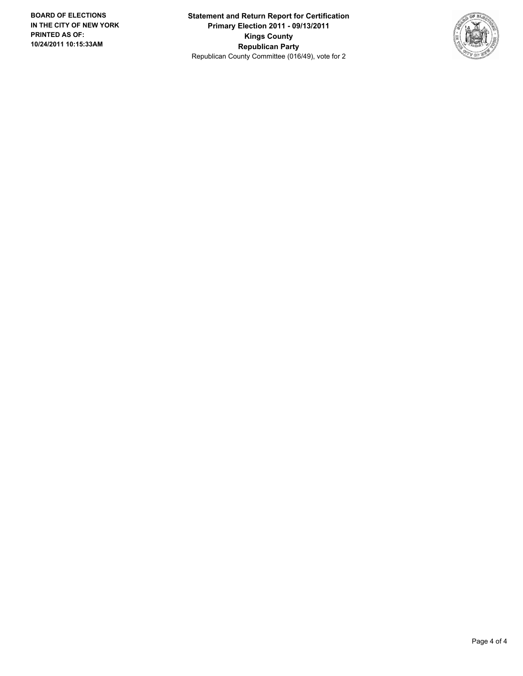**Statement and Return Report for Certification Primary Election 2011 - 09/13/2011 Kings County Republican Party** Republican County Committee (016/49), vote for 2

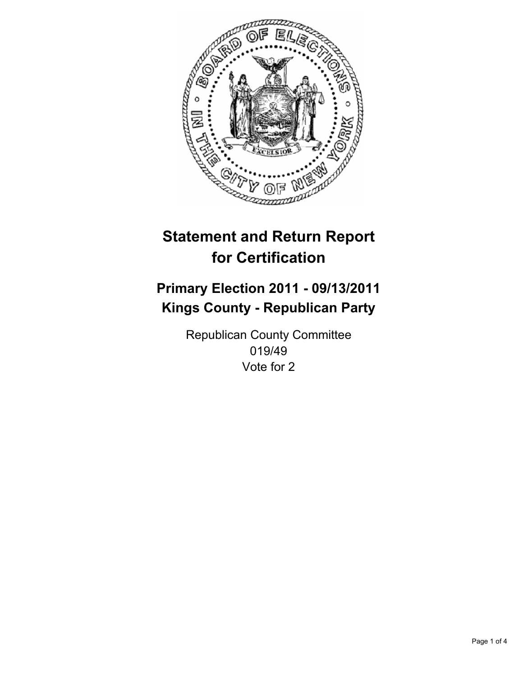

## **Primary Election 2011 - 09/13/2011 Kings County - Republican Party**

Republican County Committee 019/49 Vote for 2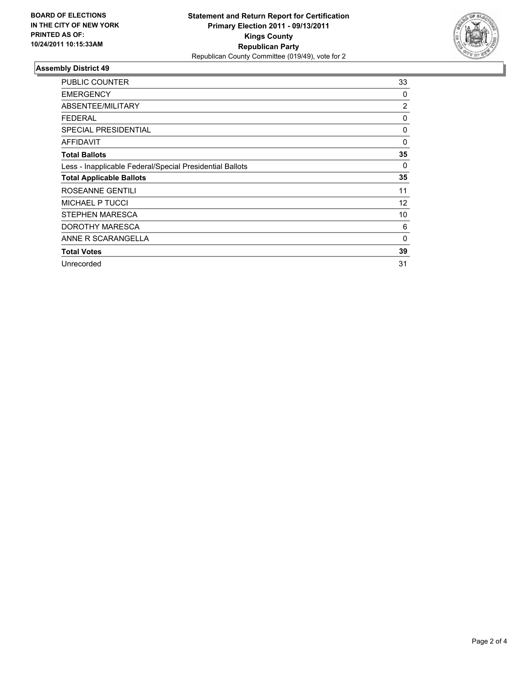

| <b>PUBLIC COUNTER</b>                                    | 33             |
|----------------------------------------------------------|----------------|
| <b>EMERGENCY</b>                                         | 0              |
| ABSENTEE/MILITARY                                        | $\overline{2}$ |
| <b>FEDERAL</b>                                           | 0              |
| <b>SPECIAL PRESIDENTIAL</b>                              | 0              |
| <b>AFFIDAVIT</b>                                         | 0              |
| <b>Total Ballots</b>                                     | 35             |
| Less - Inapplicable Federal/Special Presidential Ballots | 0              |
| <b>Total Applicable Ballots</b>                          | 35             |
| ROSEANNE GENTILI                                         | 11             |
| <b>MICHAEL P TUCCI</b>                                   | 12             |
| STEPHEN MARESCA                                          | 10             |
| DOROTHY MARESCA                                          | 6              |
| ANNE R SCARANGELLA                                       | 0              |
| <b>Total Votes</b>                                       | 39             |
| Unrecorded                                               | 31             |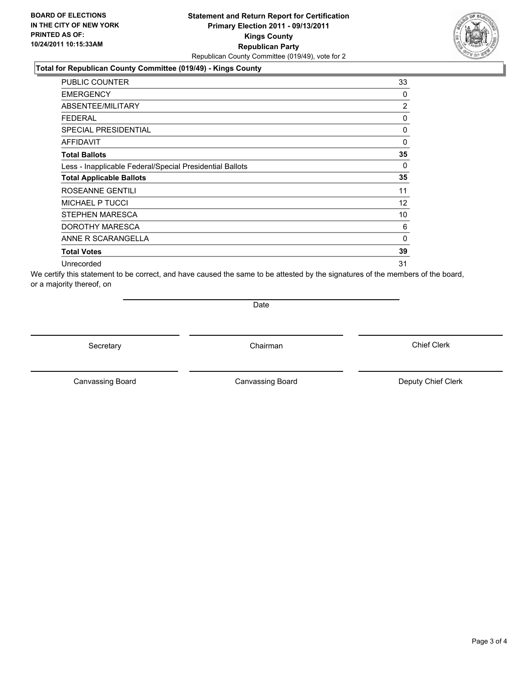### **Total for Republican County Committee (019/49) - Kings County**

| <b>PUBLIC COUNTER</b>                                    | 33             |
|----------------------------------------------------------|----------------|
| <b>EMERGENCY</b>                                         | 0              |
| ABSENTEE/MILITARY                                        | $\overline{2}$ |
| <b>FEDERAL</b>                                           | 0              |
| <b>SPECIAL PRESIDENTIAL</b>                              | 0              |
| <b>AFFIDAVIT</b>                                         | 0              |
| <b>Total Ballots</b>                                     | 35             |
| Less - Inapplicable Federal/Special Presidential Ballots | 0              |
| <b>Total Applicable Ballots</b>                          | 35             |
| ROSEANNE GENTILI                                         | 11             |
| <b>MICHAEL P TUCCI</b>                                   | 12             |
| STEPHEN MARESCA                                          | 10             |
| DOROTHY MARESCA                                          | 6              |
| ANNE R SCARANGELLA                                       | 0              |
| <b>Total Votes</b>                                       | 39             |
| Unrecorded                                               | 31             |

We certify this statement to be correct, and have caused the same to be attested by the signatures of the members of the board, or a majority thereof, on

**Date** 

Secretary **Chairman** 

Canvassing Board **Canvassing Board** Canvassing Board **Deputy Chief Clerk** 

Canvassing Board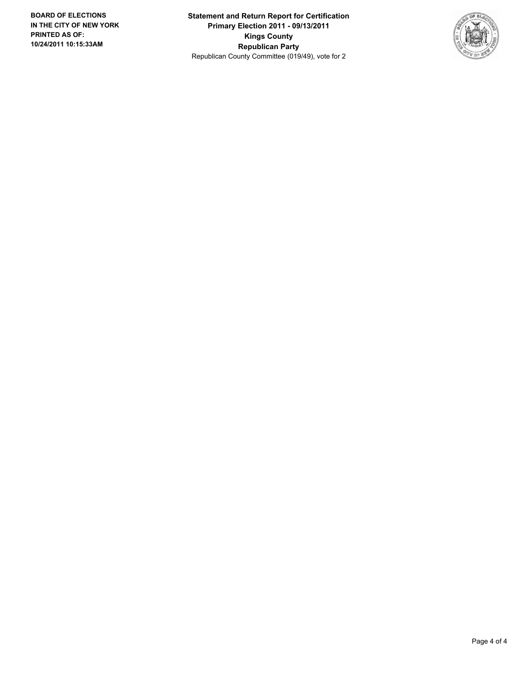**Statement and Return Report for Certification Primary Election 2011 - 09/13/2011 Kings County Republican Party** Republican County Committee (019/49), vote for 2

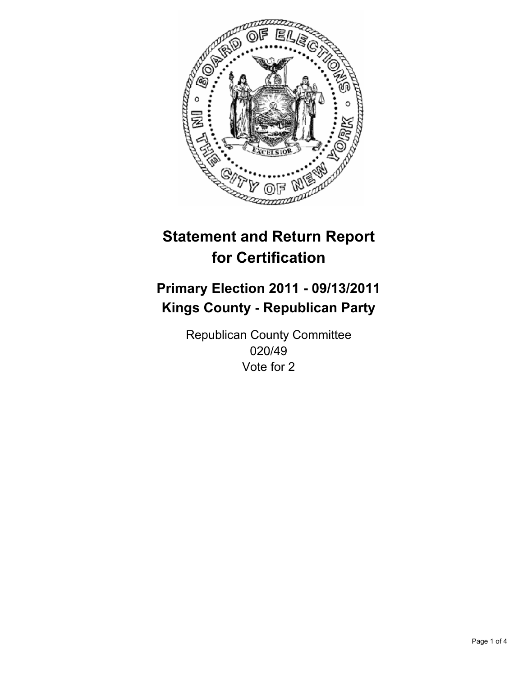

## **Primary Election 2011 - 09/13/2011 Kings County - Republican Party**

Republican County Committee 020/49 Vote for 2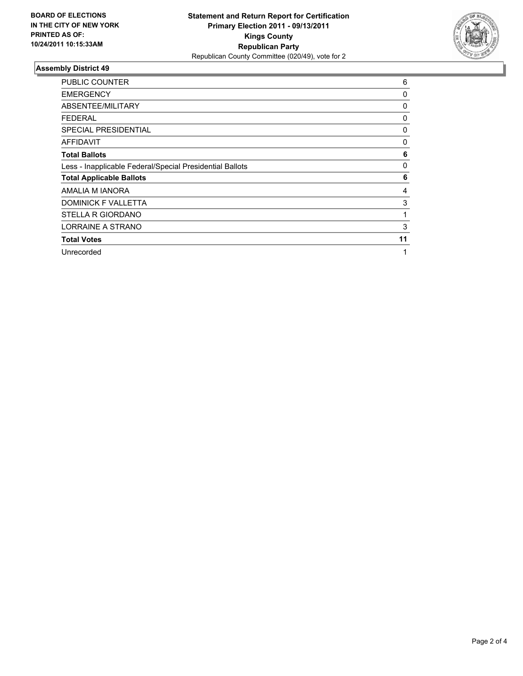

| <b>PUBLIC COUNTER</b>                                    | 6  |
|----------------------------------------------------------|----|
| <b>EMERGENCY</b>                                         | 0  |
| ABSENTEE/MILITARY                                        | 0  |
| <b>FEDERAL</b>                                           | 0  |
| <b>SPECIAL PRESIDENTIAL</b>                              | 0  |
| AFFIDAVIT                                                | 0  |
| <b>Total Ballots</b>                                     | 6  |
| Less - Inapplicable Federal/Special Presidential Ballots | 0  |
| <b>Total Applicable Ballots</b>                          | 6  |
| AMALIA M IANORA                                          | 4  |
| <b>DOMINICK F VALLETTA</b>                               | 3  |
| STELLA R GIORDANO                                        |    |
| LORRAINE A STRANO                                        | 3  |
| <b>Total Votes</b>                                       | 11 |
| Unrecorded                                               | 1  |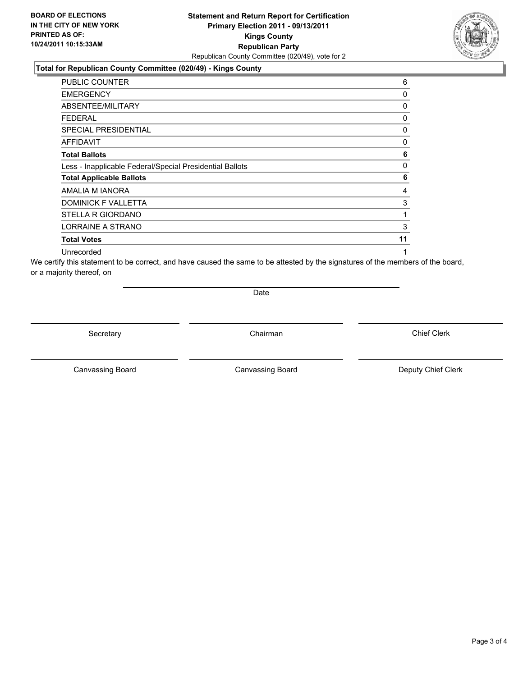#### **Total for Republican County Committee (020/49) - Kings County**

| <b>PUBLIC COUNTER</b>                                    | 6  |
|----------------------------------------------------------|----|
| <b>EMERGENCY</b>                                         | 0  |
| ABSENTEE/MILITARY                                        | 0  |
| <b>FEDERAL</b>                                           | 0  |
| <b>SPECIAL PRESIDENTIAL</b>                              | 0  |
| AFFIDAVIT                                                | 0  |
| <b>Total Ballots</b>                                     | 6  |
| Less - Inapplicable Federal/Special Presidential Ballots | 0  |
| <b>Total Applicable Ballots</b>                          | 6  |
| AMALIA M IANORA                                          | 4  |
| DOMINICK F VALLETTA                                      | 3  |
| STELLA R GIORDANO                                        | 1  |
| LORRAINE A STRANO                                        | 3  |
| <b>Total Votes</b>                                       | 11 |
| Unrecorded                                               | 1  |

We certify this statement to be correct, and have caused the same to be attested by the signatures of the members of the board, or a majority thereof, on

Date

Secretary **Chairman** 

Canvassing Board

Canvassing Board **Canvassing Board** Canvassing Board **Deputy Chief Clerk** 

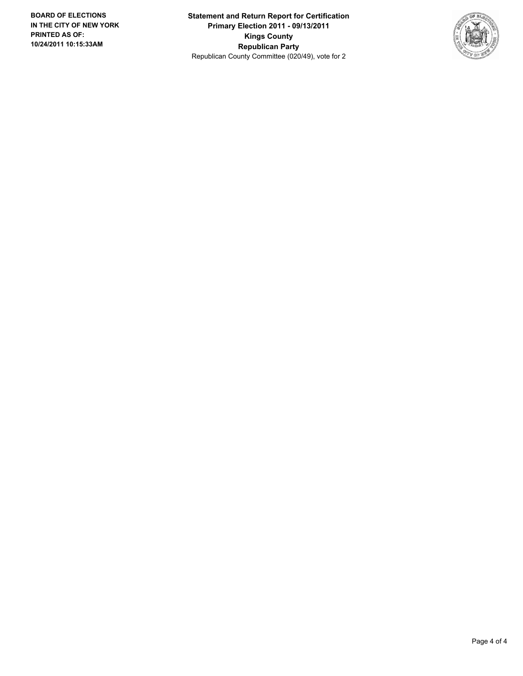**Statement and Return Report for Certification Primary Election 2011 - 09/13/2011 Kings County Republican Party** Republican County Committee (020/49), vote for 2

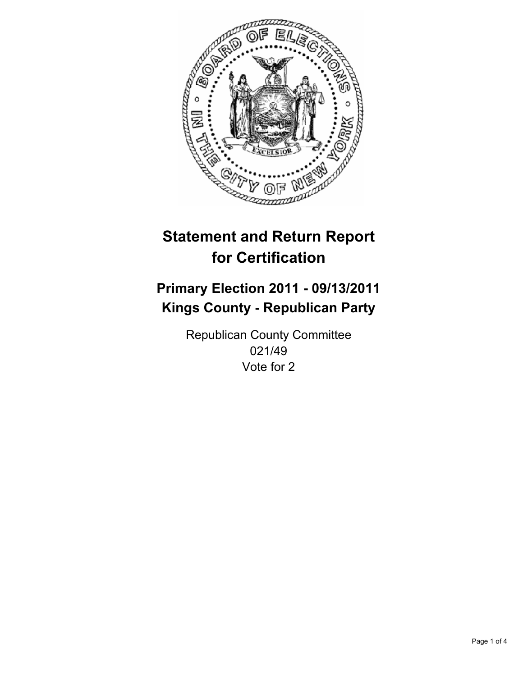

## **Primary Election 2011 - 09/13/2011 Kings County - Republican Party**

Republican County Committee 021/49 Vote for 2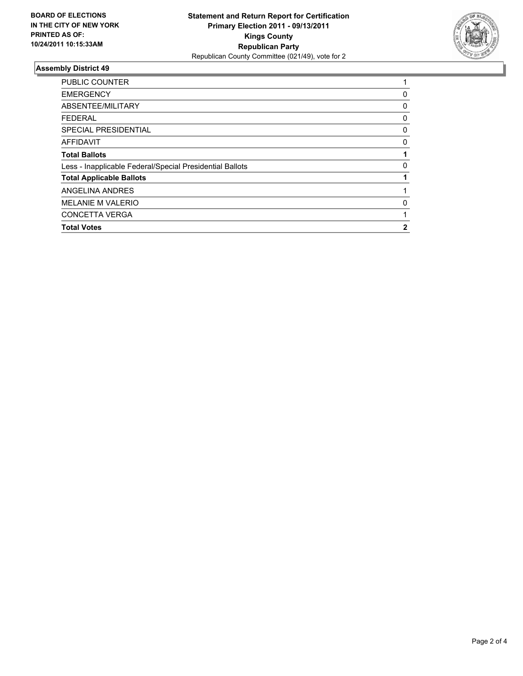

| <b>Total Votes</b>                                       | 2 |
|----------------------------------------------------------|---|
| <b>CONCETTA VERGA</b>                                    |   |
| <b>MELANIE M VALERIO</b>                                 | 0 |
| ANGELINA ANDRES                                          |   |
| <b>Total Applicable Ballots</b>                          |   |
| Less - Inapplicable Federal/Special Presidential Ballots | 0 |
| <b>Total Ballots</b>                                     |   |
| AFFIDAVIT                                                | 0 |
| SPECIAL PRESIDENTIAL                                     | 0 |
| <b>FEDERAL</b>                                           | 0 |
| ABSENTEE/MILITARY                                        | 0 |
| <b>EMERGENCY</b>                                         | 0 |
| <b>PUBLIC COUNTER</b>                                    |   |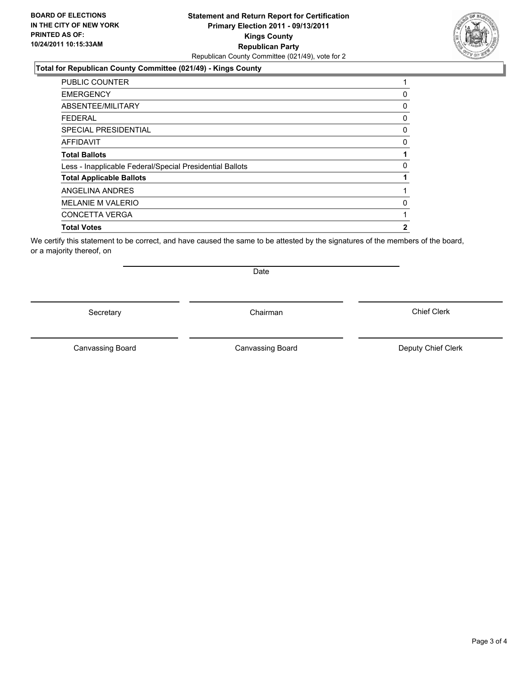### **Statement and Return Report for Certification Primary Election 2011 - 09/13/2011 Kings County Republican Party** Republican County Committee (021/49), vote for 2

#### **Total for Republican County Committee (021/49) - Kings County**

| <b>PUBLIC COUNTER</b>                                    | 1 |
|----------------------------------------------------------|---|
| <b>EMERGENCY</b>                                         | 0 |
| ABSENTEE/MILITARY                                        | 0 |
| FEDERAL                                                  | 0 |
| <b>SPECIAL PRESIDENTIAL</b>                              | 0 |
| <b>AFFIDAVIT</b>                                         | 0 |
| <b>Total Ballots</b>                                     | 1 |
| Less - Inapplicable Federal/Special Presidential Ballots | 0 |
| <b>Total Applicable Ballots</b>                          | 1 |
| ANGELINA ANDRES                                          | 1 |
| <b>MELANIE M VALERIO</b>                                 | 0 |
| <b>CONCETTA VERGA</b>                                    |   |
| <b>Total Votes</b>                                       | 2 |

We certify this statement to be correct, and have caused the same to be attested by the signatures of the members of the board, or a majority thereof, on

Secretary Chairman

Date

Canvassing Board

Canvassing Board **Canvassing Board** Canvassing Board **Deputy Chief Clerk**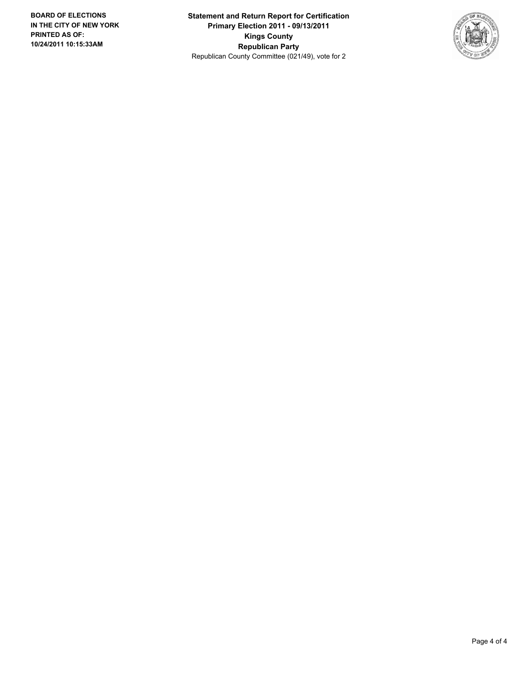**Statement and Return Report for Certification Primary Election 2011 - 09/13/2011 Kings County Republican Party** Republican County Committee (021/49), vote for 2

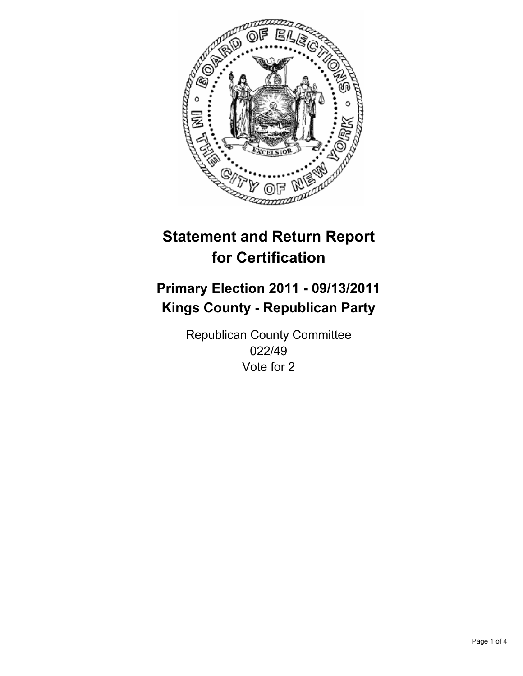

## **Primary Election 2011 - 09/13/2011 Kings County - Republican Party**

Republican County Committee 022/49 Vote for 2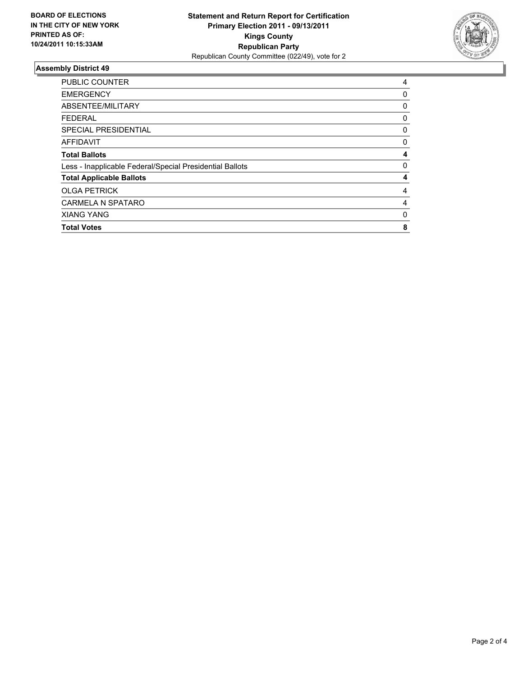

| <b>Total Votes</b>                                       | 8            |
|----------------------------------------------------------|--------------|
| <b>XIANG YANG</b>                                        | 0            |
| <b>CARMELA N SPATARO</b>                                 | 4            |
| <b>OLGA PETRICK</b>                                      | 4            |
| <b>Total Applicable Ballots</b>                          | 4            |
| Less - Inapplicable Federal/Special Presidential Ballots | $\mathbf{0}$ |
| <b>Total Ballots</b>                                     | 4            |
| <b>AFFIDAVIT</b>                                         | 0            |
| SPECIAL PRESIDENTIAL                                     | 0            |
| <b>FEDERAL</b>                                           | 0            |
| ABSENTEE/MILITARY                                        | 0            |
| <b>EMERGENCY</b>                                         | 0            |
| PUBLIC COUNTER                                           | 4            |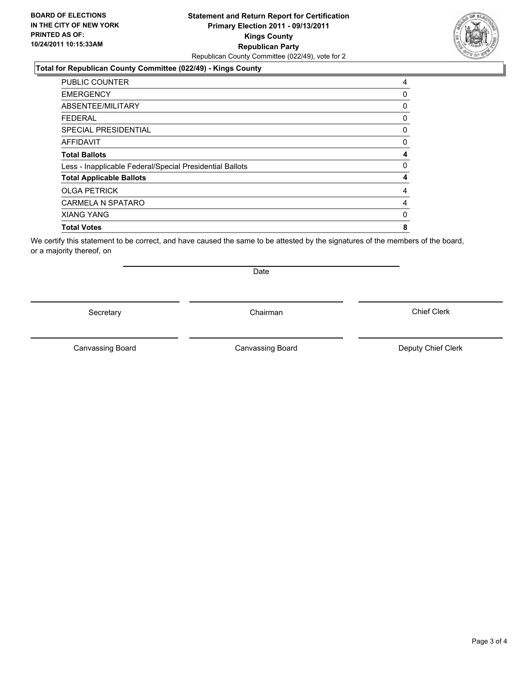### **Statement and Return Report for Certification Primary Election 2011 - 09/13/2011 Kings County Republican Party** Republican County Committee (022/49), vote for 2

#### **Total for Republican County Committee (022/49) - Kings County**

| PUBLIC COUNTER                                           | 4 |
|----------------------------------------------------------|---|
| <b>EMERGENCY</b>                                         | 0 |
| ABSENTEE/MILITARY                                        | 0 |
| <b>FEDERAL</b>                                           | 0 |
| <b>SPECIAL PRESIDENTIAL</b>                              | 0 |
| <b>AFFIDAVIT</b>                                         | 0 |
| <b>Total Ballots</b>                                     | 4 |
| Less - Inapplicable Federal/Special Presidential Ballots | 0 |
| <b>Total Applicable Ballots</b>                          | 4 |
| <b>OLGA PETRICK</b>                                      | 4 |
| <b>CARMELA N SPATARO</b>                                 | 4 |
| <b>XIANG YANG</b>                                        | 0 |
| <b>Total Votes</b>                                       | 8 |
|                                                          |   |

We certify this statement to be correct, and have caused the same to be attested by the signatures of the members of the board, or a majority thereof, on

Secretary Chairman

Date

Canvassing Board

Canvassing Board **Canvassing Board** Canvassing Board **Deputy Chief Clerk**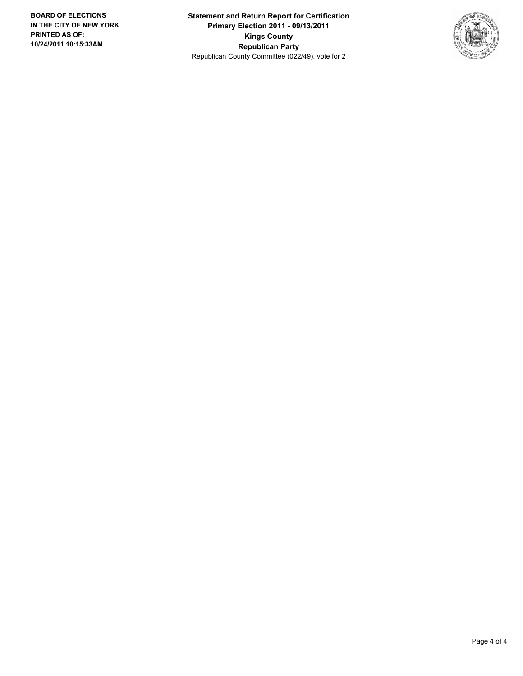**Statement and Return Report for Certification Primary Election 2011 - 09/13/2011 Kings County Republican Party** Republican County Committee (022/49), vote for 2

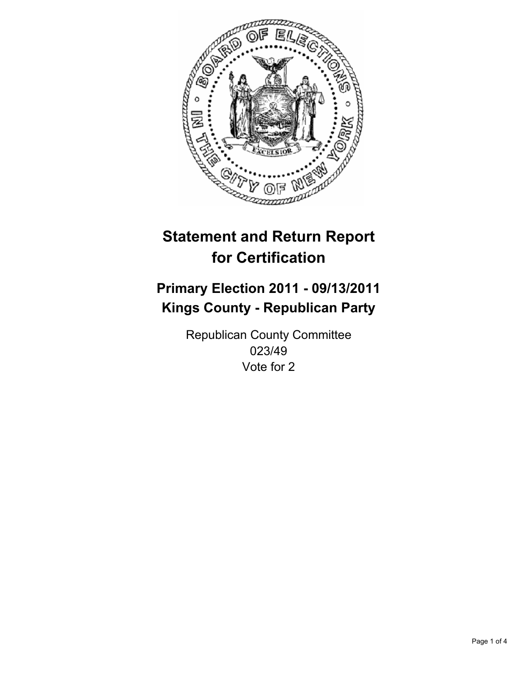

## **Primary Election 2011 - 09/13/2011 Kings County - Republican Party**

Republican County Committee 023/49 Vote for 2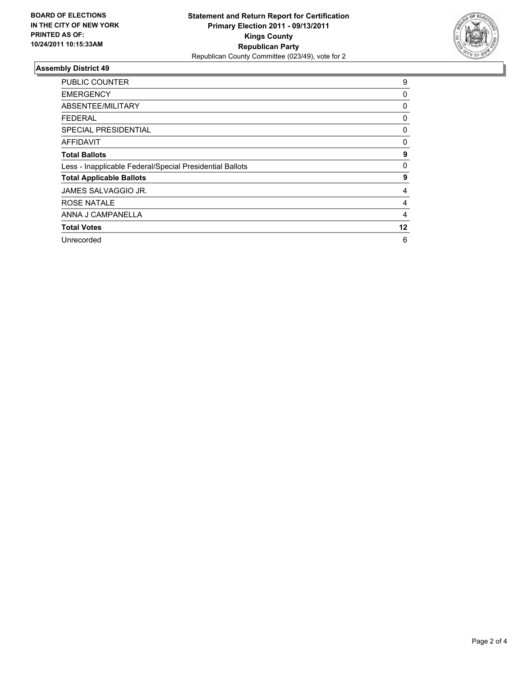

| <b>PUBLIC COUNTER</b>                                    | 9  |
|----------------------------------------------------------|----|
| <b>EMERGENCY</b>                                         | 0  |
| ABSENTEE/MILITARY                                        | 0  |
| <b>FEDERAL</b>                                           | 0  |
| SPECIAL PRESIDENTIAL                                     | 0  |
| <b>AFFIDAVIT</b>                                         | 0  |
| <b>Total Ballots</b>                                     | 9  |
| Less - Inapplicable Federal/Special Presidential Ballots | 0  |
| <b>Total Applicable Ballots</b>                          | 9  |
| JAMES SALVAGGIO JR.                                      | 4  |
| <b>ROSE NATALE</b>                                       | 4  |
| ANNA J CAMPANELLA                                        | 4  |
| <b>Total Votes</b>                                       | 12 |
| Unrecorded                                               | 6  |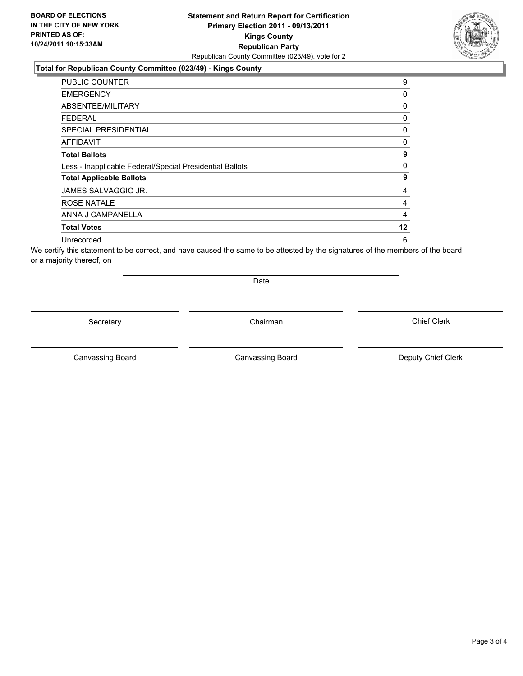### **Total for Republican County Committee (023/49) - Kings County**

| <b>PUBLIC COUNTER</b>                                    | 9  |
|----------------------------------------------------------|----|
| <b>EMERGENCY</b>                                         | 0  |
| ABSENTEE/MILITARY                                        | 0  |
| <b>FEDERAL</b>                                           | 0  |
| SPECIAL PRESIDENTIAL                                     | 0  |
| AFFIDAVIT                                                | 0  |
| <b>Total Ballots</b>                                     | 9  |
| Less - Inapplicable Federal/Special Presidential Ballots | 0  |
| <b>Total Applicable Ballots</b>                          | 9  |
| JAMES SALVAGGIO JR.                                      | 4  |
| ROSE NATALE                                              | 4  |
| ANNA J CAMPANELLA                                        | 4  |
| <b>Total Votes</b>                                       | 12 |
| Unrecorded                                               | 6  |

We certify this statement to be correct, and have caused the same to be attested by the signatures of the members of the board, or a majority thereof, on

Secretary **Chairman** 

Date

Canvassing Board **Canvassing Board** Canvassing Board **Deputy Chief Clerk** 

Canvassing Board

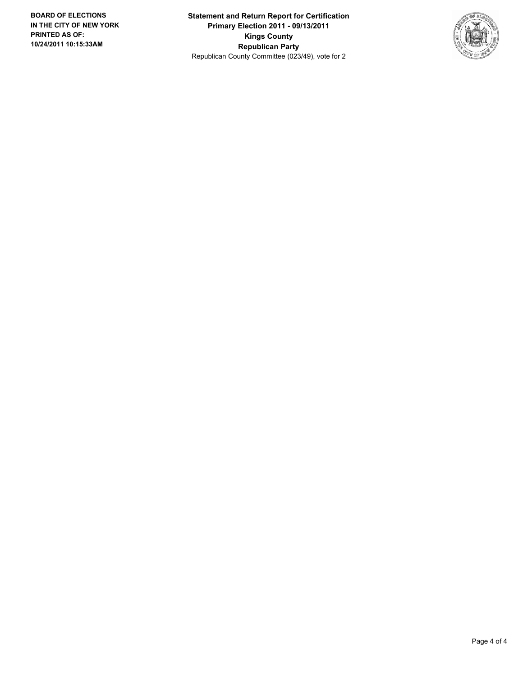**Statement and Return Report for Certification Primary Election 2011 - 09/13/2011 Kings County Republican Party** Republican County Committee (023/49), vote for 2

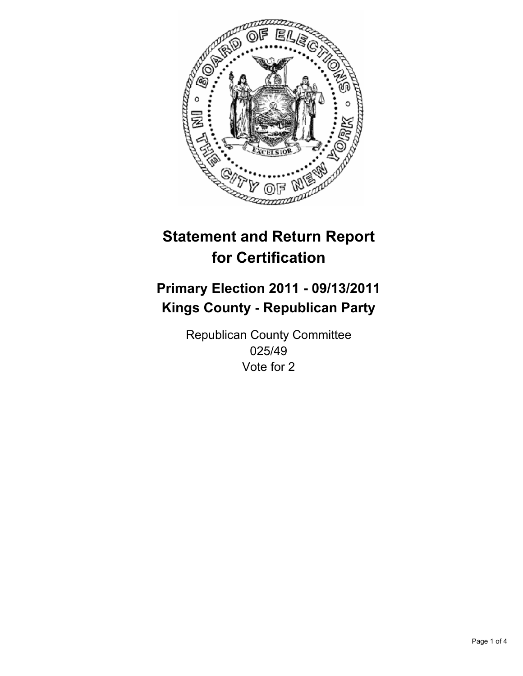

## **Primary Election 2011 - 09/13/2011 Kings County - Republican Party**

Republican County Committee 025/49 Vote for 2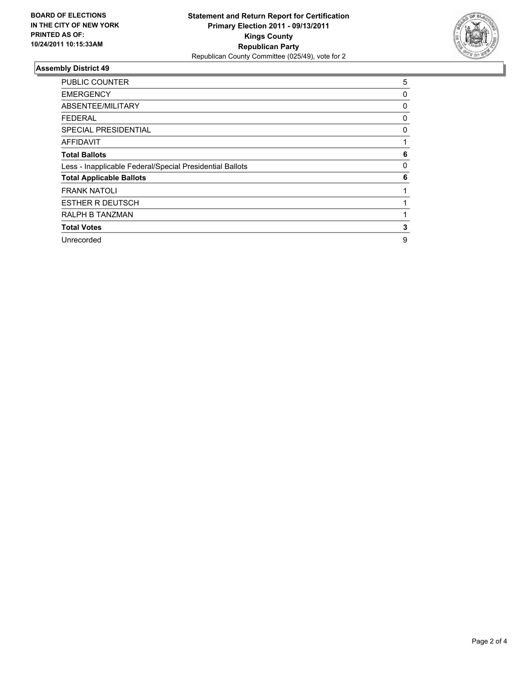

| <b>PUBLIC COUNTER</b>                                    | 5 |
|----------------------------------------------------------|---|
| <b>EMERGENCY</b>                                         | 0 |
| ABSENTEE/MILITARY                                        | 0 |
| <b>FEDERAL</b>                                           | 0 |
| <b>SPECIAL PRESIDENTIAL</b>                              | 0 |
| <b>AFFIDAVIT</b>                                         |   |
| <b>Total Ballots</b>                                     | 6 |
| Less - Inapplicable Federal/Special Presidential Ballots | 0 |
| <b>Total Applicable Ballots</b>                          | 6 |
| <b>FRANK NATOLI</b>                                      |   |
| <b>ESTHER R DEUTSCH</b>                                  |   |
| RALPH B TANZMAN                                          |   |
| <b>Total Votes</b>                                       | 3 |
| Unrecorded                                               | 9 |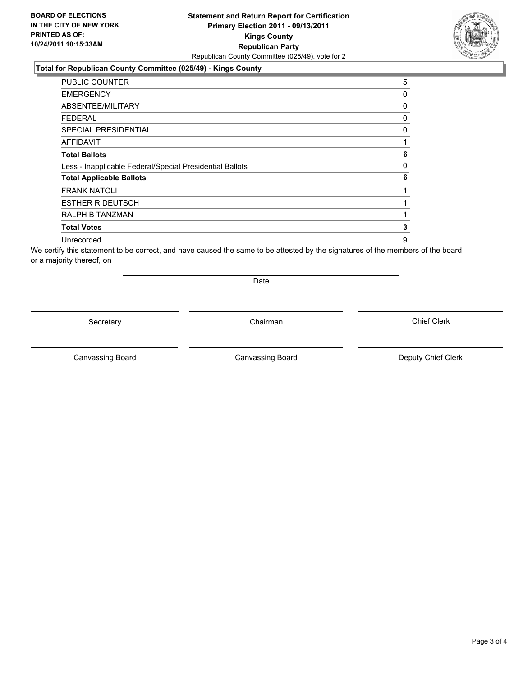### **Total for Republican County Committee (025/49) - Kings County**

| <b>PUBLIC COUNTER</b>                                    | 5 |
|----------------------------------------------------------|---|
| <b>EMERGENCY</b>                                         | 0 |
| ABSENTEE/MILITARY                                        | 0 |
| <b>FEDERAL</b>                                           | 0 |
| <b>SPECIAL PRESIDENTIAL</b>                              | 0 |
| <b>AFFIDAVIT</b>                                         |   |
| <b>Total Ballots</b>                                     | 6 |
| Less - Inapplicable Federal/Special Presidential Ballots | 0 |
| <b>Total Applicable Ballots</b>                          | 6 |
| <b>FRANK NATOLI</b>                                      |   |
| <b>ESTHER R DEUTSCH</b>                                  |   |
| RALPH B TANZMAN                                          |   |
| <b>Total Votes</b>                                       | 3 |
| Unrecorded                                               | 9 |

We certify this statement to be correct, and have caused the same to be attested by the signatures of the members of the board, or a majority thereof, on

Secretary **Chairman** 

Date

Canvassing Board **Canvassing Board** Canvassing Board **Deputy Chief Clerk** 

Canvassing Board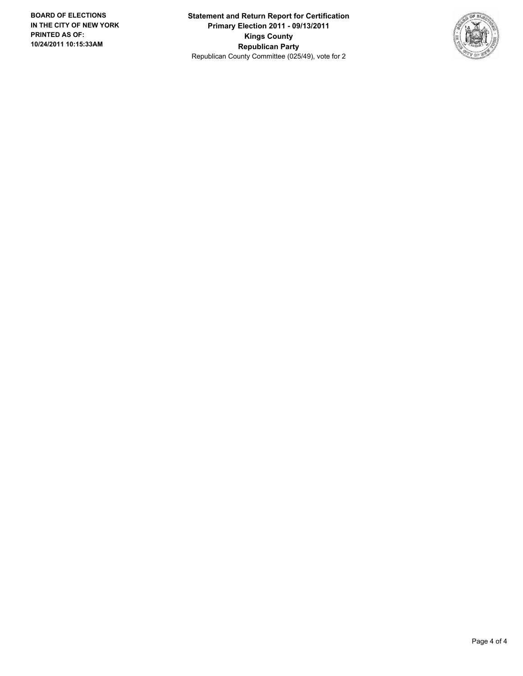**Statement and Return Report for Certification Primary Election 2011 - 09/13/2011 Kings County Republican Party** Republican County Committee (025/49), vote for 2

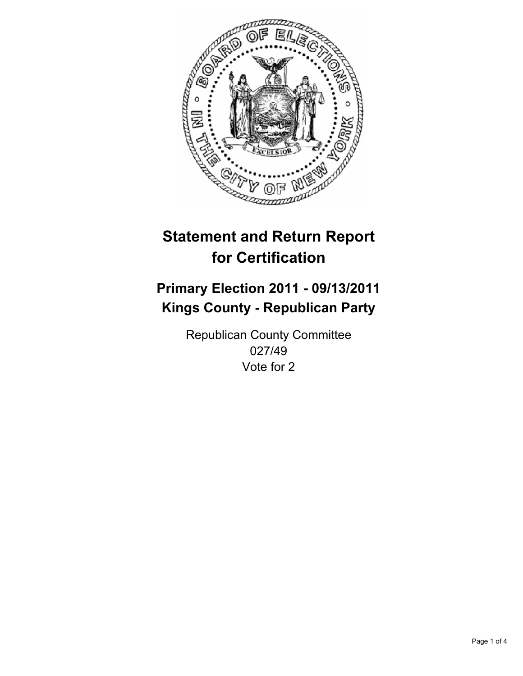

## **Primary Election 2011 - 09/13/2011 Kings County - Republican Party**

Republican County Committee 027/49 Vote for 2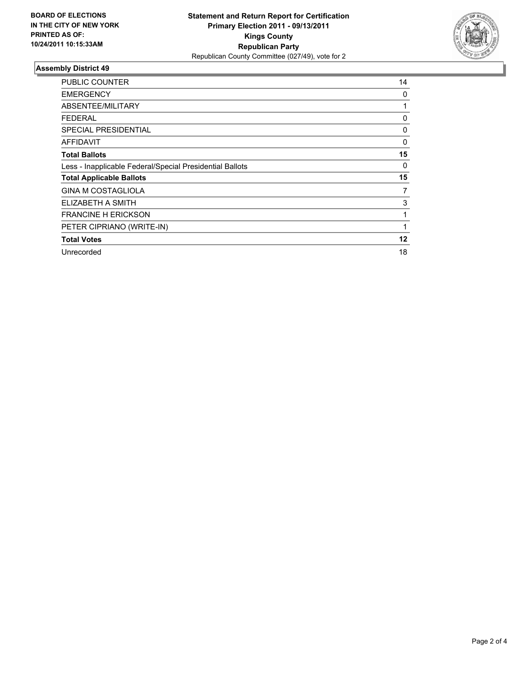

| <b>PUBLIC COUNTER</b>                                    | 14 |
|----------------------------------------------------------|----|
| <b>EMERGENCY</b>                                         | 0  |
| ABSENTEE/MILITARY                                        | 1  |
| <b>FEDERAL</b>                                           | 0  |
| <b>SPECIAL PRESIDENTIAL</b>                              | 0  |
| AFFIDAVIT                                                | 0  |
| <b>Total Ballots</b>                                     | 15 |
| Less - Inapplicable Federal/Special Presidential Ballots | 0  |
| <b>Total Applicable Ballots</b>                          | 15 |
| <b>GINA M COSTAGLIOLA</b>                                | 7  |
| ELIZABETH A SMITH                                        | 3  |
| <b>FRANCINE H ERICKSON</b>                               |    |
| PETER CIPRIANO (WRITE-IN)                                |    |
| <b>Total Votes</b>                                       | 12 |
| Unrecorded                                               | 18 |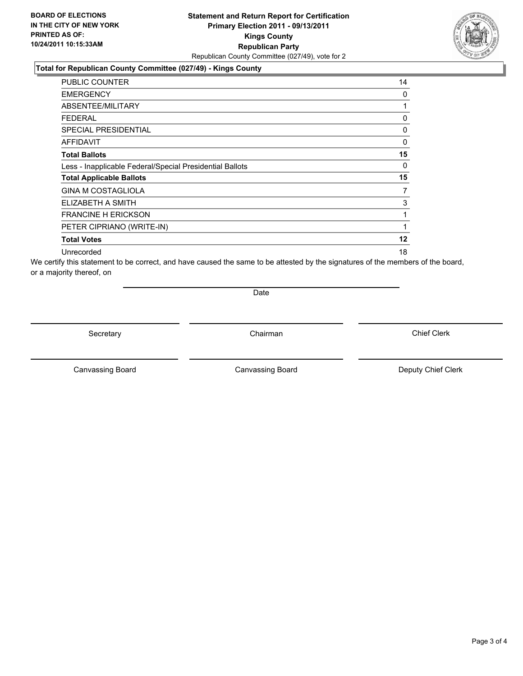#### **Total for Republican County Committee (027/49) - Kings County**

| <b>PUBLIC COUNTER</b>                                    | 14 |
|----------------------------------------------------------|----|
| <b>EMERGENCY</b>                                         | 0  |
| ABSENTEE/MILITARY                                        | 1  |
| <b>FEDERAL</b>                                           | 0  |
| <b>SPECIAL PRESIDENTIAL</b>                              | 0  |
| AFFIDAVIT                                                | 0  |
| <b>Total Ballots</b>                                     | 15 |
| Less - Inapplicable Federal/Special Presidential Ballots | 0  |
| <b>Total Applicable Ballots</b>                          | 15 |
| <b>GINA M COSTAGLIOLA</b>                                | 7  |
| ELIZABETH A SMITH                                        | 3  |
| <b>FRANCINE H ERICKSON</b>                               |    |
| PETER CIPRIANO (WRITE-IN)                                | 1  |
| <b>Total Votes</b>                                       | 12 |
| Unrecorded                                               | 18 |

We certify this statement to be correct, and have caused the same to be attested by the signatures of the members of the board, or a majority thereof, on

Date

Secretary **Chairman** 

Canvassing Board **Canvassing Board** Canvassing Board **Deputy Chief Clerk** 

Canvassing Board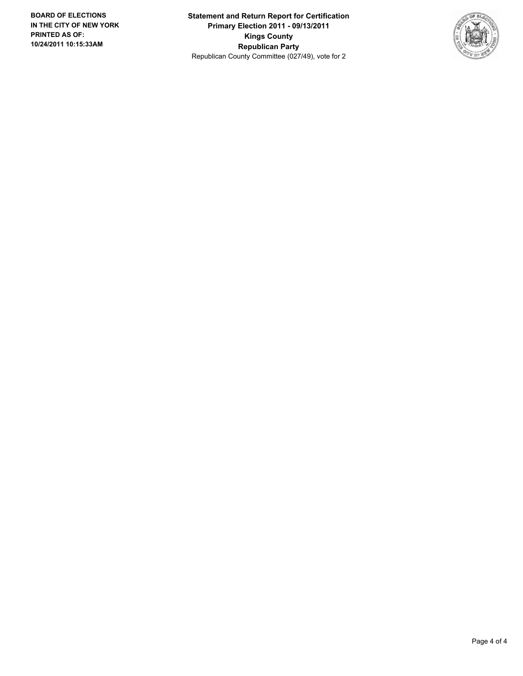**Statement and Return Report for Certification Primary Election 2011 - 09/13/2011 Kings County Republican Party** Republican County Committee (027/49), vote for 2

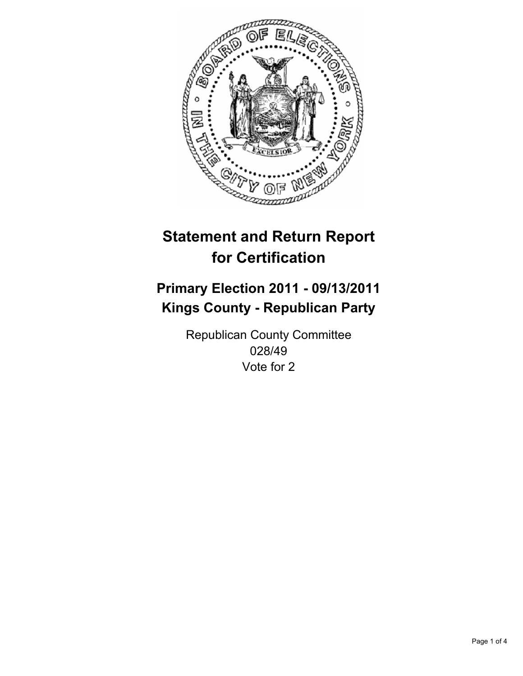

## **Primary Election 2011 - 09/13/2011 Kings County - Republican Party**

Republican County Committee 028/49 Vote for 2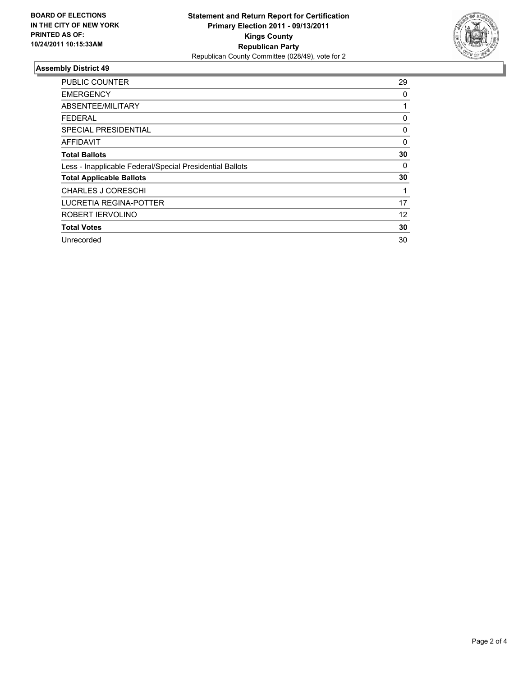

| <b>PUBLIC COUNTER</b>                                    | 29 |
|----------------------------------------------------------|----|
| EMERGENCY                                                | 0  |
| <b>ABSENTEE/MILITARY</b>                                 |    |
| <b>FEDERAL</b>                                           | 0  |
| SPECIAL PRESIDENTIAL                                     | 0  |
| <b>AFFIDAVIT</b>                                         | 0  |
| <b>Total Ballots</b>                                     | 30 |
| Less - Inapplicable Federal/Special Presidential Ballots | 0  |
| <b>Total Applicable Ballots</b>                          | 30 |
| <b>CHARLES J CORESCHI</b>                                |    |
| LUCRETIA REGINA-POTTER                                   | 17 |
| ROBERT IERVOLINO                                         | 12 |
| <b>Total Votes</b>                                       | 30 |
| Unrecorded                                               | 30 |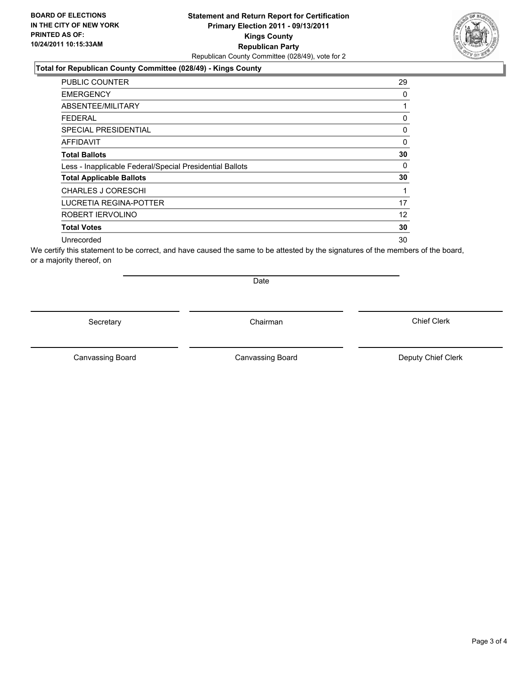### **Total for Republican County Committee (028/49) - Kings County**

| <b>PUBLIC COUNTER</b>                                    | 29 |
|----------------------------------------------------------|----|
| <b>EMERGENCY</b>                                         | 0  |
| ABSENTEE/MILITARY                                        |    |
| <b>FEDERAL</b>                                           | 0  |
| <b>SPECIAL PRESIDENTIAL</b>                              | 0  |
| <b>AFFIDAVIT</b>                                         | 0  |
| <b>Total Ballots</b>                                     | 30 |
| Less - Inapplicable Federal/Special Presidential Ballots | 0  |
| <b>Total Applicable Ballots</b>                          | 30 |
| <b>CHARLES J CORESCHI</b>                                |    |
| LUCRETIA REGINA-POTTER                                   | 17 |
| ROBERT IERVOLINO                                         | 12 |
| <b>Total Votes</b>                                       | 30 |
| Unrecorded                                               | 30 |

We certify this statement to be correct, and have caused the same to be attested by the signatures of the members of the board, or a majority thereof, on

Secretary **Chairman** 

Date

Canvassing Board **Canvassing Board** Canvassing Board **Deputy Chief Clerk** 

Canvassing Board

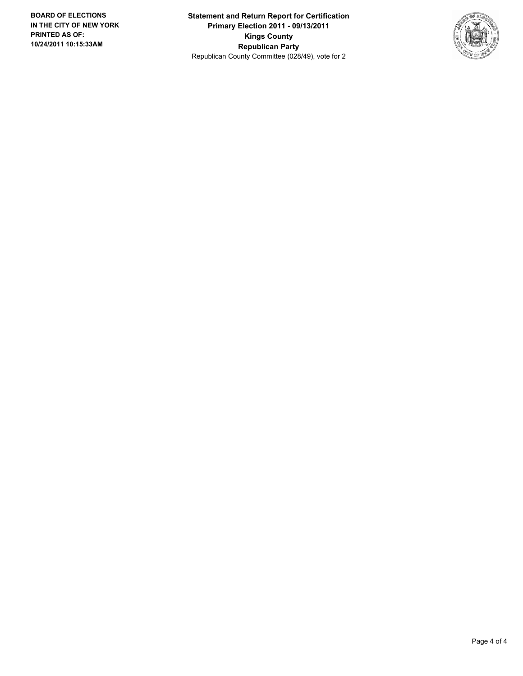**Statement and Return Report for Certification Primary Election 2011 - 09/13/2011 Kings County Republican Party** Republican County Committee (028/49), vote for 2

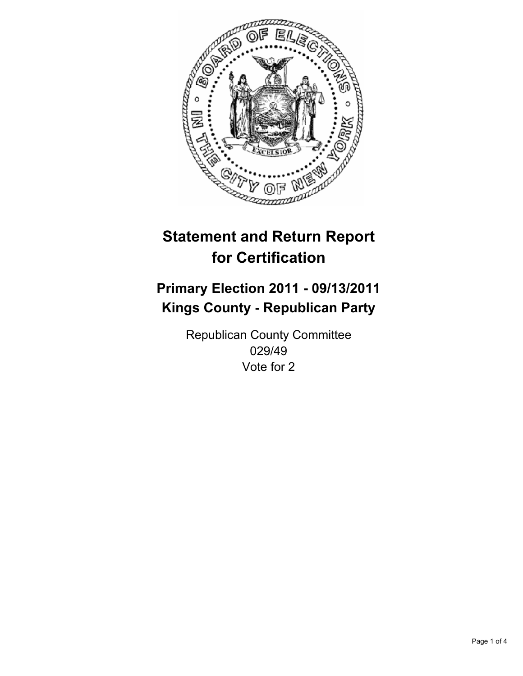

## **Primary Election 2011 - 09/13/2011 Kings County - Republican Party**

Republican County Committee 029/49 Vote for 2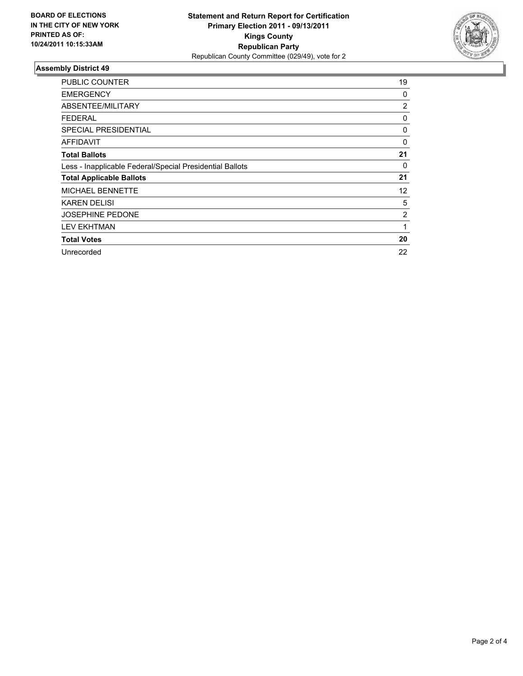

| <b>PUBLIC COUNTER</b>                                    | 19 |
|----------------------------------------------------------|----|
| <b>EMERGENCY</b>                                         | 0  |
| ABSENTEE/MILITARY                                        | 2  |
| <b>FEDERAL</b>                                           | 0  |
| <b>SPECIAL PRESIDENTIAL</b>                              | 0  |
| <b>AFFIDAVIT</b>                                         | 0  |
| <b>Total Ballots</b>                                     | 21 |
| Less - Inapplicable Federal/Special Presidential Ballots | 0  |
| <b>Total Applicable Ballots</b>                          | 21 |
| <b>MICHAEL BENNETTE</b>                                  | 12 |
| <b>KAREN DELISI</b>                                      | 5  |
| <b>JOSEPHINE PEDONE</b>                                  | 2  |
| <b>LEV EKHTMAN</b>                                       | 1  |
| <b>Total Votes</b>                                       | 20 |
| Unrecorded                                               | 22 |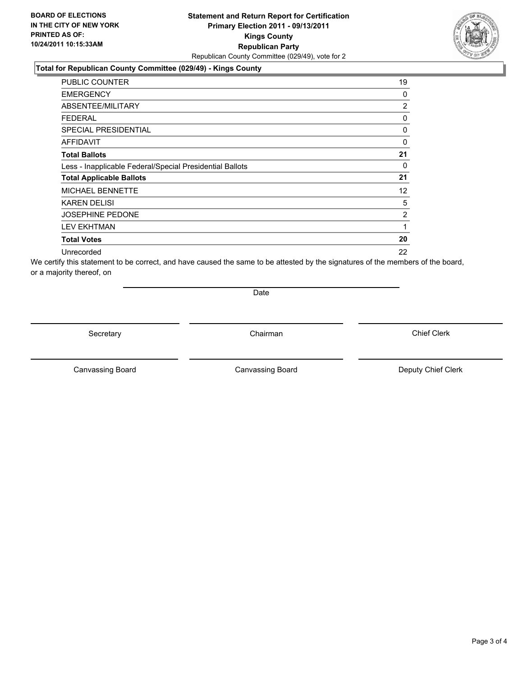#### **Total for Republican County Committee (029/49) - Kings County**

| <b>PUBLIC COUNTER</b>                                    | 19             |
|----------------------------------------------------------|----------------|
| <b>EMERGENCY</b>                                         | 0              |
| ABSENTEE/MILITARY                                        | $\overline{2}$ |
| <b>FEDERAL</b>                                           | 0              |
| SPECIAL PRESIDENTIAL                                     | 0              |
| <b>AFFIDAVIT</b>                                         | 0              |
| <b>Total Ballots</b>                                     | 21             |
| Less - Inapplicable Federal/Special Presidential Ballots | 0              |
| <b>Total Applicable Ballots</b>                          | 21             |
| <b>MICHAEL BENNETTE</b>                                  | 12             |
| <b>KAREN DELISI</b>                                      | 5              |
| <b>JOSEPHINE PEDONE</b>                                  | $\overline{2}$ |
| <b>LEV EKHTMAN</b>                                       | 1              |
| <b>Total Votes</b>                                       | 20             |
| Unrecorded                                               | 22             |

We certify this statement to be correct, and have caused the same to be attested by the signatures of the members of the board, or a majority thereof, on

Date

Secretary **Chairman** 

Canvassing Board **Canvassing Board** Canvassing Board **Deputy Chief Clerk** 

Canvassing Board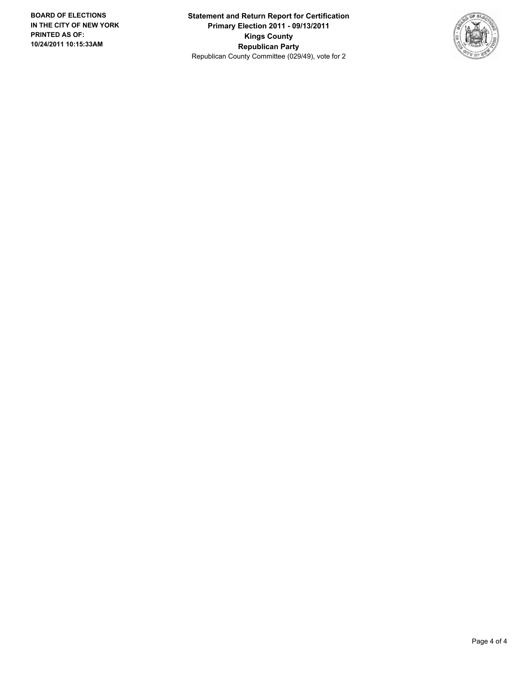**Statement and Return Report for Certification Primary Election 2011 - 09/13/2011 Kings County Republican Party** Republican County Committee (029/49), vote for 2

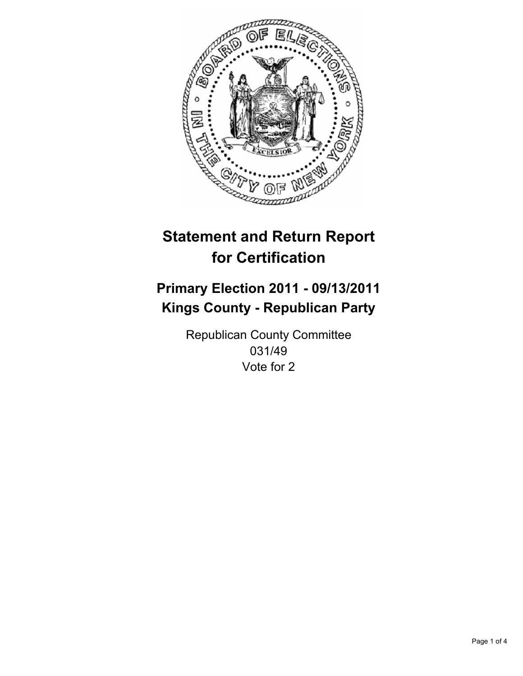

## **Primary Election 2011 - 09/13/2011 Kings County - Republican Party**

Republican County Committee 031/49 Vote for 2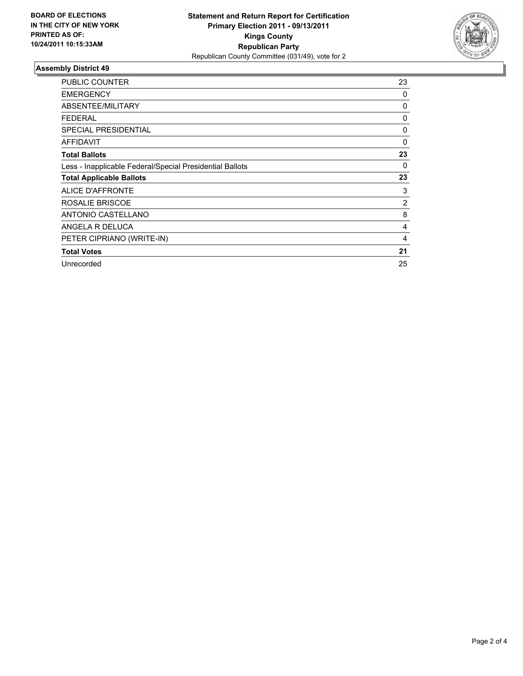

| <b>PUBLIC COUNTER</b>                                    | 23             |
|----------------------------------------------------------|----------------|
| <b>EMERGENCY</b>                                         | 0              |
| ABSENTEE/MILITARY                                        | 0              |
| <b>FEDERAL</b>                                           | 0              |
| <b>SPECIAL PRESIDENTIAL</b>                              | 0              |
| <b>AFFIDAVIT</b>                                         | 0              |
| <b>Total Ballots</b>                                     | 23             |
| Less - Inapplicable Federal/Special Presidential Ballots | 0              |
| <b>Total Applicable Ballots</b>                          | 23             |
| ALICE D'AFFRONTE                                         | 3              |
| ROSALIE BRISCOE                                          | $\overline{c}$ |
| ANTONIO CASTELLANO                                       | 8              |
| ANGELA R DELUCA                                          | 4              |
| PETER CIPRIANO (WRITE-IN)                                | 4              |
| <b>Total Votes</b>                                       | 21             |
| Unrecorded                                               | 25             |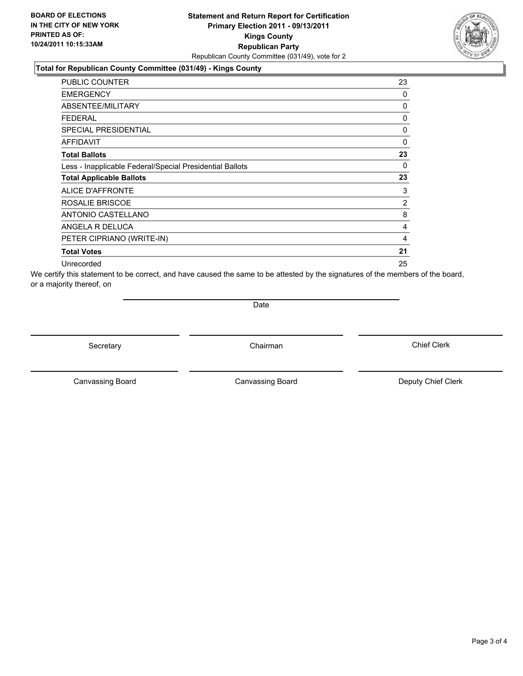### **Total for Republican County Committee (031/49) - Kings County**

| <b>PUBLIC COUNTER</b>                                    | 23             |
|----------------------------------------------------------|----------------|
| <b>EMERGENCY</b>                                         | 0              |
| ABSENTEE/MILITARY                                        | 0              |
| FEDERAL                                                  | 0              |
| <b>SPECIAL PRESIDENTIAL</b>                              | 0              |
| <b>AFFIDAVIT</b>                                         | 0              |
| <b>Total Ballots</b>                                     | 23             |
| Less - Inapplicable Federal/Special Presidential Ballots | 0              |
| <b>Total Applicable Ballots</b>                          | 23             |
| ALICE D'AFFRONTE                                         | 3              |
| ROSALIE BRISCOE                                          | $\overline{2}$ |
| ANTONIO CASTELLANO                                       | 8              |
| ANGELA R DELUCA                                          | 4              |
| PETER CIPRIANO (WRITE-IN)                                | 4              |
| <b>Total Votes</b>                                       | 21             |
| Unrecorded                                               | 25             |

We certify this statement to be correct, and have caused the same to be attested by the signatures of the members of the board, or a majority thereof, on

**Date** 

Secretary **Chairman** 

Canvassing Board **Canvassing Board** Canvassing Board **Deputy Chief Clerk** 

Canvassing Board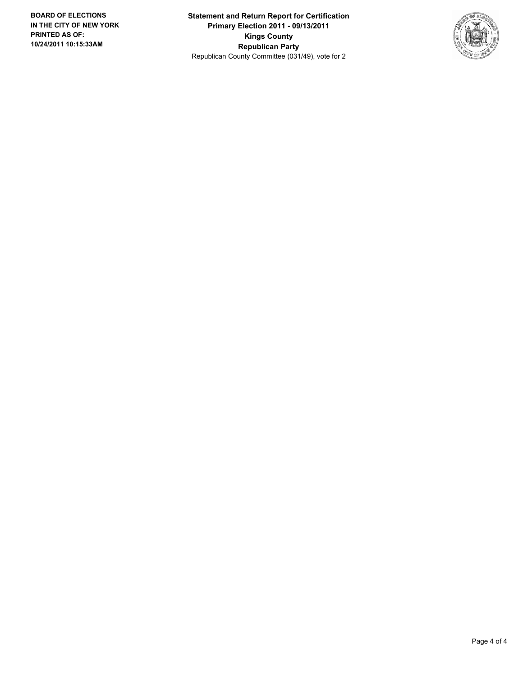**Statement and Return Report for Certification Primary Election 2011 - 09/13/2011 Kings County Republican Party** Republican County Committee (031/49), vote for 2

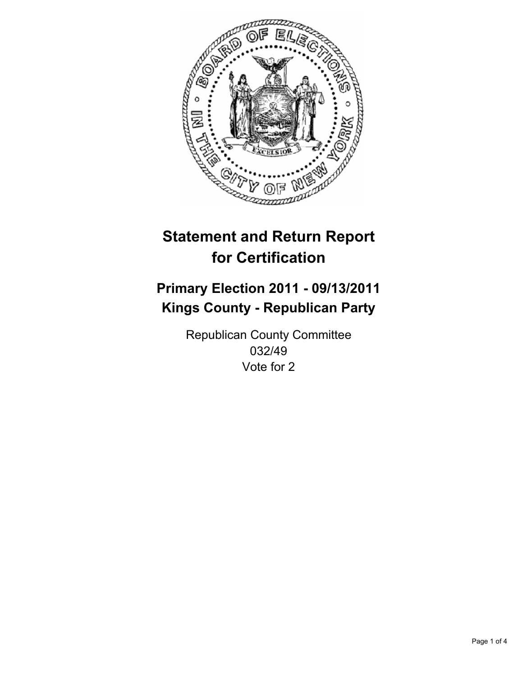

## **Primary Election 2011 - 09/13/2011 Kings County - Republican Party**

Republican County Committee 032/49 Vote for 2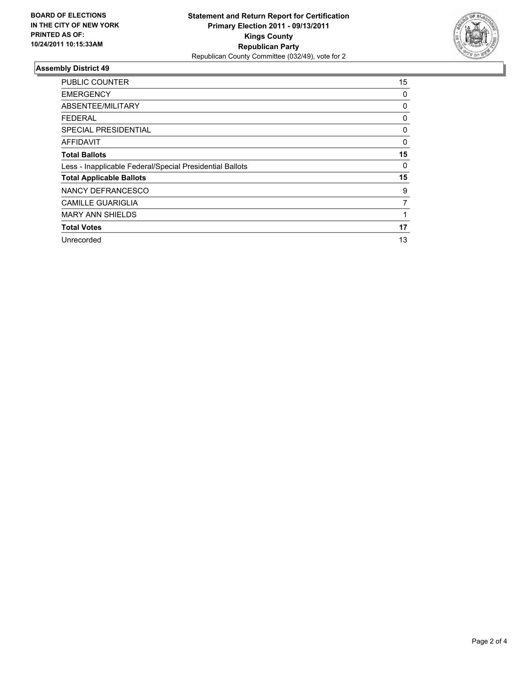

| <b>PUBLIC COUNTER</b>                                    | 15 |
|----------------------------------------------------------|----|
| <b>EMERGENCY</b>                                         | 0  |
| ABSENTEE/MILITARY                                        | 0  |
| <b>FEDERAL</b>                                           | 0  |
| SPECIAL PRESIDENTIAL                                     | 0  |
| AFFIDAVIT                                                | 0  |
| <b>Total Ballots</b>                                     | 15 |
| Less - Inapplicable Federal/Special Presidential Ballots | 0  |
| <b>Total Applicable Ballots</b>                          | 15 |
| NANCY DEFRANCESCO                                        | 9  |
| <b>CAMILLE GUARIGLIA</b>                                 | 7  |
| <b>MARY ANN SHIELDS</b>                                  |    |
| <b>Total Votes</b>                                       | 17 |
| Unrecorded                                               | 13 |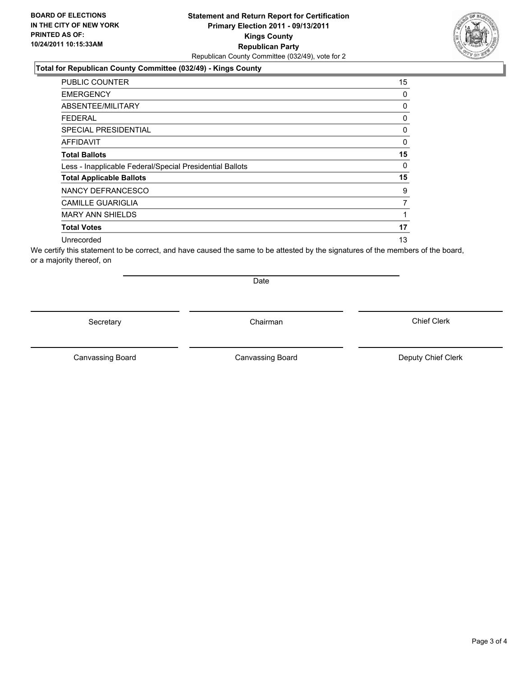### **Total for Republican County Committee (032/49) - Kings County**

| <b>PUBLIC COUNTER</b>                                    | 15 |
|----------------------------------------------------------|----|
| <b>EMERGENCY</b>                                         | 0  |
| ABSENTEE/MILITARY                                        | 0  |
| <b>FEDERAL</b>                                           | 0  |
| <b>SPECIAL PRESIDENTIAL</b>                              | 0  |
| <b>AFFIDAVIT</b>                                         | 0  |
| <b>Total Ballots</b>                                     | 15 |
| Less - Inapplicable Federal/Special Presidential Ballots | 0  |
| <b>Total Applicable Ballots</b>                          | 15 |
| NANCY DEFRANCESCO                                        | 9  |
| <b>CAMILLE GUARIGLIA</b>                                 | 7  |
| <b>MARY ANN SHIELDS</b>                                  |    |
| <b>Total Votes</b>                                       | 17 |
| Unrecorded                                               | 13 |

We certify this statement to be correct, and have caused the same to be attested by the signatures of the members of the board, or a majority thereof, on

Secretary **Chairman** 

Date

Canvassing Board **Canvassing Board** Canvassing Board **Deputy Chief Clerk** 

Canvassing Board

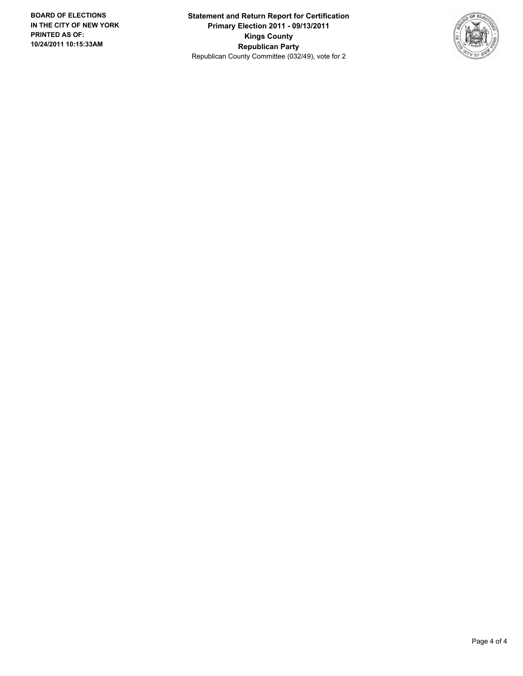**Statement and Return Report for Certification Primary Election 2011 - 09/13/2011 Kings County Republican Party** Republican County Committee (032/49), vote for 2

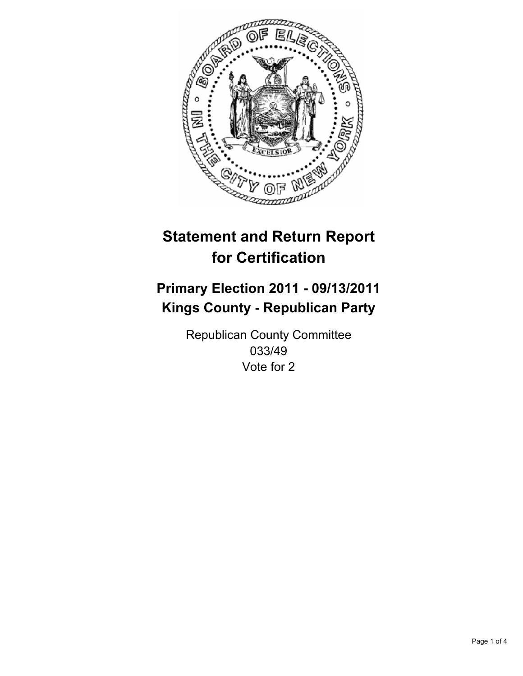

## **Primary Election 2011 - 09/13/2011 Kings County - Republican Party**

Republican County Committee 033/49 Vote for 2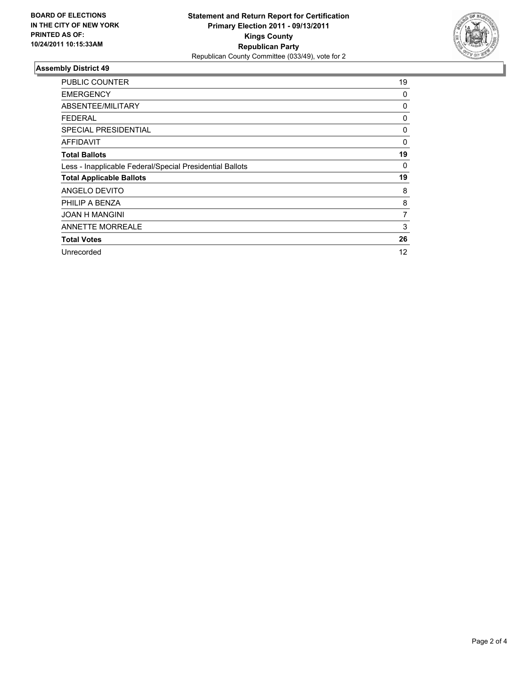

| <b>PUBLIC COUNTER</b>                                    | 19 |
|----------------------------------------------------------|----|
| <b>EMERGENCY</b>                                         | 0  |
| ABSENTEE/MILITARY                                        | 0  |
| <b>FEDERAL</b>                                           | 0  |
| <b>SPECIAL PRESIDENTIAL</b>                              | 0  |
| AFFIDAVIT                                                | 0  |
| <b>Total Ballots</b>                                     | 19 |
| Less - Inapplicable Federal/Special Presidential Ballots | 0  |
| <b>Total Applicable Ballots</b>                          | 19 |
| ANGELO DEVITO                                            | 8  |
| PHILIP A BENZA                                           | 8  |
| <b>JOAN H MANGINI</b>                                    | 7  |
| <b>ANNETTE MORREALE</b>                                  | 3  |
| <b>Total Votes</b>                                       | 26 |
| Unrecorded                                               | 12 |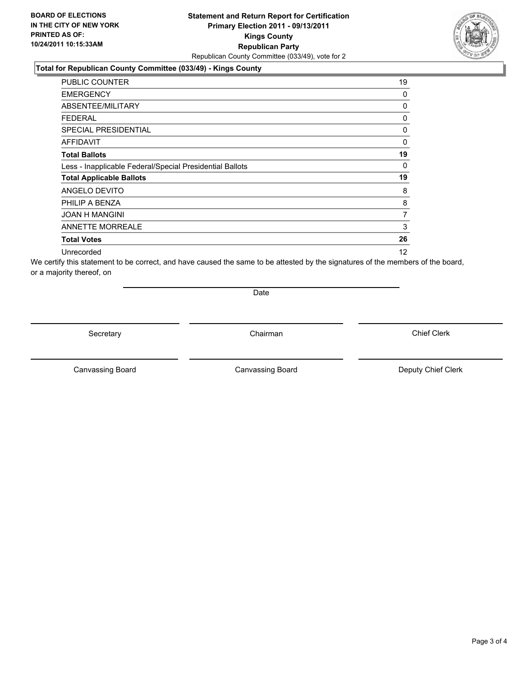#### **Total for Republican County Committee (033/49) - Kings County**

| <b>PUBLIC COUNTER</b>                                    | 19 |
|----------------------------------------------------------|----|
| <b>EMERGENCY</b>                                         | 0  |
| ABSENTEE/MILITARY                                        | 0  |
| <b>FEDERAL</b>                                           | 0  |
| <b>SPECIAL PRESIDENTIAL</b>                              | 0  |
| AFFIDAVIT                                                | 0  |
| <b>Total Ballots</b>                                     | 19 |
| Less - Inapplicable Federal/Special Presidential Ballots | 0  |
| <b>Total Applicable Ballots</b>                          | 19 |
| ANGELO DEVITO                                            | 8  |
| PHILIP A BENZA                                           | 8  |
| <b>JOAN H MANGINI</b>                                    | 7  |
| <b>ANNETTE MORREALE</b>                                  | 3  |
| <b>Total Votes</b>                                       | 26 |
| Unrecorded                                               | 12 |

We certify this statement to be correct, and have caused the same to be attested by the signatures of the members of the board, or a majority thereof, on

Date

Secretary **Chairman** 

Canvassing Board **Canvassing Board** Canvassing Board **Deputy Chief Clerk** 

Canvassing Board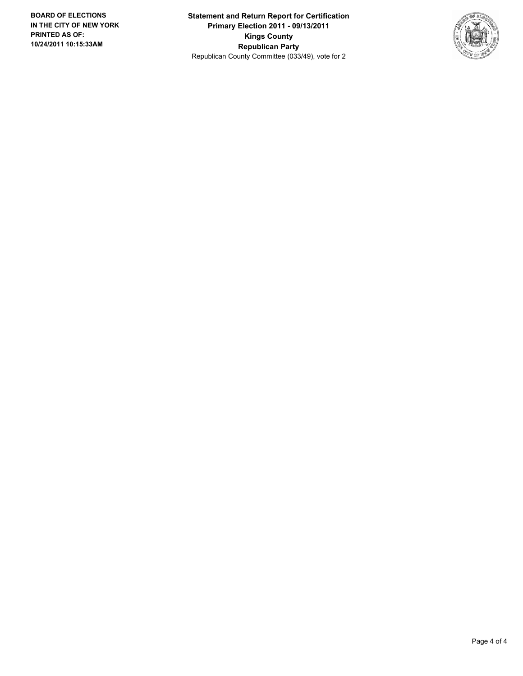**Statement and Return Report for Certification Primary Election 2011 - 09/13/2011 Kings County Republican Party** Republican County Committee (033/49), vote for 2

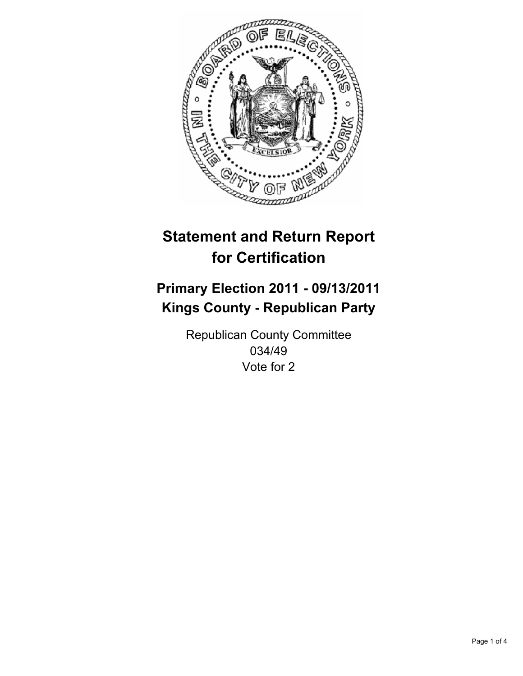

## **Primary Election 2011 - 09/13/2011 Kings County - Republican Party**

Republican County Committee 034/49 Vote for 2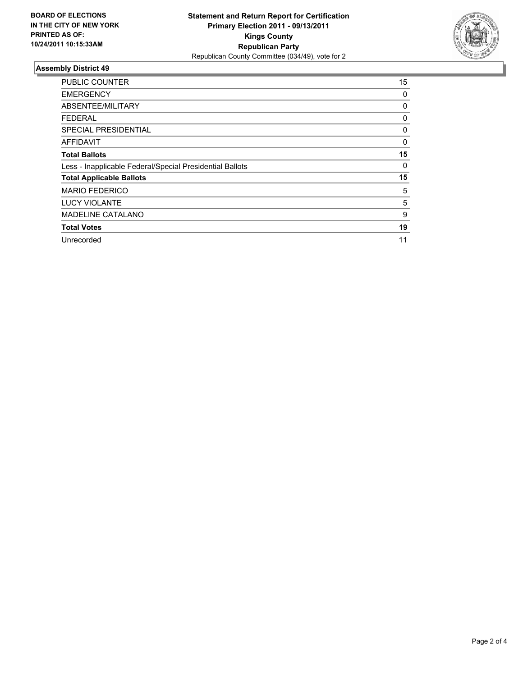

| PUBLIC COUNTER                                           | 15 |
|----------------------------------------------------------|----|
| <b>EMERGENCY</b>                                         | 0  |
| ABSENTEE/MILITARY                                        | 0  |
| <b>FEDERAL</b>                                           | 0  |
| SPECIAL PRESIDENTIAL                                     | 0  |
| AFFIDAVIT                                                | 0  |
| <b>Total Ballots</b>                                     | 15 |
| Less - Inapplicable Federal/Special Presidential Ballots | 0  |
| <b>Total Applicable Ballots</b>                          | 15 |
| <b>MARIO FEDERICO</b>                                    | 5  |
| <b>LUCY VIOLANTE</b>                                     | 5  |
| <b>MADELINE CATALANO</b>                                 | 9  |
| <b>Total Votes</b>                                       | 19 |
| Unrecorded                                               | 11 |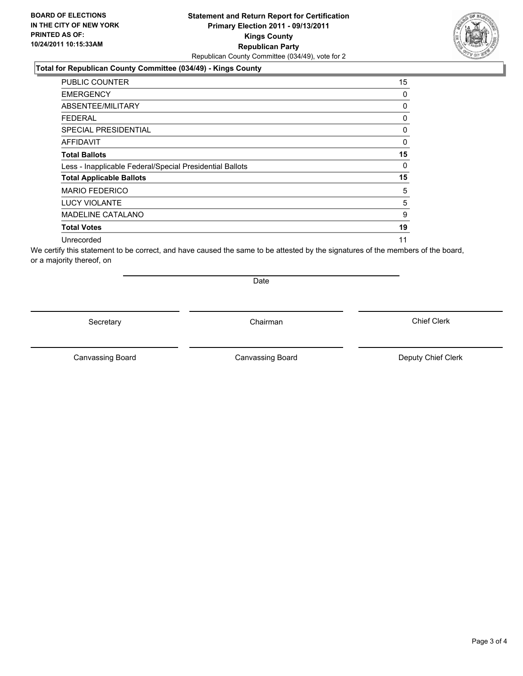### **Total for Republican County Committee (034/49) - Kings County**

| <b>PUBLIC COUNTER</b>                                    | 15 |
|----------------------------------------------------------|----|
| <b>EMERGENCY</b>                                         | 0  |
| ABSENTEE/MILITARY                                        | 0  |
| <b>FEDERAL</b>                                           | 0  |
| <b>SPECIAL PRESIDENTIAL</b>                              | 0  |
| <b>AFFIDAVIT</b>                                         | 0  |
| <b>Total Ballots</b>                                     | 15 |
| Less - Inapplicable Federal/Special Presidential Ballots | 0  |
| <b>Total Applicable Ballots</b>                          | 15 |
| <b>MARIO FEDERICO</b>                                    | 5  |
| <b>LUCY VIOLANTE</b>                                     | 5  |
| <b>MADELINE CATALANO</b>                                 | 9  |
| <b>Total Votes</b>                                       | 19 |
| Unrecorded                                               | 11 |

We certify this statement to be correct, and have caused the same to be attested by the signatures of the members of the board, or a majority thereof, on

Secretary **Chairman** 

Date

Canvassing Board **Canvassing Board** Canvassing Board **Deputy Chief Clerk** 

Canvassing Board

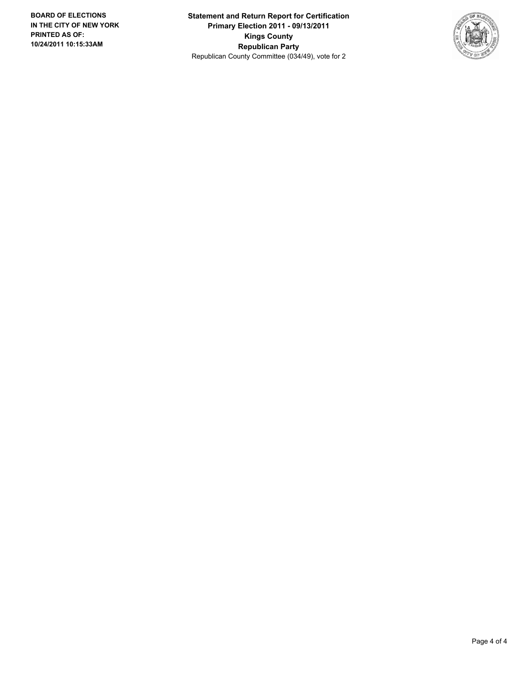**Statement and Return Report for Certification Primary Election 2011 - 09/13/2011 Kings County Republican Party** Republican County Committee (034/49), vote for 2

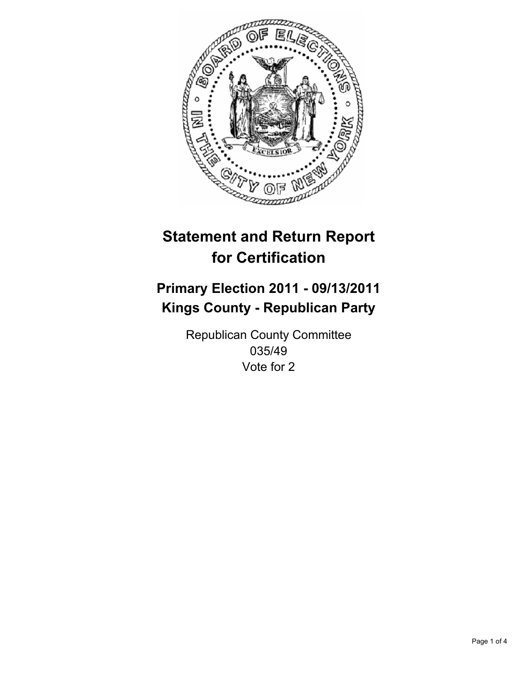

## **Primary Election 2011 - 09/13/2011 Kings County - Republican Party**

Republican County Committee 035/49 Vote for 2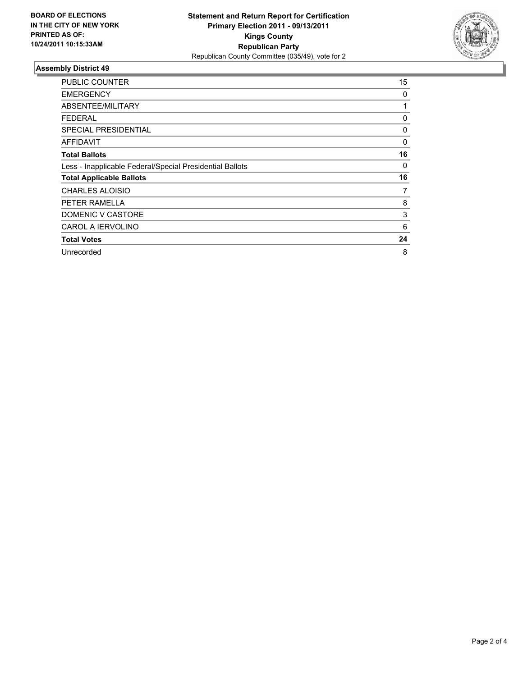

| <b>PUBLIC COUNTER</b>                                    | 15 |
|----------------------------------------------------------|----|
| <b>EMERGENCY</b>                                         | 0  |
| ABSENTEE/MILITARY                                        | 1  |
| <b>FEDERAL</b>                                           | 0  |
| <b>SPECIAL PRESIDENTIAL</b>                              | 0  |
| AFFIDAVIT                                                | 0  |
| <b>Total Ballots</b>                                     | 16 |
| Less - Inapplicable Federal/Special Presidential Ballots | 0  |
| <b>Total Applicable Ballots</b>                          | 16 |
| <b>CHARLES ALOISIO</b>                                   | 7  |
| PETER RAMELLA                                            | 8  |
| DOMENIC V CASTORE                                        | 3  |
| <b>CAROL A IERVOLINO</b>                                 | 6  |
| <b>Total Votes</b>                                       | 24 |
| Unrecorded                                               | 8  |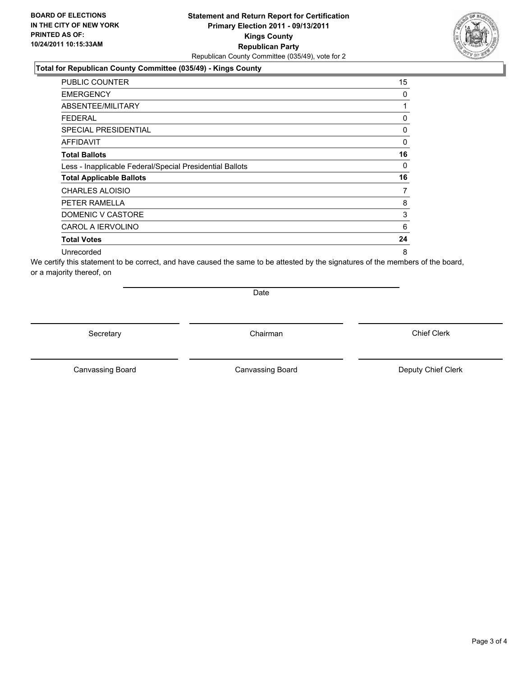#### **Total for Republican County Committee (035/49) - Kings County**

| <b>PUBLIC COUNTER</b>                                    | 15 |
|----------------------------------------------------------|----|
| <b>EMERGENCY</b>                                         | 0  |
| ABSENTEE/MILITARY                                        | 1  |
| <b>FEDERAL</b>                                           | 0  |
| <b>SPECIAL PRESIDENTIAL</b>                              | 0  |
| AFFIDAVIT                                                | 0  |
| <b>Total Ballots</b>                                     | 16 |
| Less - Inapplicable Federal/Special Presidential Ballots | 0  |
| <b>Total Applicable Ballots</b>                          | 16 |
| <b>CHARLES ALOISIO</b>                                   | 7  |
| PETER RAMELLA                                            | 8  |
| DOMENIC V CASTORE                                        | 3  |
| <b>CAROL A IERVOLINO</b>                                 | 6  |
| <b>Total Votes</b>                                       | 24 |
| Unrecorded                                               | 8  |

We certify this statement to be correct, and have caused the same to be attested by the signatures of the members of the board, or a majority thereof, on

Date

Secretary **Chairman** 

Canvassing Board **Canvassing Board** Canvassing Board **Deputy Chief Clerk** 

Canvassing Board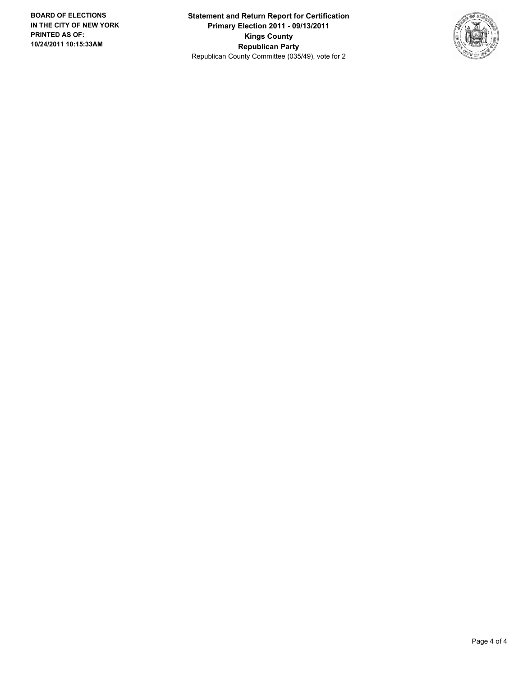**Statement and Return Report for Certification Primary Election 2011 - 09/13/2011 Kings County Republican Party** Republican County Committee (035/49), vote for 2

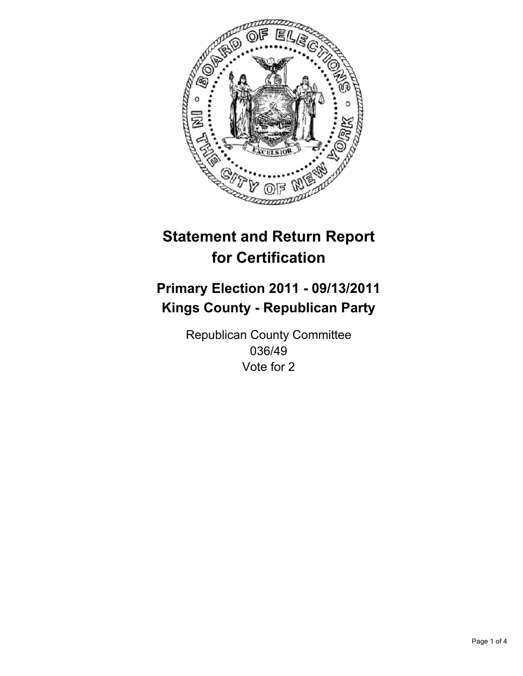

## **Primary Election 2011 - 09/13/2011 Kings County - Republican Party**

Republican County Committee 036/49 Vote for 2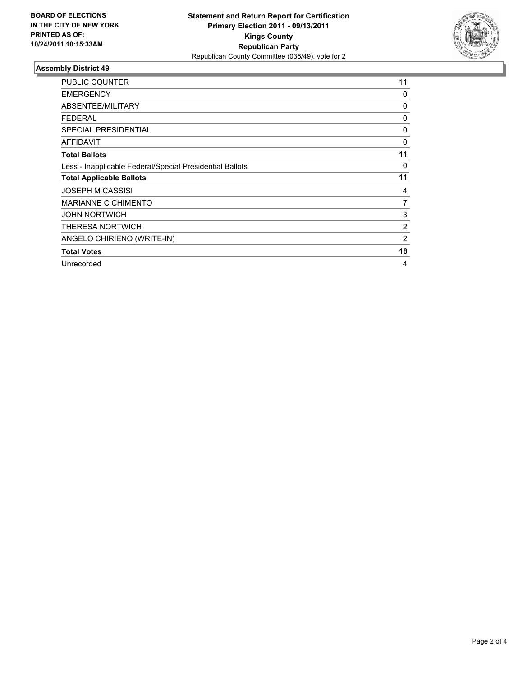

| <b>PUBLIC COUNTER</b>                                    | 11             |
|----------------------------------------------------------|----------------|
| <b>EMERGENCY</b>                                         | 0              |
| ABSENTEE/MILITARY                                        | 0              |
| <b>FEDERAL</b>                                           | 0              |
| <b>SPECIAL PRESIDENTIAL</b>                              | 0              |
| <b>AFFIDAVIT</b>                                         | 0              |
| <b>Total Ballots</b>                                     | 11             |
| Less - Inapplicable Federal/Special Presidential Ballots | 0              |
| <b>Total Applicable Ballots</b>                          | 11             |
| <b>JOSEPH M CASSISI</b>                                  | 4              |
| MARIANNE C CHIMENTO                                      | 7              |
| <b>JOHN NORTWICH</b>                                     | 3              |
| <b>THERESA NORTWICH</b>                                  | $\overline{2}$ |
| ANGELO CHIRIENO (WRITE-IN)                               | 2              |
| <b>Total Votes</b>                                       | 18             |
| Unrecorded                                               | 4              |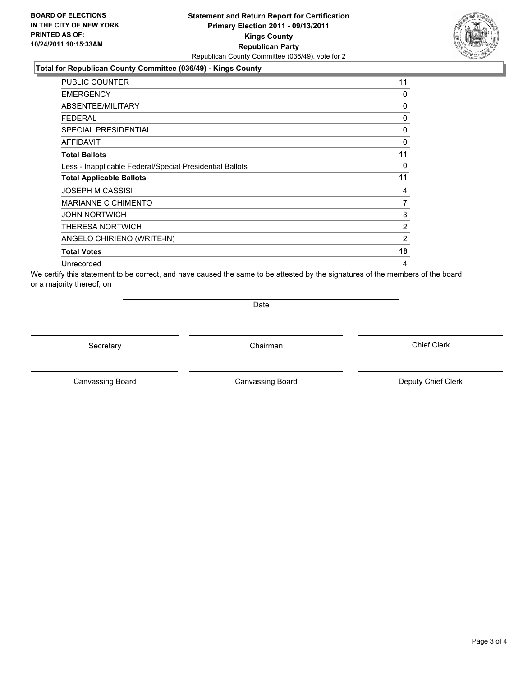### **Total for Republican County Committee (036/49) - Kings County**

| <b>PUBLIC COUNTER</b>                                    | 11 |
|----------------------------------------------------------|----|
| <b>EMERGENCY</b>                                         | 0  |
| ABSENTEE/MILITARY                                        | 0  |
| <b>FEDERAL</b>                                           | 0  |
| <b>SPECIAL PRESIDENTIAL</b>                              | 0  |
| <b>AFFIDAVIT</b>                                         | 0  |
| <b>Total Ballots</b>                                     | 11 |
| Less - Inapplicable Federal/Special Presidential Ballots | 0  |
| <b>Total Applicable Ballots</b>                          | 11 |
| <b>JOSEPH M CASSISI</b>                                  | 4  |
| MARIANNE C CHIMENTO                                      | 7  |
| <b>JOHN NORTWICH</b>                                     | 3  |
| <b>THERESA NORTWICH</b>                                  | 2  |
| ANGELO CHIRIENO (WRITE-IN)                               | 2  |
| <b>Total Votes</b>                                       | 18 |
| Unrecorded                                               | 4  |

We certify this statement to be correct, and have caused the same to be attested by the signatures of the members of the board, or a majority thereof, on

**Date** 

Secretary **Chairman** 

Canvassing Board **Canvassing Board** Canvassing Board **Deputy Chief Clerk** 

Canvassing Board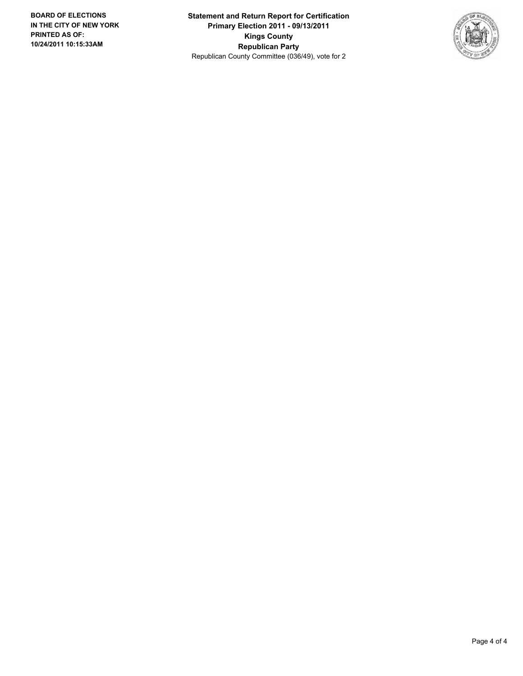**Statement and Return Report for Certification Primary Election 2011 - 09/13/2011 Kings County Republican Party** Republican County Committee (036/49), vote for 2

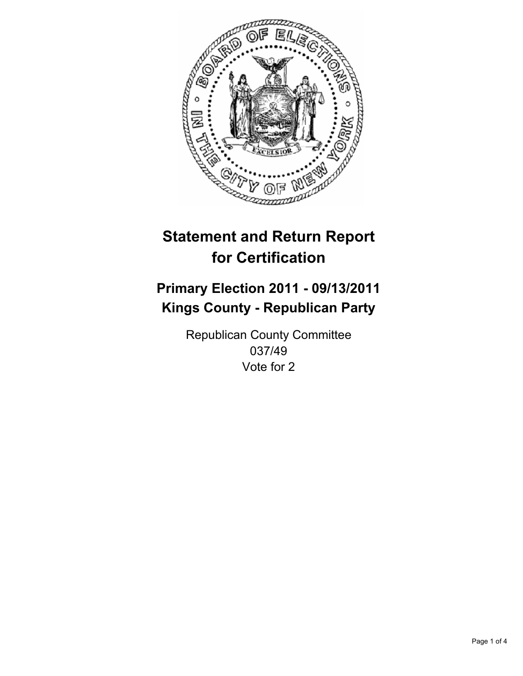

## **Primary Election 2011 - 09/13/2011 Kings County - Republican Party**

Republican County Committee 037/49 Vote for 2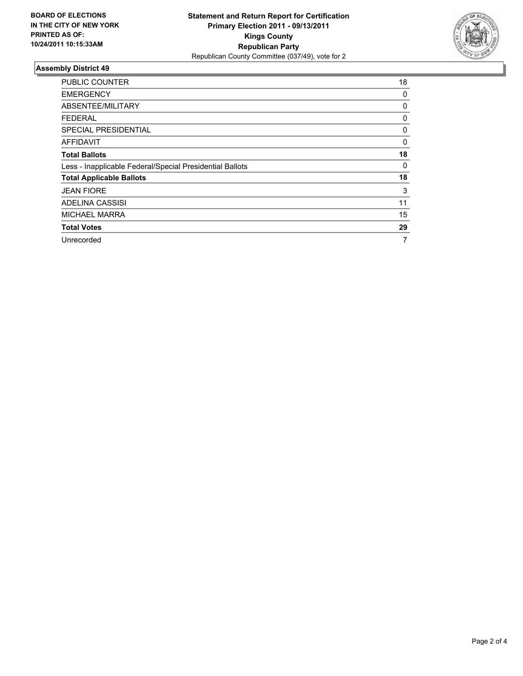

| <b>PUBLIC COUNTER</b>                                    | 18 |
|----------------------------------------------------------|----|
| <b>EMERGENCY</b>                                         | 0  |
| ABSENTEE/MILITARY                                        | 0  |
| FEDERAL                                                  | 0  |
| <b>SPECIAL PRESIDENTIAL</b>                              | 0  |
| AFFIDAVIT                                                | 0  |
| <b>Total Ballots</b>                                     | 18 |
| Less - Inapplicable Federal/Special Presidential Ballots | 0  |
| <b>Total Applicable Ballots</b>                          | 18 |
| <b>JEAN FIORE</b>                                        | 3  |
| ADELINA CASSISI                                          | 11 |
| <b>MICHAEL MARRA</b>                                     | 15 |
| <b>Total Votes</b>                                       | 29 |
| Unrecorded                                               | 7  |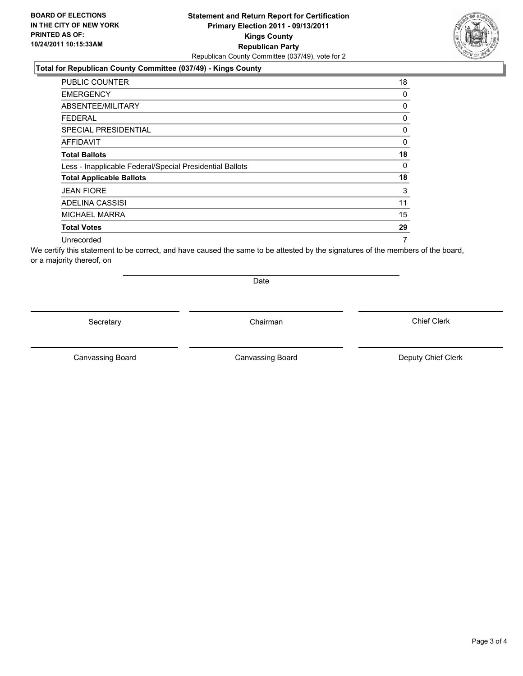#### **Statement and Return Report for Certification Primary Election 2011 - 09/13/2011 Kings County Republican Party** Republican County Committee (037/49), vote for 2

#### **Total for Republican County Committee (037/49) - Kings County**

| <b>PUBLIC COUNTER</b>                                    | 18 |
|----------------------------------------------------------|----|
| <b>EMERGENCY</b>                                         | 0  |
| ABSENTEE/MILITARY                                        | 0  |
| <b>FEDERAL</b>                                           | 0  |
| <b>SPECIAL PRESIDENTIAL</b>                              | 0  |
| <b>AFFIDAVIT</b>                                         | 0  |
| <b>Total Ballots</b>                                     | 18 |
| Less - Inapplicable Federal/Special Presidential Ballots | 0  |
| <b>Total Applicable Ballots</b>                          | 18 |
| <b>JEAN FIORE</b>                                        | 3  |
| ADELINA CASSISI                                          | 11 |
| <b>MICHAEL MARRA</b>                                     | 15 |
| <b>Total Votes</b>                                       | 29 |
| Unrecorded                                               | 7  |

We certify this statement to be correct, and have caused the same to be attested by the signatures of the members of the board, or a majority thereof, on

Secretary **Chairman** 

Canvassing Board

Canvassing Board **Canvassing Board** Canvassing Board **Deputy Chief Clerk** 

Chief Clerk



Date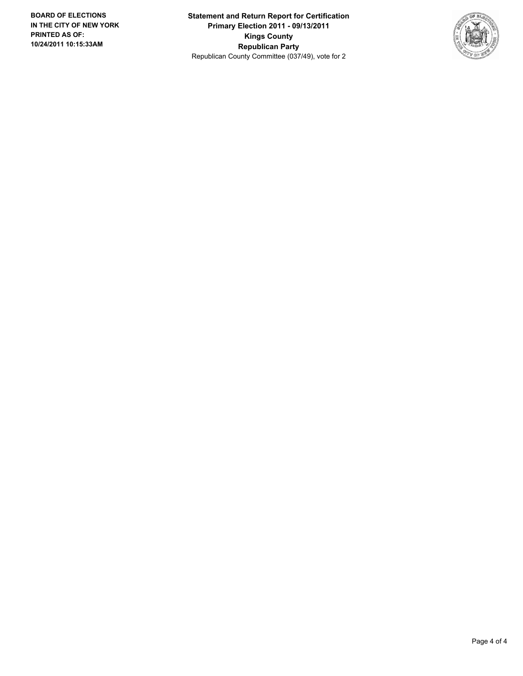**Statement and Return Report for Certification Primary Election 2011 - 09/13/2011 Kings County Republican Party** Republican County Committee (037/49), vote for 2

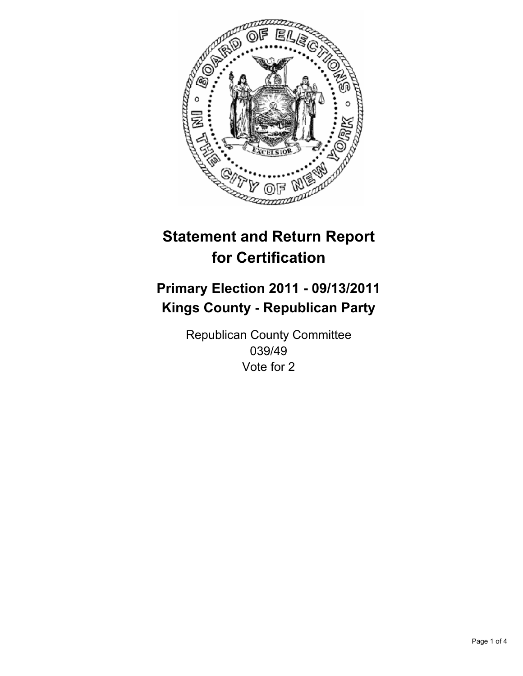

## **Primary Election 2011 - 09/13/2011 Kings County - Republican Party**

Republican County Committee 039/49 Vote for 2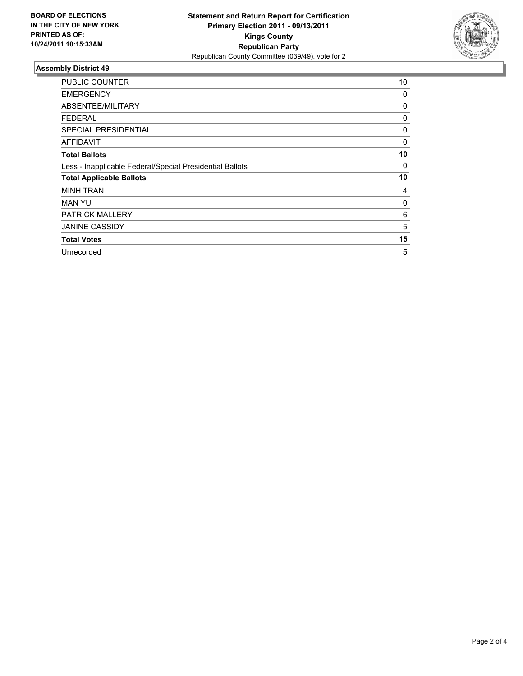

| <b>PUBLIC COUNTER</b>                                    | 10 |
|----------------------------------------------------------|----|
| <b>EMERGENCY</b>                                         | 0  |
| ABSENTEE/MILITARY                                        | 0  |
| <b>FEDERAL</b>                                           | 0  |
| <b>SPECIAL PRESIDENTIAL</b>                              | 0  |
| AFFIDAVIT                                                | 0  |
| <b>Total Ballots</b>                                     | 10 |
| Less - Inapplicable Federal/Special Presidential Ballots | 0  |
| <b>Total Applicable Ballots</b>                          | 10 |
| <b>MINH TRAN</b>                                         | 4  |
| MAN YU                                                   | 0  |
| <b>PATRICK MALLERY</b>                                   | 6  |
| <b>JANINE CASSIDY</b>                                    | 5  |
| <b>Total Votes</b>                                       | 15 |
| Unrecorded                                               | 5  |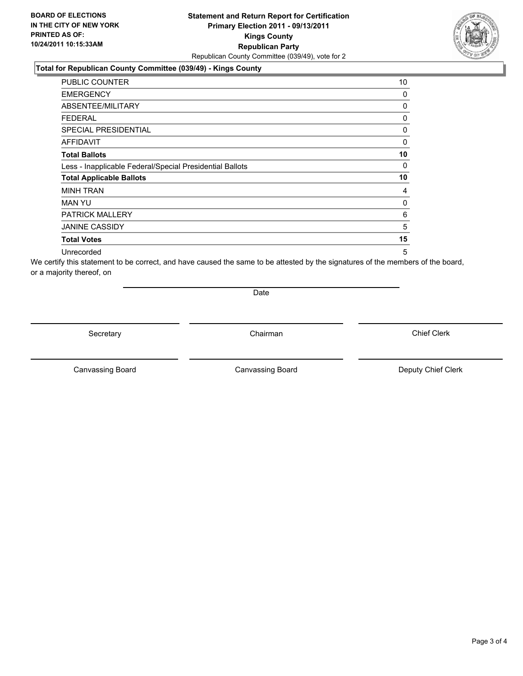#### **Statement and Return Report for Certification Primary Election 2011 - 09/13/2011 Kings County Republican Party** Republican County Committee (039/49), vote for 2

#### **Total for Republican County Committee (039/49) - Kings County**

| <b>PUBLIC COUNTER</b>                                    | 10 |
|----------------------------------------------------------|----|
| <b>EMERGENCY</b>                                         | 0  |
| <b>ABSENTEE/MILITARY</b>                                 | 0  |
| FEDERAL                                                  | 0  |
| <b>SPECIAL PRESIDENTIAL</b>                              | 0  |
| AFFIDAVIT                                                | 0  |
| <b>Total Ballots</b>                                     | 10 |
| Less - Inapplicable Federal/Special Presidential Ballots | 0  |
| <b>Total Applicable Ballots</b>                          | 10 |
| <b>MINH TRAN</b>                                         | 4  |
| <b>MAN YU</b>                                            | 0  |
| <b>PATRICK MALLERY</b>                                   | 6  |
| <b>JANINE CASSIDY</b>                                    | 5  |
| <b>Total Votes</b>                                       | 15 |
| Unrecorded                                               | 5  |

We certify this statement to be correct, and have caused the same to be attested by the signatures of the members of the board, or a majority thereof, on

Date

Secretary **Chairman** 

Canvassing Board **Canvassing Board** Canvassing Board **Deputy Chief Clerk** 

Canvassing Board

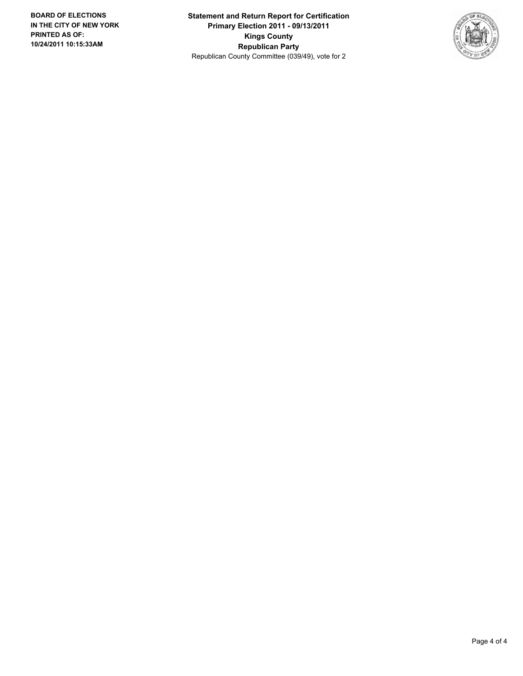**Statement and Return Report for Certification Primary Election 2011 - 09/13/2011 Kings County Republican Party** Republican County Committee (039/49), vote for 2

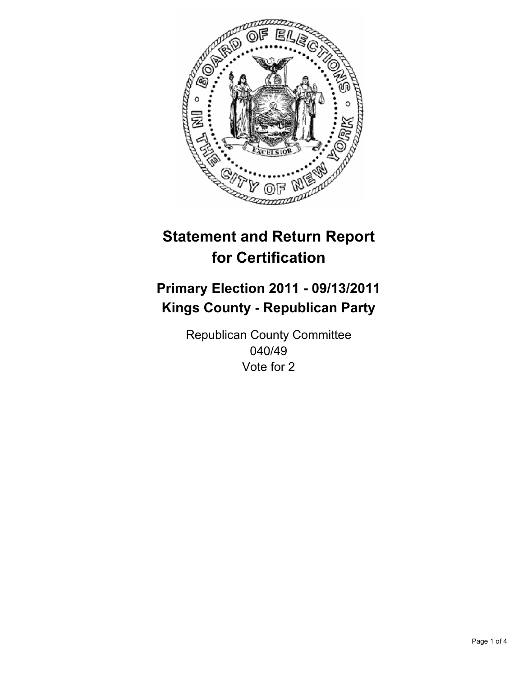

## **Primary Election 2011 - 09/13/2011 Kings County - Republican Party**

Republican County Committee 040/49 Vote for 2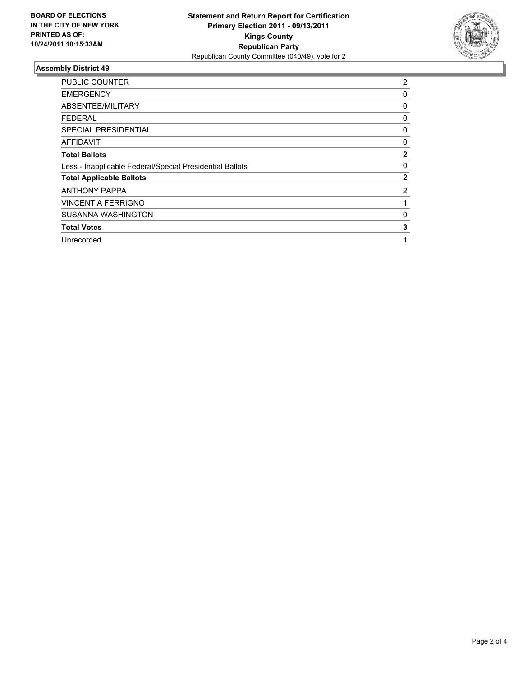

| <b>PUBLIC COUNTER</b>                                    | 2            |
|----------------------------------------------------------|--------------|
| <b>EMERGENCY</b>                                         | 0            |
| ABSENTEE/MILITARY                                        | 0            |
| FEDERAL                                                  | 0            |
| <b>SPECIAL PRESIDENTIAL</b>                              | 0            |
| <b>AFFIDAVIT</b>                                         | 0            |
| <b>Total Ballots</b>                                     | $\mathbf{2}$ |
| Less - Inapplicable Federal/Special Presidential Ballots | 0            |
| <b>Total Applicable Ballots</b>                          | $\mathbf{2}$ |
| <b>ANTHONY PAPPA</b>                                     | 2            |
| <b>VINCENT A FERRIGNO</b>                                | 1            |
| <b>SUSANNA WASHINGTON</b>                                | 0            |
| <b>Total Votes</b>                                       | 3            |
| Unrecorded                                               | 1            |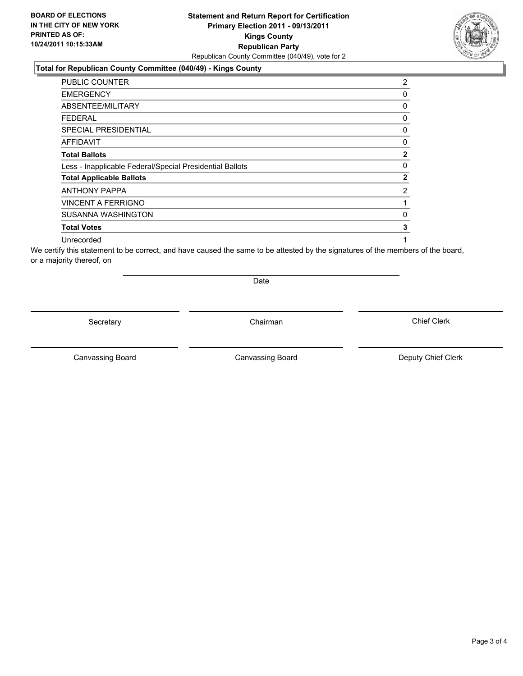#### **Total for Republican County Committee (040/49) - Kings County**

| <b>PUBLIC COUNTER</b>                                    | 2              |
|----------------------------------------------------------|----------------|
| <b>EMERGENCY</b>                                         | 0              |
| ABSENTEE/MILITARY                                        | 0              |
| FEDERAL                                                  | 0              |
| <b>SPECIAL PRESIDENTIAL</b>                              | 0              |
| <b>AFFIDAVIT</b>                                         | 0              |
| <b>Total Ballots</b>                                     | $\overline{2}$ |
| Less - Inapplicable Federal/Special Presidential Ballots | 0              |
| <b>Total Applicable Ballots</b>                          | $\overline{2}$ |
| <b>ANTHONY PAPPA</b>                                     | 2              |
| <b>VINCENT A FERRIGNO</b>                                | 1              |
| <b>SUSANNA WASHINGTON</b>                                | 0              |
| <b>Total Votes</b>                                       | 3              |
| Unrecorded                                               | 1              |

We certify this statement to be correct, and have caused the same to be attested by the signatures of the members of the board, or a majority thereof, on

Secretary **Chairman** 

Date

Canvassing Board **Canvassing Board** Canvassing Board **Deputy Chief Clerk** 

Canvassing Board

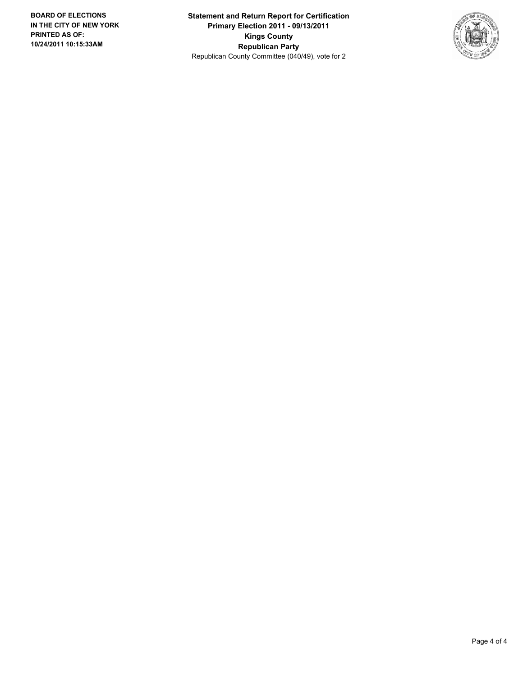**Statement and Return Report for Certification Primary Election 2011 - 09/13/2011 Kings County Republican Party** Republican County Committee (040/49), vote for 2

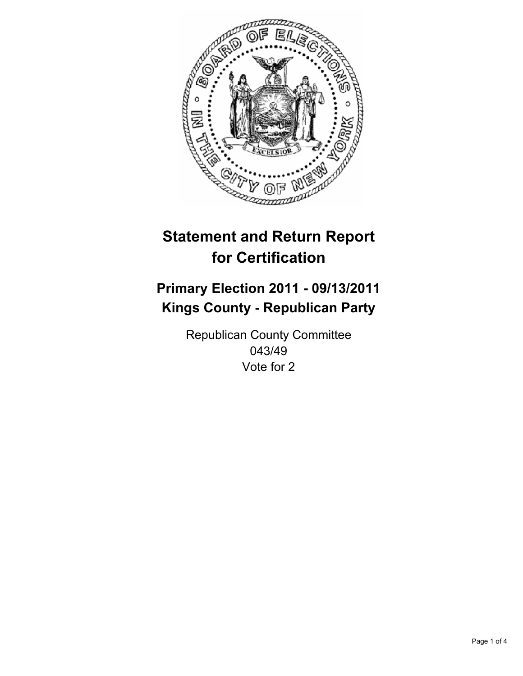

## **Primary Election 2011 - 09/13/2011 Kings County - Republican Party**

Republican County Committee 043/49 Vote for 2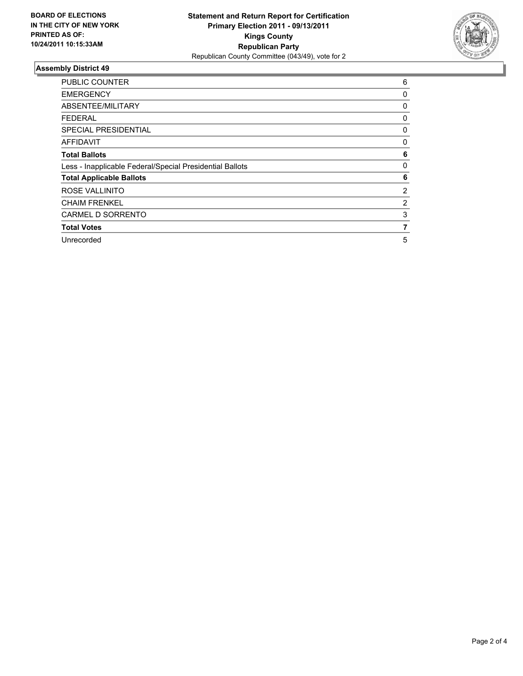

| <b>PUBLIC COUNTER</b>                                    | 6        |
|----------------------------------------------------------|----------|
| <b>EMERGENCY</b>                                         | 0        |
| ABSENTEE/MILITARY                                        | 0        |
| <b>FEDERAL</b>                                           | 0        |
| <b>SPECIAL PRESIDENTIAL</b>                              | 0        |
| <b>AFFIDAVIT</b>                                         | 0        |
| <b>Total Ballots</b>                                     | 6        |
| Less - Inapplicable Federal/Special Presidential Ballots | $\Omega$ |
| <b>Total Applicable Ballots</b>                          | 6        |
| ROSE VALLINITO                                           | 2        |
| <b>CHAIM FRENKEL</b>                                     | 2        |
| CARMEL D SORRENTO                                        | 3        |
| <b>Total Votes</b>                                       | 7        |
| Unrecorded                                               | 5        |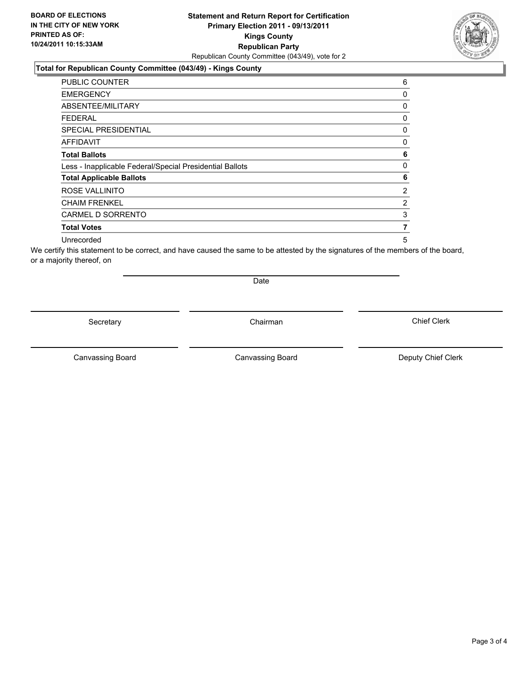### **Total for Republican County Committee (043/49) - Kings County**

| <b>PUBLIC COUNTER</b>                                    | 6              |
|----------------------------------------------------------|----------------|
| <b>EMERGENCY</b>                                         | 0              |
| ABSENTEE/MILITARY                                        | 0              |
| FEDERAL                                                  | 0              |
| <b>SPECIAL PRESIDENTIAL</b>                              | 0              |
| <b>AFFIDAVIT</b>                                         | 0              |
| <b>Total Ballots</b>                                     | 6              |
| Less - Inapplicable Federal/Special Presidential Ballots | 0              |
| <b>Total Applicable Ballots</b>                          | 6              |
| ROSE VALLINITO                                           | 2              |
| <b>CHAIM FRENKEL</b>                                     | $\overline{2}$ |
| CARMEL D SORRENTO                                        | 3              |
| <b>Total Votes</b>                                       | 7              |
| Unrecorded                                               | 5              |

We certify this statement to be correct, and have caused the same to be attested by the signatures of the members of the board, or a majority thereof, on

Secretary **Chairman** 

Date

Canvassing Board **Canvassing Board** Canvassing Board **Deputy Chief Clerk** 

Canvassing Board

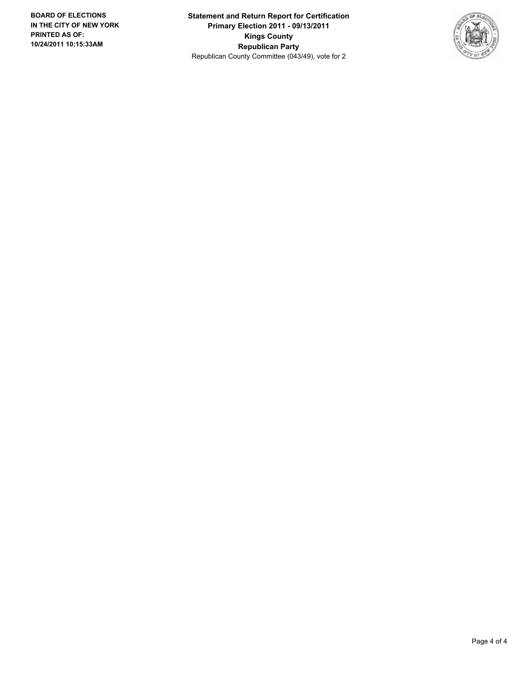**Statement and Return Report for Certification Primary Election 2011 - 09/13/2011 Kings County Republican Party** Republican County Committee (043/49), vote for 2

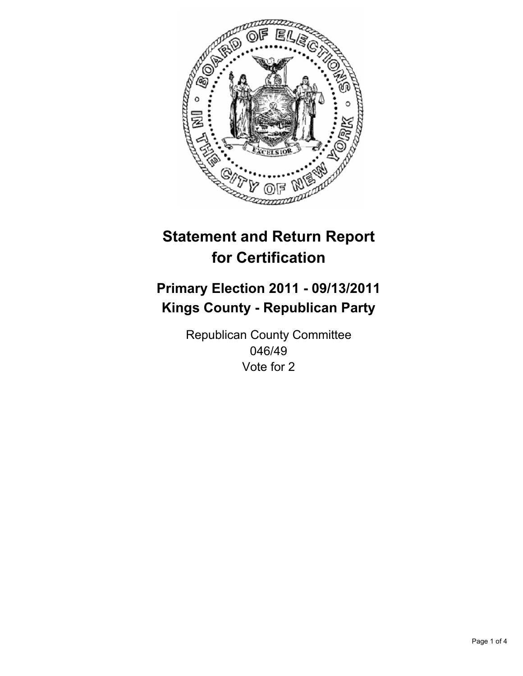

## **Primary Election 2011 - 09/13/2011 Kings County - Republican Party**

Republican County Committee 046/49 Vote for 2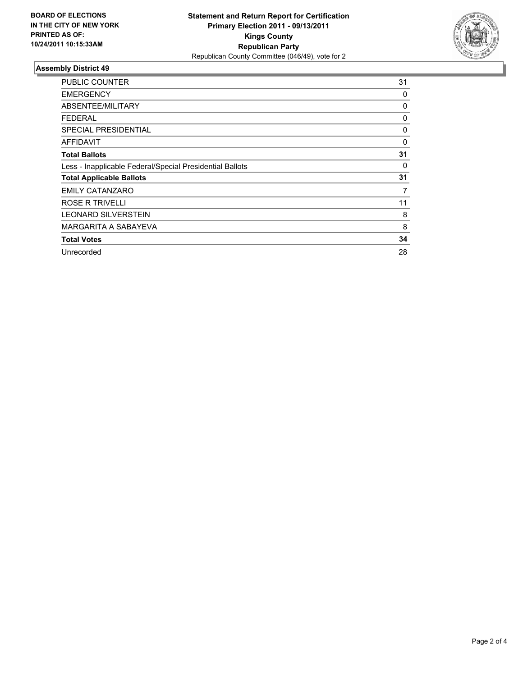

| <b>PUBLIC COUNTER</b>                                    | 31 |
|----------------------------------------------------------|----|
| <b>EMERGENCY</b>                                         | 0  |
| ABSENTEE/MILITARY                                        | 0  |
| <b>FEDERAL</b>                                           | 0  |
| <b>SPECIAL PRESIDENTIAL</b>                              | 0  |
| AFFIDAVIT                                                | 0  |
| <b>Total Ballots</b>                                     | 31 |
| Less - Inapplicable Federal/Special Presidential Ballots | 0  |
| <b>Total Applicable Ballots</b>                          | 31 |
| <b>EMILY CATANZARO</b>                                   | 7  |
| ROSE R TRIVELLI                                          | 11 |
| <b>LEONARD SILVERSTEIN</b>                               | 8  |
| MARGARITA A SABAYEVA                                     | 8  |
| <b>Total Votes</b>                                       | 34 |
| Unrecorded                                               | 28 |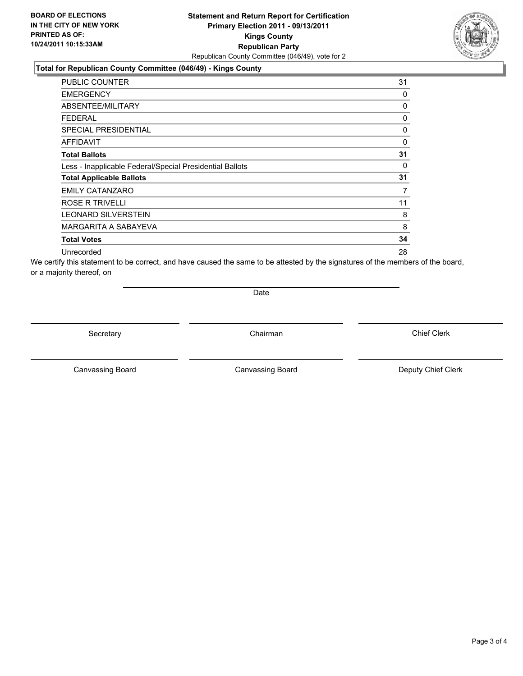#### **Statement and Return Report for Certification Primary Election 2011 - 09/13/2011 Kings County Republican Party** Republican County Committee (046/49), vote for 2

#### **Total for Republican County Committee (046/49) - Kings County**

| PUBLIC COUNTER                                           | 31          |
|----------------------------------------------------------|-------------|
| <b>EMERGENCY</b>                                         | 0           |
| ABSENTEE/MILITARY                                        | 0           |
| FEDERAL                                                  | 0           |
| <b>SPECIAL PRESIDENTIAL</b>                              | 0           |
| <b>AFFIDAVIT</b>                                         | $\mathbf 0$ |
| <b>Total Ballots</b>                                     | 31          |
| Less - Inapplicable Federal/Special Presidential Ballots | 0           |
| <b>Total Applicable Ballots</b>                          | 31          |
| <b>EMILY CATANZARO</b>                                   | 7           |
| ROSE R TRIVELLI                                          | 11          |
| LEONARD SILVERSTEIN                                      | 8           |
| MARGARITA A SABAYEVA                                     | 8           |
| <b>Total Votes</b>                                       | 34          |
| Unrecorded                                               | 28          |

We certify this statement to be correct, and have caused the same to be attested by the signatures of the members of the board, or a majority thereof, on

Date

Secretary **Chairman** 

Canvassing Board **Canvassing Board** Canvassing Board **Deputy Chief Clerk** 

Canvassing Board

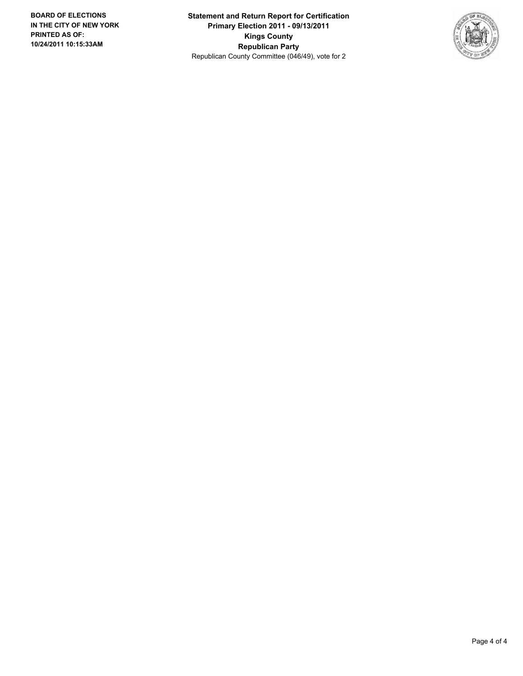**Statement and Return Report for Certification Primary Election 2011 - 09/13/2011 Kings County Republican Party** Republican County Committee (046/49), vote for 2

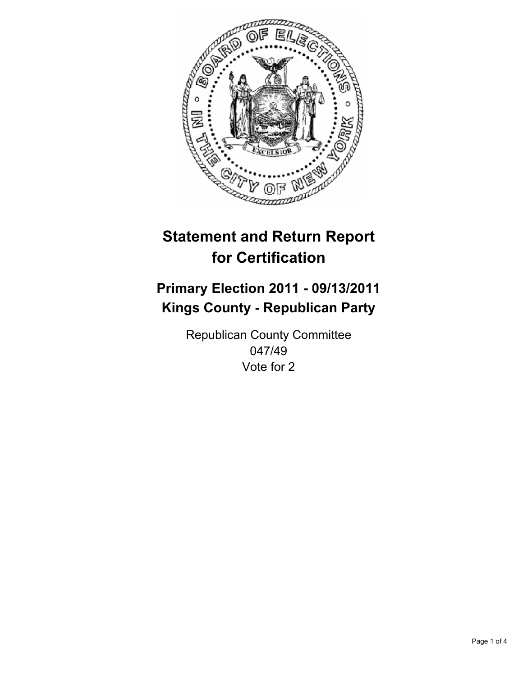

## **Primary Election 2011 - 09/13/2011 Kings County - Republican Party**

Republican County Committee 047/49 Vote for 2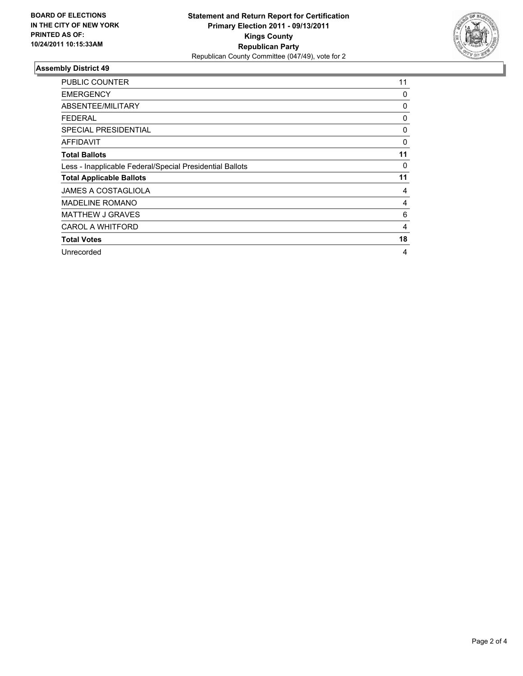

| <b>PUBLIC COUNTER</b>                                    | 11 |
|----------------------------------------------------------|----|
| <b>EMERGENCY</b>                                         | 0  |
| ABSENTEE/MILITARY                                        | 0  |
| <b>FEDERAL</b>                                           | 0  |
| <b>SPECIAL PRESIDENTIAL</b>                              | 0  |
| AFFIDAVIT                                                | 0  |
| <b>Total Ballots</b>                                     | 11 |
| Less - Inapplicable Federal/Special Presidential Ballots | 0  |
| <b>Total Applicable Ballots</b>                          | 11 |
| <b>JAMES A COSTAGLIOLA</b>                               | 4  |
| <b>MADELINE ROMANO</b>                                   | 4  |
| <b>MATTHEW J GRAVES</b>                                  | 6  |
| <b>CAROL A WHITFORD</b>                                  | 4  |
| <b>Total Votes</b>                                       | 18 |
| Unrecorded                                               | 4  |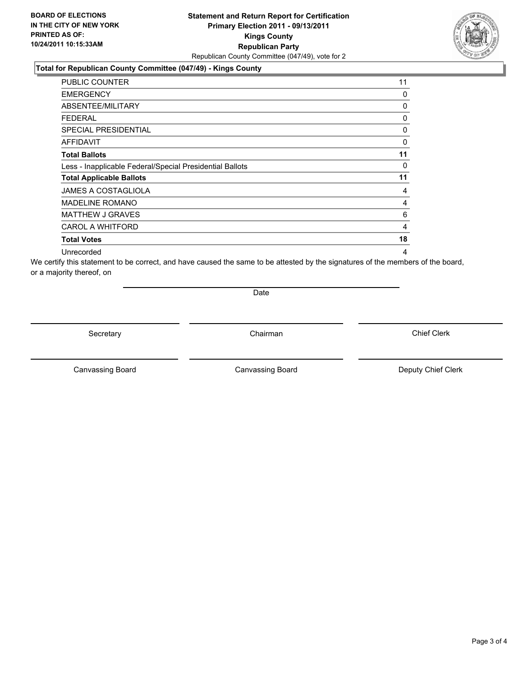### **Total for Republican County Committee (047/49) - Kings County**

| PUBLIC COUNTER                                           | 11 |
|----------------------------------------------------------|----|
| <b>EMERGENCY</b>                                         | 0  |
| ABSENTEE/MILITARY                                        | 0  |
| <b>FEDERAL</b>                                           | 0  |
| SPECIAL PRESIDENTIAL                                     | 0  |
| <b>AFFIDAVIT</b>                                         | 0  |
| <b>Total Ballots</b>                                     | 11 |
| Less - Inapplicable Federal/Special Presidential Ballots | 0  |
| <b>Total Applicable Ballots</b>                          | 11 |
| <b>JAMES A COSTAGLIOLA</b>                               | 4  |
| <b>MADELINE ROMANO</b>                                   | 4  |
| <b>MATTHEW J GRAVES</b>                                  | 6  |
| <b>CAROL A WHITFORD</b>                                  | 4  |
| <b>Total Votes</b>                                       | 18 |
| Unrecorded                                               | 4  |

We certify this statement to be correct, and have caused the same to be attested by the signatures of the members of the board, or a majority thereof, on

Date

Secretary **Chairman** 

Canvassing Board **Canvassing Board** Canvassing Board **Deputy Chief Clerk** 

Canvassing Board

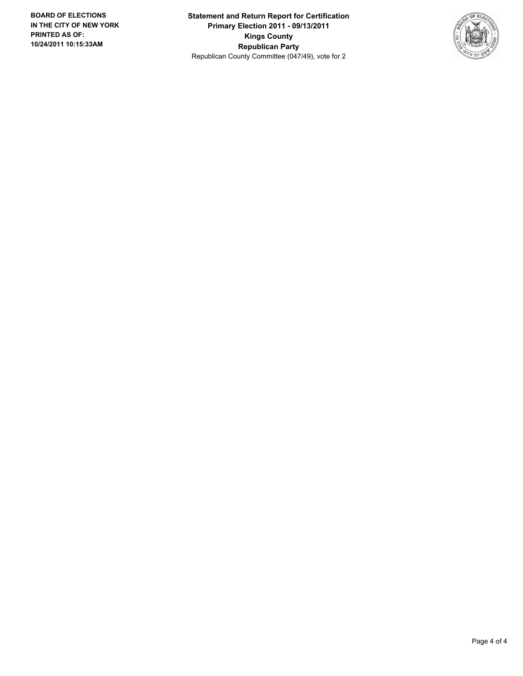**Statement and Return Report for Certification Primary Election 2011 - 09/13/2011 Kings County Republican Party** Republican County Committee (047/49), vote for 2

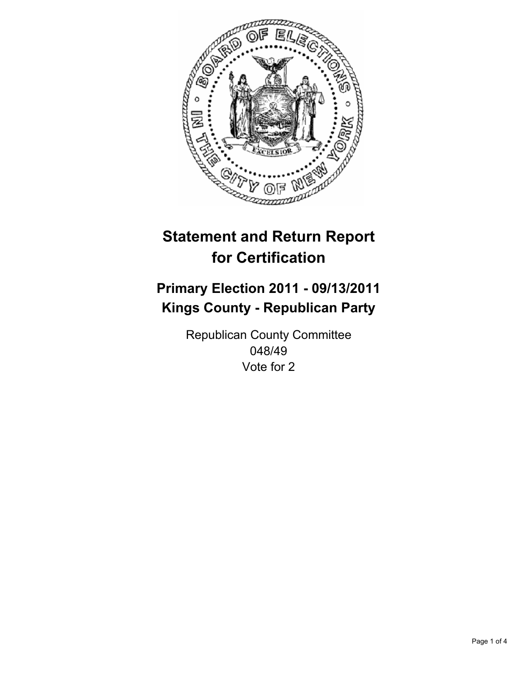

## **Primary Election 2011 - 09/13/2011 Kings County - Republican Party**

Republican County Committee 048/49 Vote for 2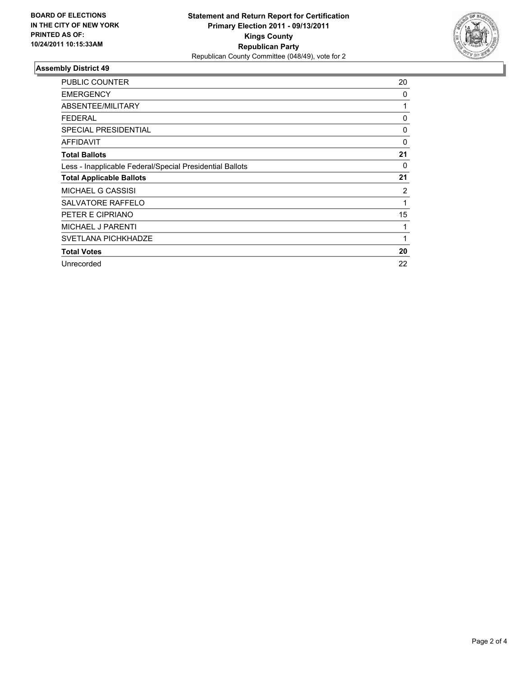

| <b>PUBLIC COUNTER</b>                                    | 20             |
|----------------------------------------------------------|----------------|
| <b>EMERGENCY</b>                                         | 0              |
| ABSENTEE/MILITARY                                        | 1              |
| FEDERAL                                                  | 0              |
| <b>SPECIAL PRESIDENTIAL</b>                              | 0              |
| <b>AFFIDAVIT</b>                                         | 0              |
| <b>Total Ballots</b>                                     | 21             |
| Less - Inapplicable Federal/Special Presidential Ballots | 0              |
| <b>Total Applicable Ballots</b>                          | 21             |
| <b>MICHAEL G CASSISI</b>                                 | $\overline{2}$ |
| SALVATORE RAFFELO                                        | 1              |
| PETER E CIPRIANO                                         | 15             |
| <b>MICHAEL J PARENTI</b>                                 | 1              |
|                                                          |                |
| SVETLANA PICHKHADZE                                      | 1              |
| <b>Total Votes</b>                                       | 20             |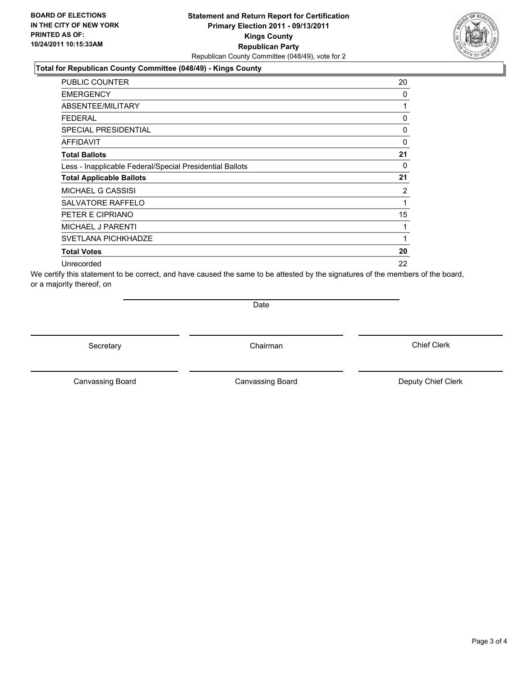#### **Total for Republican County Committee (048/49) - Kings County**

| <b>PUBLIC COUNTER</b>                                    | 20           |
|----------------------------------------------------------|--------------|
| <b>EMERGENCY</b>                                         | 0            |
| ABSENTEE/MILITARY                                        | 1            |
| FEDERAL                                                  | 0            |
| <b>SPECIAL PRESIDENTIAL</b>                              | 0            |
| AFFIDAVIT                                                | $\mathbf{0}$ |
| <b>Total Ballots</b>                                     | 21           |
| Less - Inapplicable Federal/Special Presidential Ballots | 0            |
| <b>Total Applicable Ballots</b>                          | 21           |
| <b>MICHAEL G CASSISI</b>                                 | 2            |
| SALVATORE RAFFELO                                        | 1            |
| PETER E CIPRIANO                                         | 15           |
| <b>MICHAEL J PARENTI</b>                                 | 1            |
| <b>SVETLANA PICHKHADZE</b>                               | 1            |
| <b>Total Votes</b>                                       | 20           |
| Unrecorded                                               | 22           |

We certify this statement to be correct, and have caused the same to be attested by the signatures of the members of the board, or a majority thereof, on

**Date** 

Secretary **Chairman** 

Canvassing Board **Canvassing Board** Canvassing Board **Deputy Chief Clerk** 

Canvassing Board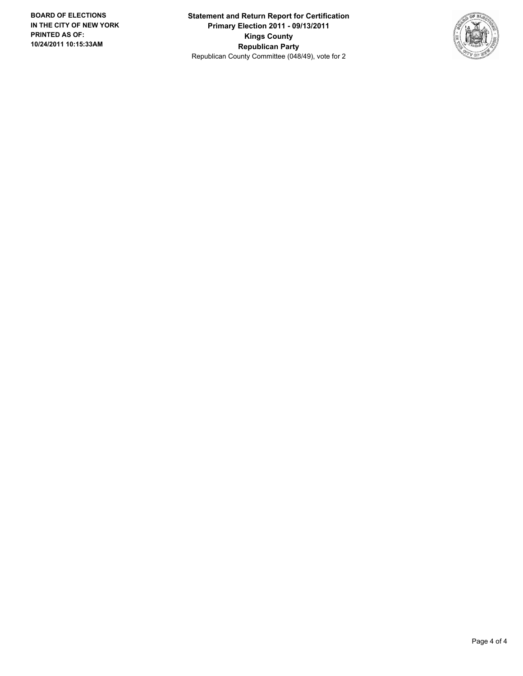**Statement and Return Report for Certification Primary Election 2011 - 09/13/2011 Kings County Republican Party** Republican County Committee (048/49), vote for 2

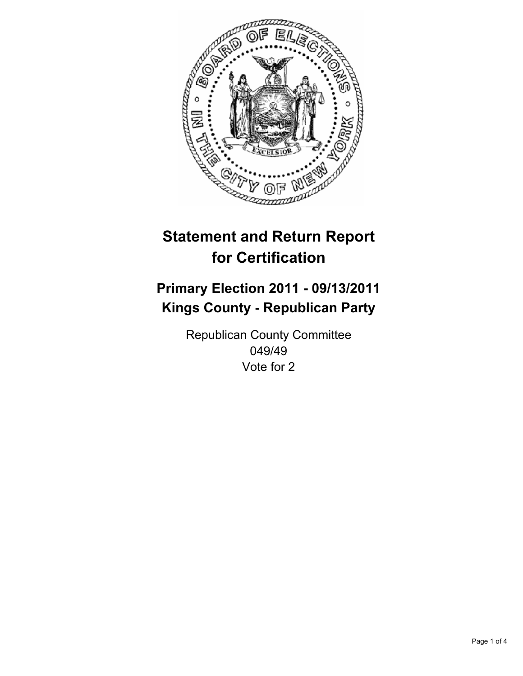

## **Primary Election 2011 - 09/13/2011 Kings County - Republican Party**

Republican County Committee 049/49 Vote for 2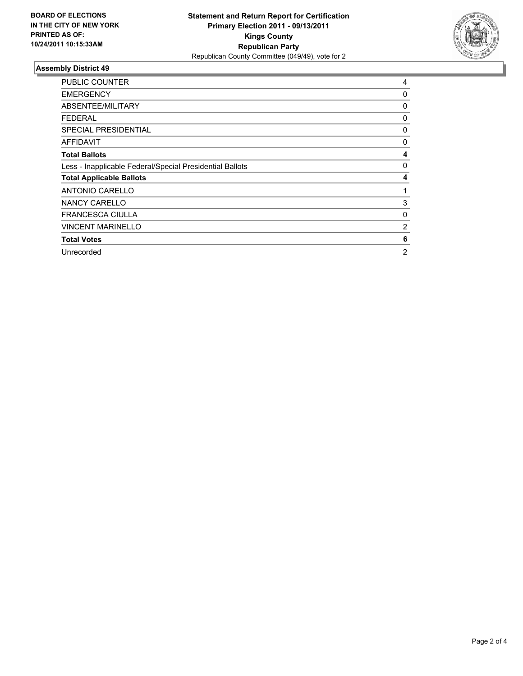

| <b>PUBLIC COUNTER</b>                                    | 4 |
|----------------------------------------------------------|---|
| <b>EMERGENCY</b>                                         | 0 |
| ABSENTEE/MILITARY                                        | 0 |
| <b>FEDERAL</b>                                           | 0 |
| <b>SPECIAL PRESIDENTIAL</b>                              | 0 |
| <b>AFFIDAVIT</b>                                         | 0 |
| <b>Total Ballots</b>                                     | 4 |
| Less - Inapplicable Federal/Special Presidential Ballots | 0 |
| <b>Total Applicable Ballots</b>                          | 4 |
| <b>ANTONIO CARELLO</b>                                   | 1 |
| <b>NANCY CARELLO</b>                                     | 3 |
| <b>FRANCESCA CIULLA</b>                                  | 0 |
| <b>VINCENT MARINELLO</b>                                 | 2 |
| <b>Total Votes</b>                                       | 6 |
| Unrecorded                                               | 2 |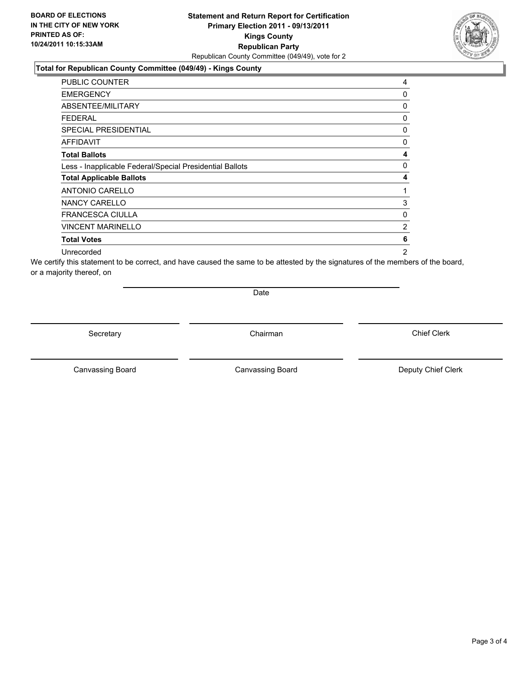### **Total for Republican County Committee (049/49) - Kings County**

| <b>PUBLIC COUNTER</b>                                    | 4              |
|----------------------------------------------------------|----------------|
| <b>EMERGENCY</b>                                         | 0              |
| ABSENTEE/MILITARY                                        | 0              |
| <b>FEDERAL</b>                                           | 0              |
| <b>SPECIAL PRESIDENTIAL</b>                              | 0              |
| <b>AFFIDAVIT</b>                                         | 0              |
| <b>Total Ballots</b>                                     | 4              |
| Less - Inapplicable Federal/Special Presidential Ballots | 0              |
| <b>Total Applicable Ballots</b>                          | 4              |
| <b>ANTONIO CARELLO</b>                                   | 1              |
| NANCY CARELLO                                            | 3              |
| <b>FRANCESCA CIULLA</b>                                  | 0              |
| <b>VINCENT MARINELLO</b>                                 | 2              |
| <b>Total Votes</b>                                       | 6              |
| Unrecorded                                               | $\overline{2}$ |

We certify this statement to be correct, and have caused the same to be attested by the signatures of the members of the board, or a majority thereof, on

Date

Secretary **Chairman** 

Canvassing Board **Canvassing Board** Canvassing Board **Deputy Chief Clerk** 

Canvassing Board

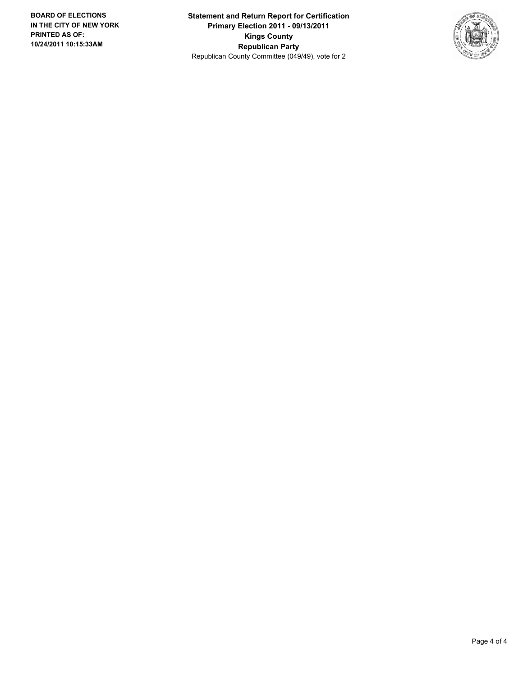**Statement and Return Report for Certification Primary Election 2011 - 09/13/2011 Kings County Republican Party** Republican County Committee (049/49), vote for 2

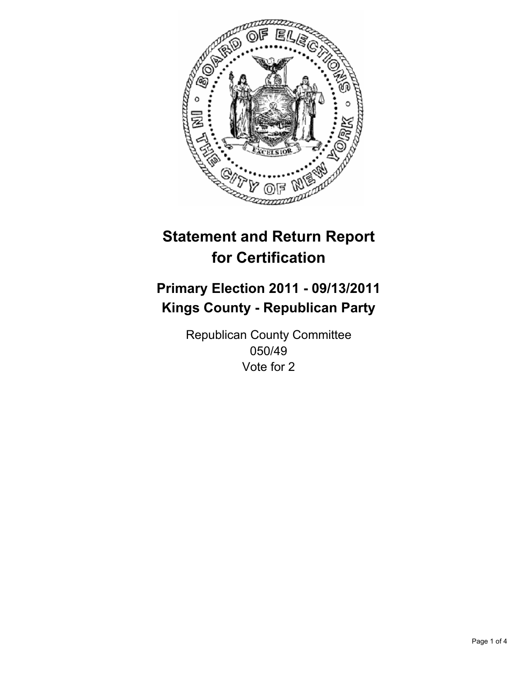

## **Primary Election 2011 - 09/13/2011 Kings County - Republican Party**

Republican County Committee 050/49 Vote for 2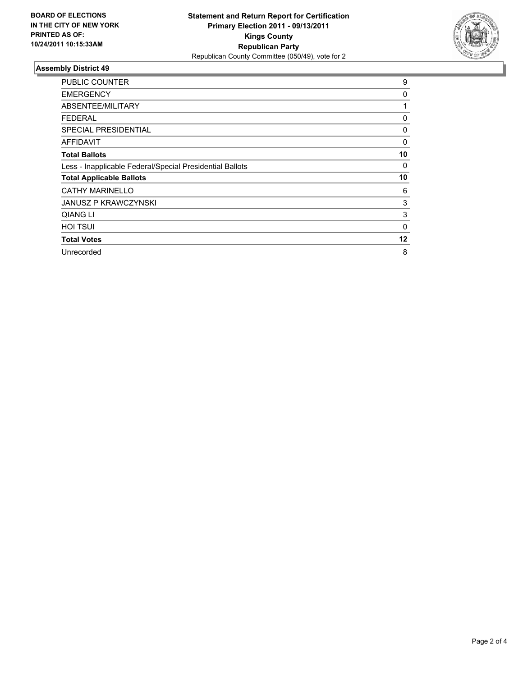

| <b>PUBLIC COUNTER</b>                                    | 9           |
|----------------------------------------------------------|-------------|
| <b>EMERGENCY</b>                                         | 0           |
| ABSENTEE/MILITARY                                        | 1           |
| FEDERAL                                                  | 0           |
| <b>SPECIAL PRESIDENTIAL</b>                              | 0           |
| <b>AFFIDAVIT</b>                                         | 0           |
| <b>Total Ballots</b>                                     | 10          |
| Less - Inapplicable Federal/Special Presidential Ballots | 0           |
| <b>Total Applicable Ballots</b>                          | 10          |
| <b>CATHY MARINELLO</b>                                   | 6           |
| <b>JANUSZ P KRAWCZYNSKI</b>                              | 3           |
| QIANG LI                                                 | 3           |
| <b>HOI TSUI</b>                                          | $\mathbf 0$ |
| <b>Total Votes</b>                                       | 12          |
| Unrecorded                                               | 8           |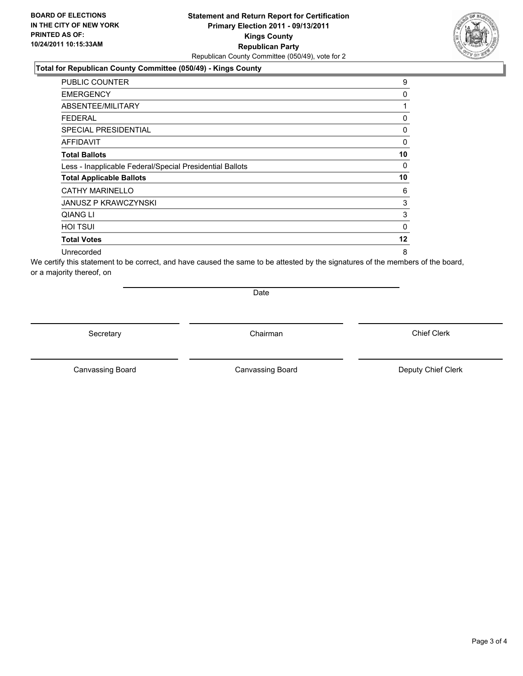#### **Total for Republican County Committee (050/49) - Kings County**

| <b>PUBLIC COUNTER</b>                                    | 9       |
|----------------------------------------------------------|---------|
| <b>EMERGENCY</b>                                         | 0       |
| ABSENTEE/MILITARY                                        | 1       |
| FEDERAL                                                  | 0       |
| <b>SPECIAL PRESIDENTIAL</b>                              | 0       |
| AFFIDAVIT                                                | 0       |
| <b>Total Ballots</b>                                     | 10      |
| Less - Inapplicable Federal/Special Presidential Ballots | 0       |
| <b>Total Applicable Ballots</b>                          | 10      |
| <b>CATHY MARINELLO</b>                                   | 6       |
| <b>JANUSZ P KRAWCZYNSKI</b>                              | 3       |
| QIANG LI                                                 | 3       |
| <b>HOI TSUI</b>                                          | 0       |
| <b>Total Votes</b>                                       | $12 \,$ |
| Unrecorded                                               | 8       |

We certify this statement to be correct, and have caused the same to be attested by the signatures of the members of the board, or a majority thereof, on

Date

Secretary **Chairman** 

Canvassing Board **Canvassing Board** Canvassing Board **Deputy Chief Clerk** 

Canvassing Board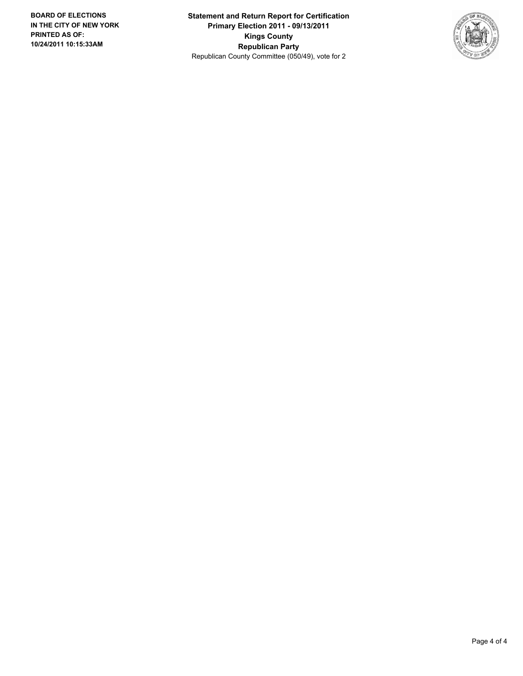**Statement and Return Report for Certification Primary Election 2011 - 09/13/2011 Kings County Republican Party** Republican County Committee (050/49), vote for 2

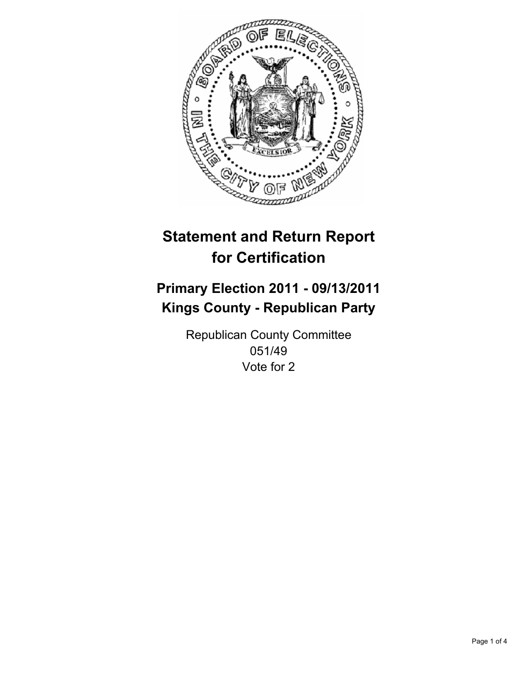

## **Primary Election 2011 - 09/13/2011 Kings County - Republican Party**

Republican County Committee 051/49 Vote for 2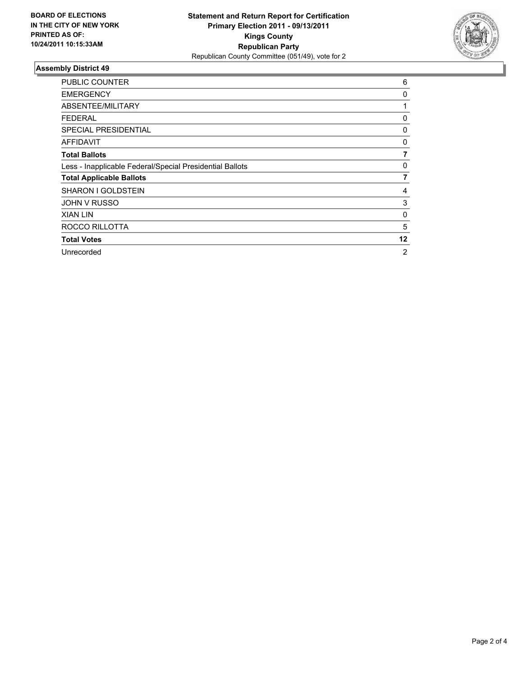

| <b>PUBLIC COUNTER</b>                                    | 6  |
|----------------------------------------------------------|----|
| <b>EMERGENCY</b>                                         | 0  |
| ABSENTEE/MILITARY                                        | 1  |
| <b>FEDERAL</b>                                           | 0  |
| <b>SPECIAL PRESIDENTIAL</b>                              | 0  |
| AFFIDAVIT                                                | 0  |
| <b>Total Ballots</b>                                     | 7  |
| Less - Inapplicable Federal/Special Presidential Ballots | 0  |
| <b>Total Applicable Ballots</b>                          | 7  |
| <b>SHARON I GOLDSTEIN</b>                                | 4  |
| <b>JOHN V RUSSO</b>                                      | 3  |
| <b>XIAN LIN</b>                                          | 0  |
| ROCCO RILLOTTA                                           | 5  |
| <b>Total Votes</b>                                       | 12 |
| Unrecorded                                               | 2  |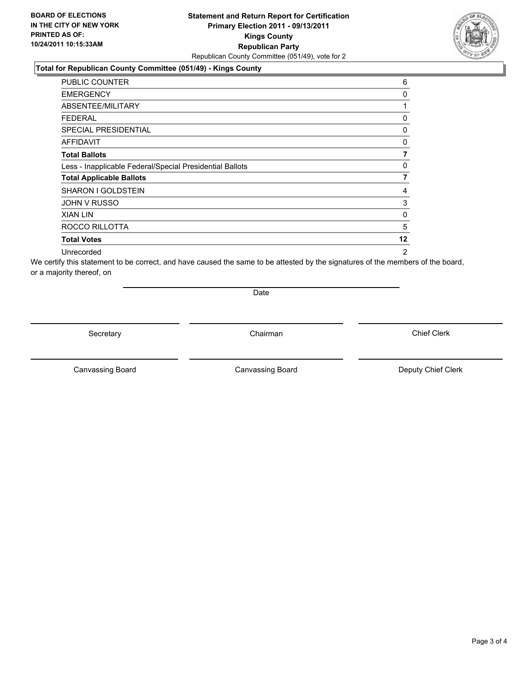#### **Total for Republican County Committee (051/49) - Kings County**

| PUBLIC COUNTER                                           | 6  |
|----------------------------------------------------------|----|
| <b>EMERGENCY</b>                                         | 0  |
| ABSENTEE/MILITARY                                        | 1  |
| <b>FEDERAL</b>                                           | 0  |
| <b>SPECIAL PRESIDENTIAL</b>                              | 0  |
| AFFIDAVIT                                                | 0  |
| <b>Total Ballots</b>                                     | 7  |
| Less - Inapplicable Federal/Special Presidential Ballots | 0  |
| <b>Total Applicable Ballots</b>                          | 7  |
| <b>SHARON I GOLDSTEIN</b>                                | 4  |
| <b>JOHN V RUSSO</b>                                      | 3  |
| <b>XIAN LIN</b>                                          | 0  |
| ROCCO RILLOTTA                                           | 5  |
| <b>Total Votes</b>                                       | 12 |
| Unrecorded                                               | 2  |

We certify this statement to be correct, and have caused the same to be attested by the signatures of the members of the board, or a majority thereof, on

Date

Secretary **Chairman** 

Canvassing Board **Canvassing Board** Canvassing Board **Deputy Chief Clerk** 

Canvassing Board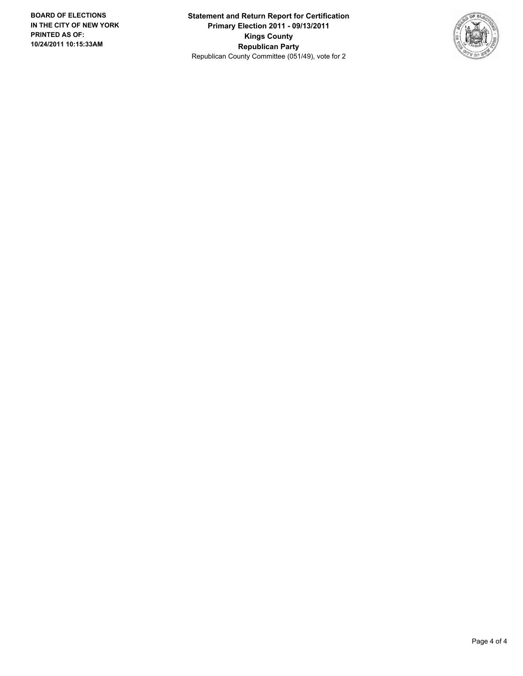**Statement and Return Report for Certification Primary Election 2011 - 09/13/2011 Kings County Republican Party** Republican County Committee (051/49), vote for 2

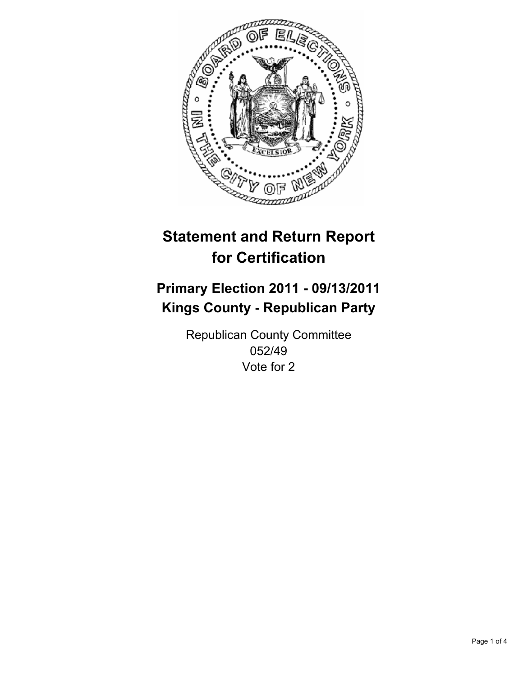

## **Primary Election 2011 - 09/13/2011 Kings County - Republican Party**

Republican County Committee 052/49 Vote for 2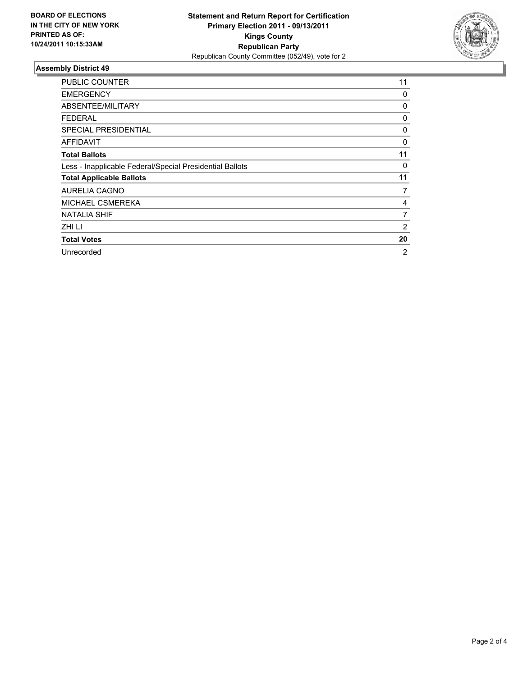

| <b>PUBLIC COUNTER</b>                                    | 11 |
|----------------------------------------------------------|----|
| <b>EMERGENCY</b>                                         | 0  |
| ABSENTEE/MILITARY                                        | 0  |
| <b>FEDERAL</b>                                           | 0  |
| <b>SPECIAL PRESIDENTIAL</b>                              | 0  |
| AFFIDAVIT                                                | 0  |
| <b>Total Ballots</b>                                     | 11 |
| Less - Inapplicable Federal/Special Presidential Ballots | 0  |
| <b>Total Applicable Ballots</b>                          | 11 |
| <b>AURELIA CAGNO</b>                                     | 7  |
| MICHAEL CSMEREKA                                         | 4  |
| <b>NATALIA SHIF</b>                                      | 7  |
| ZHI LI                                                   | 2  |
| <b>Total Votes</b>                                       | 20 |
| Unrecorded                                               | 2  |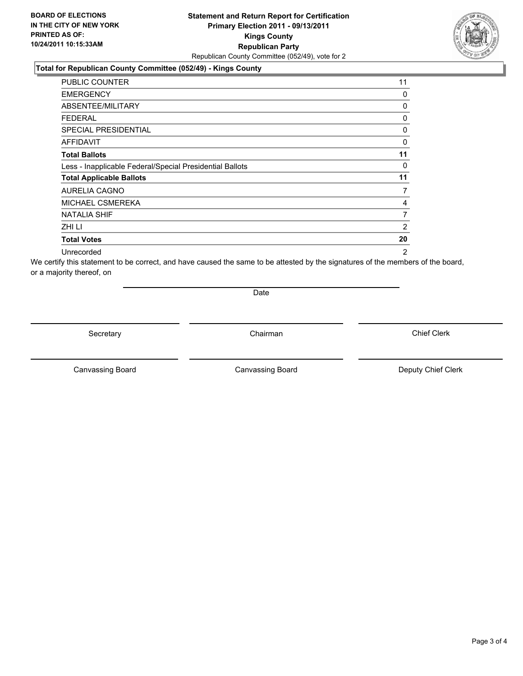#### **Total for Republican County Committee (052/49) - Kings County**

| <b>PUBLIC COUNTER</b>                                    | 11 |
|----------------------------------------------------------|----|
| <b>EMERGENCY</b>                                         | 0  |
| ABSENTEE/MILITARY                                        | 0  |
| <b>FEDERAL</b>                                           | 0  |
| <b>SPECIAL PRESIDENTIAL</b>                              | 0  |
| AFFIDAVIT                                                | 0  |
| <b>Total Ballots</b>                                     | 11 |
| Less - Inapplicable Federal/Special Presidential Ballots | 0  |
| <b>Total Applicable Ballots</b>                          | 11 |
| <b>AURELIA CAGNO</b>                                     | 7  |
| MICHAEL CSMEREKA                                         | 4  |
| <b>NATALIA SHIF</b>                                      | 7  |
| ZHI LI                                                   | 2  |
| <b>Total Votes</b>                                       | 20 |
| Unrecorded                                               | 2  |

We certify this statement to be correct, and have caused the same to be attested by the signatures of the members of the board, or a majority thereof, on

Date

Secretary **Chairman** 

Canvassing Board **Canvassing Board** Canvassing Board **Deputy Chief Clerk** 

Canvassing Board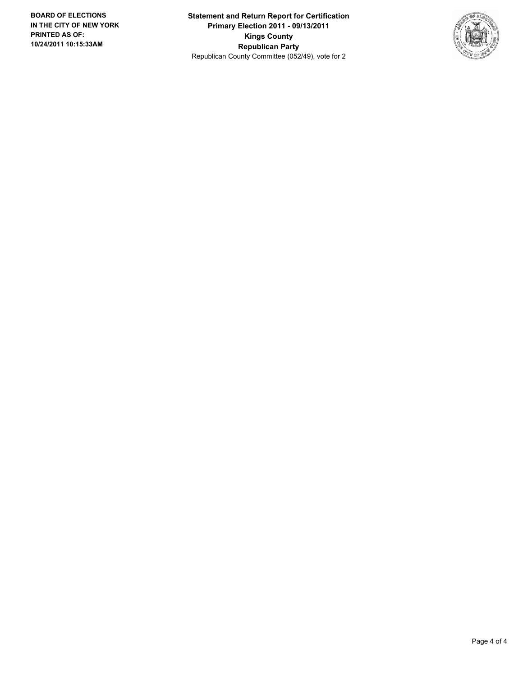**Statement and Return Report for Certification Primary Election 2011 - 09/13/2011 Kings County Republican Party** Republican County Committee (052/49), vote for 2

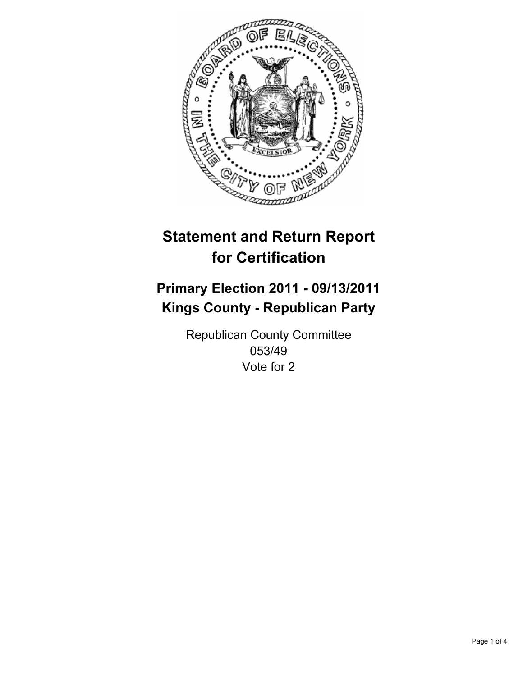

## **Primary Election 2011 - 09/13/2011 Kings County - Republican Party**

Republican County Committee 053/49 Vote for 2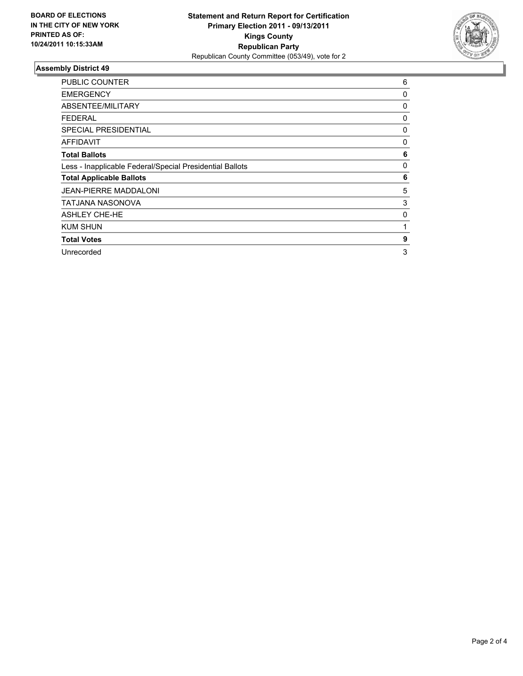

| <b>PUBLIC COUNTER</b>                                    | 6 |
|----------------------------------------------------------|---|
| <b>EMERGENCY</b>                                         | 0 |
| ABSENTEE/MILITARY                                        | 0 |
| <b>FEDERAL</b>                                           | 0 |
| SPECIAL PRESIDENTIAL                                     | 0 |
| AFFIDAVIT                                                | 0 |
| <b>Total Ballots</b>                                     | 6 |
| Less - Inapplicable Federal/Special Presidential Ballots | 0 |
| <b>Total Applicable Ballots</b>                          | 6 |
| <b>JEAN-PIERRE MADDALONI</b>                             | 5 |
| TATJANA NASONOVA                                         | 3 |
| <b>ASHLEY CHE-HE</b>                                     | 0 |
| <b>KUM SHUN</b>                                          | 1 |
| <b>Total Votes</b>                                       | 9 |
| Unrecorded                                               | 3 |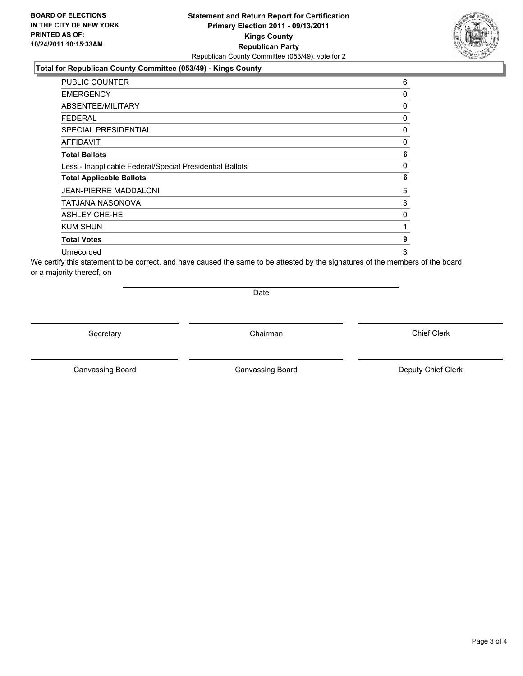#### **Total for Republican County Committee (053/49) - Kings County**

| <b>PUBLIC COUNTER</b>                                    | 6 |
|----------------------------------------------------------|---|
| <b>EMERGENCY</b>                                         | 0 |
| ABSENTEE/MILITARY                                        | 0 |
| <b>FEDERAL</b>                                           | 0 |
| <b>SPECIAL PRESIDENTIAL</b>                              | 0 |
| AFFIDAVIT                                                | 0 |
| <b>Total Ballots</b>                                     | 6 |
| Less - Inapplicable Federal/Special Presidential Ballots | 0 |
| <b>Total Applicable Ballots</b>                          | 6 |
| <b>JEAN-PIERRE MADDALONI</b>                             | 5 |
| TATJANA NASONOVA                                         | 3 |
| <b>ASHLEY CHE-HE</b>                                     | 0 |
| <b>KUM SHUN</b>                                          | 1 |
| <b>Total Votes</b>                                       | 9 |
| Unrecorded                                               | 3 |

We certify this statement to be correct, and have caused the same to be attested by the signatures of the members of the board, or a majority thereof, on

Date

Secretary **Chairman** 

Canvassing Board **Canvassing Board** Canvassing Board **Deputy Chief Clerk** 

Canvassing Board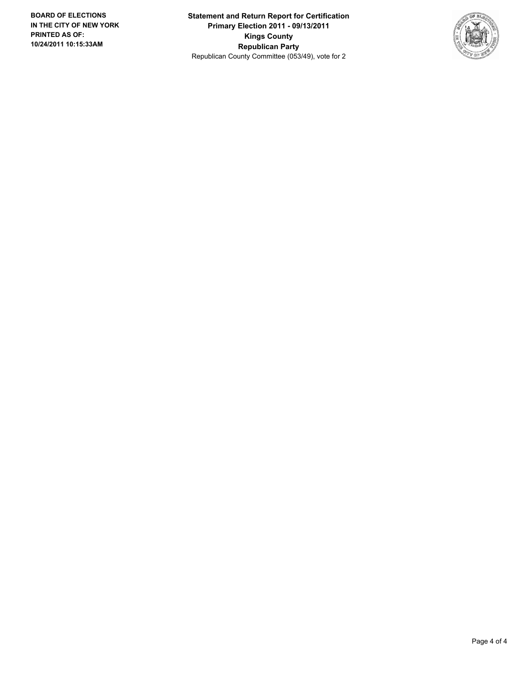**Statement and Return Report for Certification Primary Election 2011 - 09/13/2011 Kings County Republican Party** Republican County Committee (053/49), vote for 2

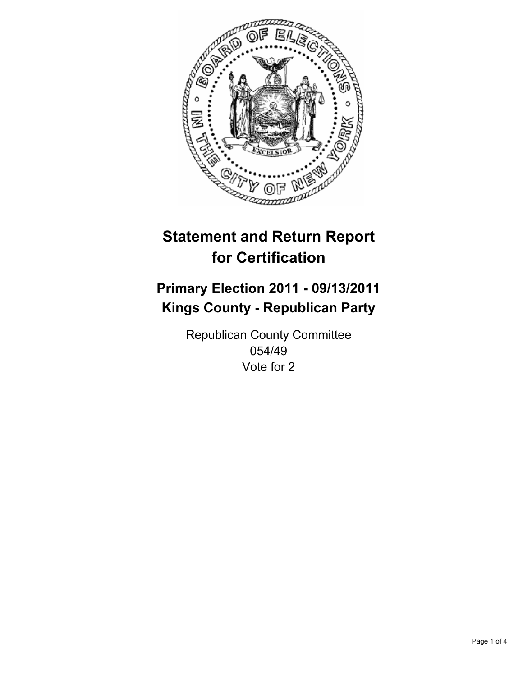

## **Primary Election 2011 - 09/13/2011 Kings County - Republican Party**

Republican County Committee 054/49 Vote for 2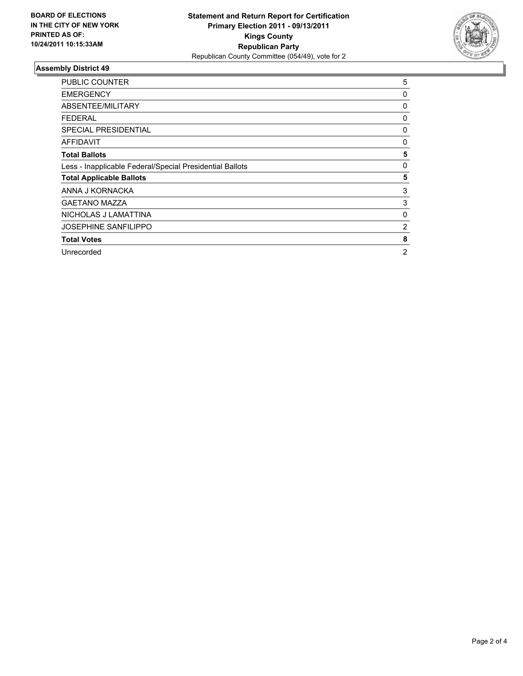

| <b>PUBLIC COUNTER</b>                                    | 5 |
|----------------------------------------------------------|---|
| <b>EMERGENCY</b>                                         | 0 |
| ABSENTEE/MILITARY                                        | 0 |
| <b>FEDERAL</b>                                           | 0 |
| <b>SPECIAL PRESIDENTIAL</b>                              | 0 |
| AFFIDAVIT                                                | 0 |
| <b>Total Ballots</b>                                     | 5 |
| Less - Inapplicable Federal/Special Presidential Ballots | 0 |
| <b>Total Applicable Ballots</b>                          | 5 |
| ANNA J KORNACKA                                          | 3 |
| <b>GAETANO MAZZA</b>                                     | 3 |
| NICHOLAS J LAMATTINA                                     | 0 |
| <b>JOSEPHINE SANFILIPPO</b>                              | 2 |
| <b>Total Votes</b>                                       | 8 |
| Unrecorded                                               | 2 |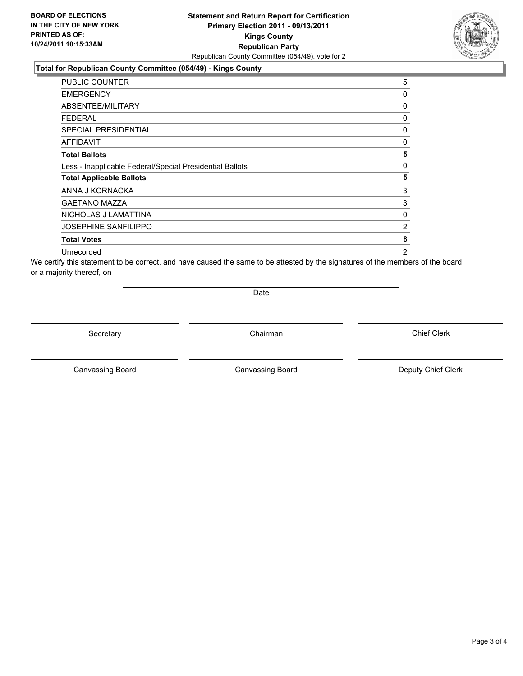### **Total for Republican County Committee (054/49) - Kings County**

| PUBLIC COUNTER                                           | 5              |
|----------------------------------------------------------|----------------|
| <b>EMERGENCY</b>                                         | 0              |
| ABSENTEE/MILITARY                                        | 0              |
| FEDERAL                                                  | 0              |
| SPECIAL PRESIDENTIAL                                     | 0              |
| <b>AFFIDAVIT</b>                                         | 0              |
| <b>Total Ballots</b>                                     | 5              |
| Less - Inapplicable Federal/Special Presidential Ballots | 0              |
| <b>Total Applicable Ballots</b>                          | 5              |
| ANNA J KORNACKA                                          | 3              |
| <b>GAETANO MAZZA</b>                                     | 3              |
| NICHOLAS J LAMATTINA                                     | 0              |
| <b>JOSEPHINE SANFILIPPO</b>                              | 2              |
| <b>Total Votes</b>                                       | 8              |
| Unrecorded                                               | $\overline{2}$ |

We certify this statement to be correct, and have caused the same to be attested by the signatures of the members of the board, or a majority thereof, on

Date

Secretary **Chairman** 

Canvassing Board

Canvassing Board **Canvassing Board** Canvassing Board **Deputy Chief Clerk** 

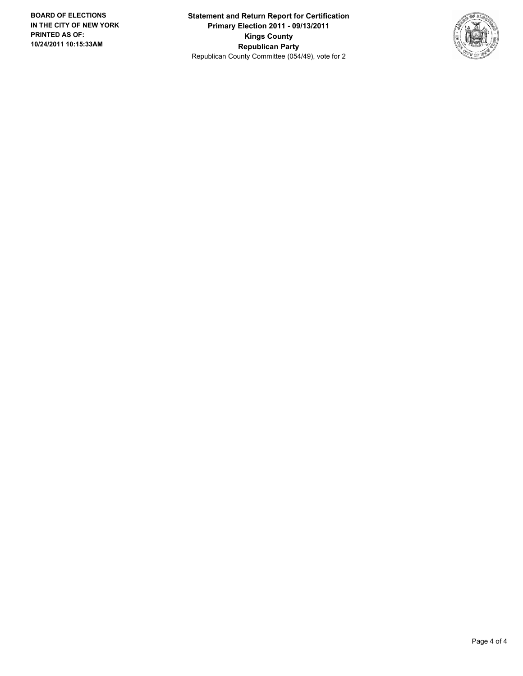**Statement and Return Report for Certification Primary Election 2011 - 09/13/2011 Kings County Republican Party** Republican County Committee (054/49), vote for 2

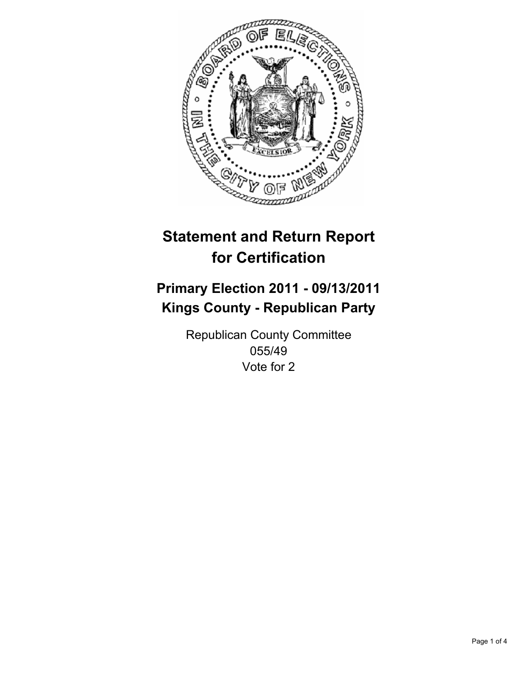

## **Primary Election 2011 - 09/13/2011 Kings County - Republican Party**

Republican County Committee 055/49 Vote for 2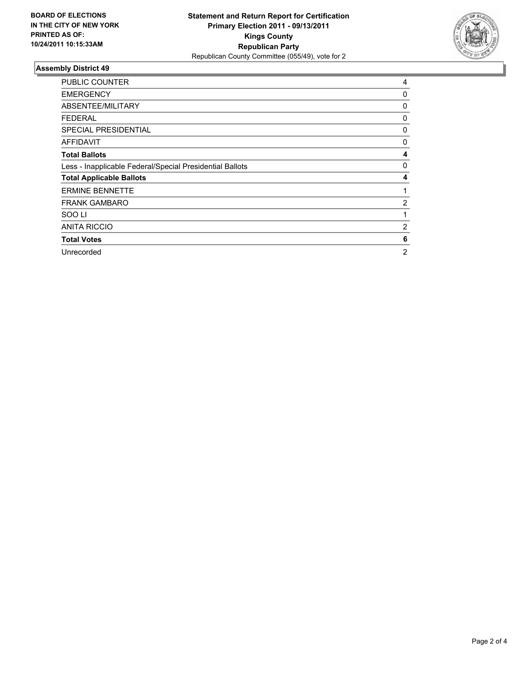

| <b>PUBLIC COUNTER</b>                                    | 4              |
|----------------------------------------------------------|----------------|
| <b>EMERGENCY</b>                                         | 0              |
| ABSENTEE/MILITARY                                        | 0              |
| <b>FEDERAL</b>                                           | 0              |
| <b>SPECIAL PRESIDENTIAL</b>                              | 0              |
| AFFIDAVIT                                                | 0              |
| <b>Total Ballots</b>                                     | 4              |
| Less - Inapplicable Federal/Special Presidential Ballots | 0              |
| <b>Total Applicable Ballots</b>                          | 4              |
| <b>ERMINE BENNETTE</b>                                   | 1              |
| <b>FRANK GAMBARO</b>                                     | $\overline{2}$ |
| SOO LI                                                   | 1              |
| <b>ANITA RICCIO</b>                                      | 2              |
| <b>Total Votes</b>                                       | 6              |
| Unrecorded                                               | 2              |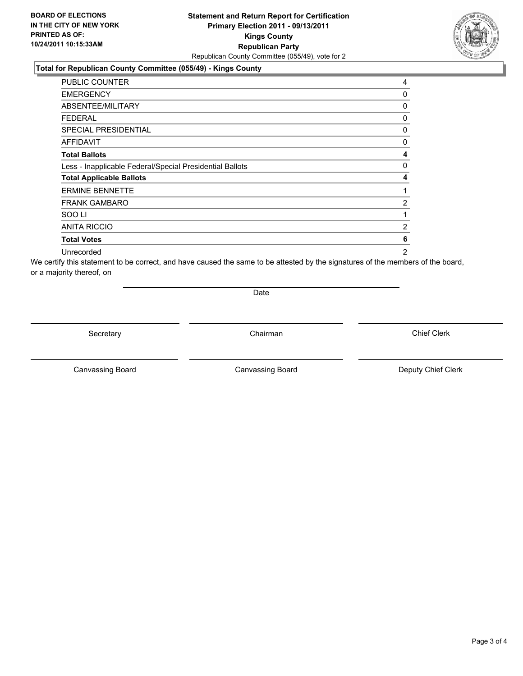#### **Statement and Return Report for Certification Primary Election 2011 - 09/13/2011 Kings County Republican Party** Republican County Committee (055/49), vote for 2

#### **Total for Republican County Committee (055/49) - Kings County**

| <b>PUBLIC COUNTER</b>                                    | 4              |
|----------------------------------------------------------|----------------|
| <b>EMERGENCY</b>                                         | 0              |
| ABSENTEE/MILITARY                                        | 0              |
| <b>FEDERAL</b>                                           | 0              |
| <b>SPECIAL PRESIDENTIAL</b>                              | 0              |
| <b>AFFIDAVIT</b>                                         | 0              |
| <b>Total Ballots</b>                                     | 4              |
| Less - Inapplicable Federal/Special Presidential Ballots | 0              |
| <b>Total Applicable Ballots</b>                          | 4              |
| <b>ERMINE BENNETTE</b>                                   | 1              |
| <b>FRANK GAMBARO</b>                                     | 2              |
| SOO LI                                                   | 1              |
| <b>ANITA RICCIO</b>                                      | 2              |
| <b>Total Votes</b>                                       | 6              |
| Unrecorded                                               | $\overline{2}$ |

We certify this statement to be correct, and have caused the same to be attested by the signatures of the members of the board, or a majority thereof, on

Date

Secretary **Chairman** 

Canvassing Board **Canvassing Board** Canvassing Board **Deputy Chief Clerk** 

Canvassing Board

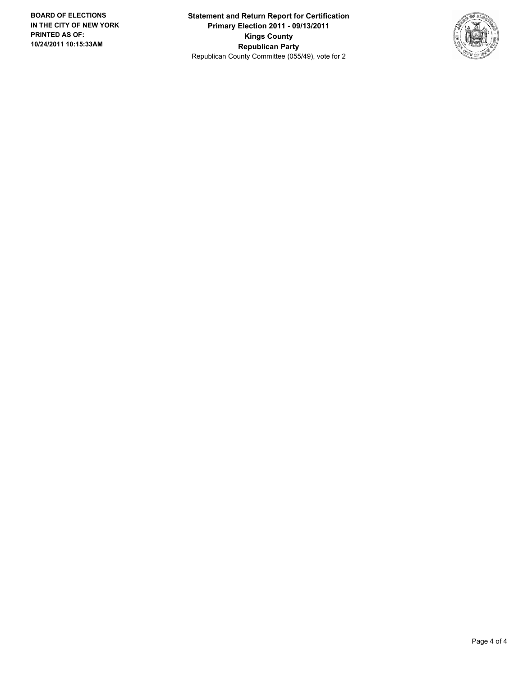**Statement and Return Report for Certification Primary Election 2011 - 09/13/2011 Kings County Republican Party** Republican County Committee (055/49), vote for 2

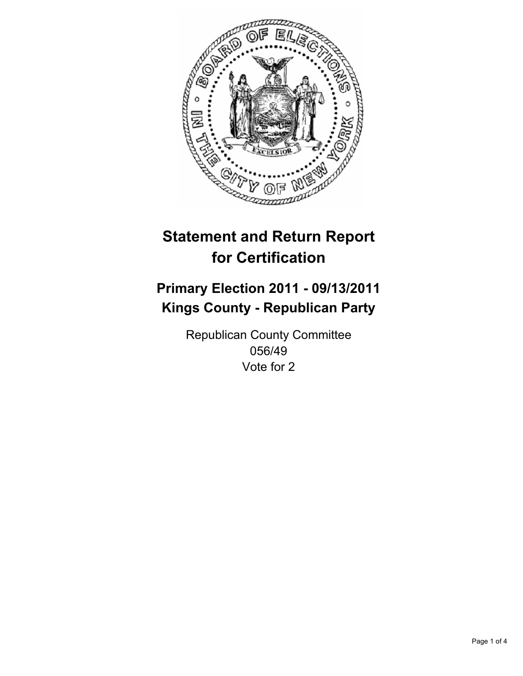

## **Primary Election 2011 - 09/13/2011 Kings County - Republican Party**

Republican County Committee 056/49 Vote for 2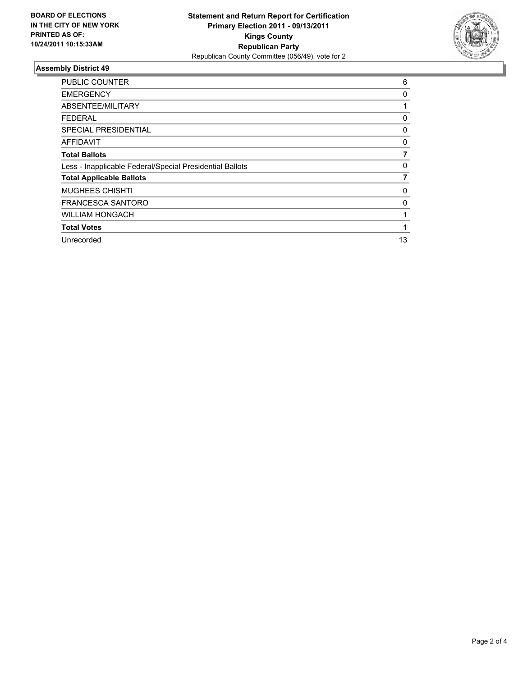

| <b>PUBLIC COUNTER</b>                                    | 6        |
|----------------------------------------------------------|----------|
| <b>EMERGENCY</b>                                         | 0        |
| ABSENTEE/MILITARY                                        |          |
| FEDERAL                                                  | 0        |
| <b>SPECIAL PRESIDENTIAL</b>                              | $\Omega$ |
| AFFIDAVIT                                                | 0        |
| <b>Total Ballots</b>                                     |          |
| Less - Inapplicable Federal/Special Presidential Ballots | 0        |
| <b>Total Applicable Ballots</b>                          | 7        |
| <b>MUGHEES CHISHTI</b>                                   | 0        |
| <b>FRANCESCA SANTORO</b>                                 | 0        |
| <b>WILLIAM HONGACH</b>                                   |          |
| <b>Total Votes</b>                                       |          |
| Unrecorded                                               | 13       |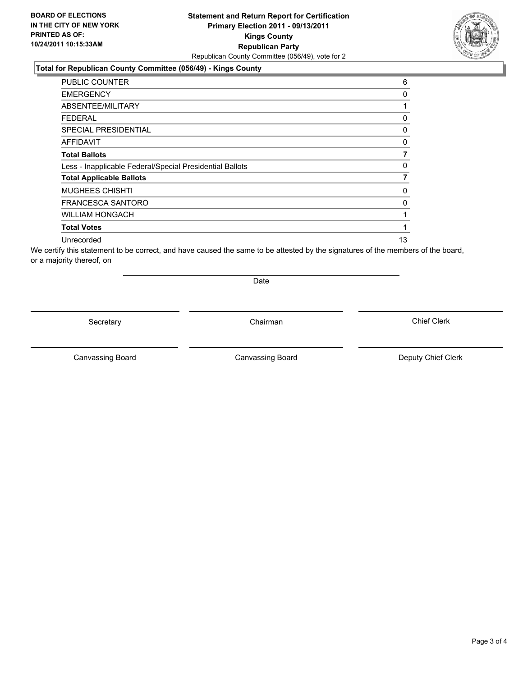### **Total for Republican County Committee (056/49) - Kings County**

| <b>PUBLIC COUNTER</b>                                    | 6  |
|----------------------------------------------------------|----|
| <b>EMERGENCY</b>                                         | 0  |
| ABSENTEE/MILITARY                                        |    |
| FEDERAL                                                  | 0  |
| <b>SPECIAL PRESIDENTIAL</b>                              | 0  |
| <b>AFFIDAVIT</b>                                         | 0  |
| <b>Total Ballots</b>                                     |    |
| Less - Inapplicable Federal/Special Presidential Ballots | 0  |
| <b>Total Applicable Ballots</b>                          | 7  |
| <b>MUGHEES CHISHTI</b>                                   | 0  |
| <b>FRANCESCA SANTORO</b>                                 | 0  |
| <b>WILLIAM HONGACH</b>                                   |    |
| <b>Total Votes</b>                                       |    |
| Unrecorded                                               | 13 |

We certify this statement to be correct, and have caused the same to be attested by the signatures of the members of the board, or a majority thereof, on

Secretary **Chairman** 

Date

Canvassing Board **Canvassing Board** Canvassing Board **Deputy Chief Clerk** 

Canvassing Board

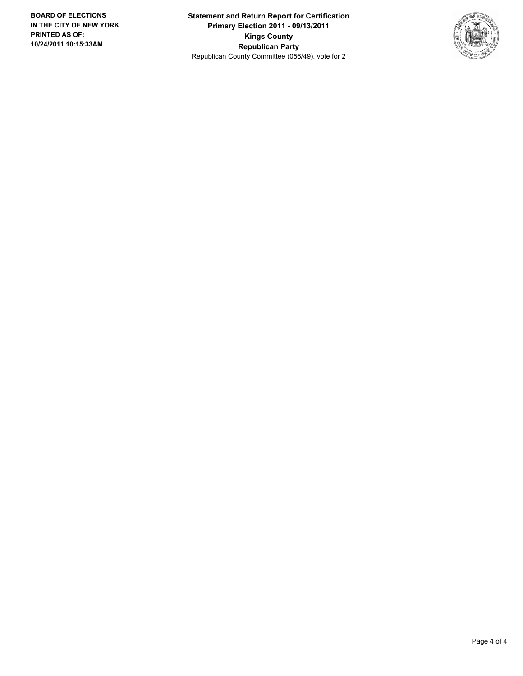**Statement and Return Report for Certification Primary Election 2011 - 09/13/2011 Kings County Republican Party** Republican County Committee (056/49), vote for 2

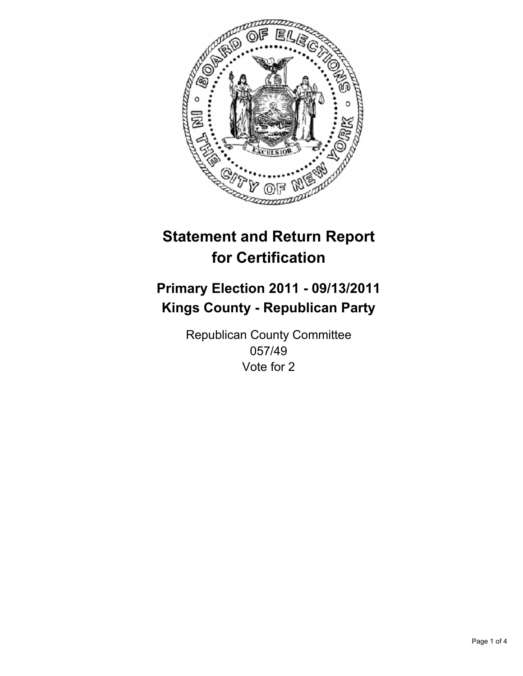

## **Primary Election 2011 - 09/13/2011 Kings County - Republican Party**

Republican County Committee 057/49 Vote for 2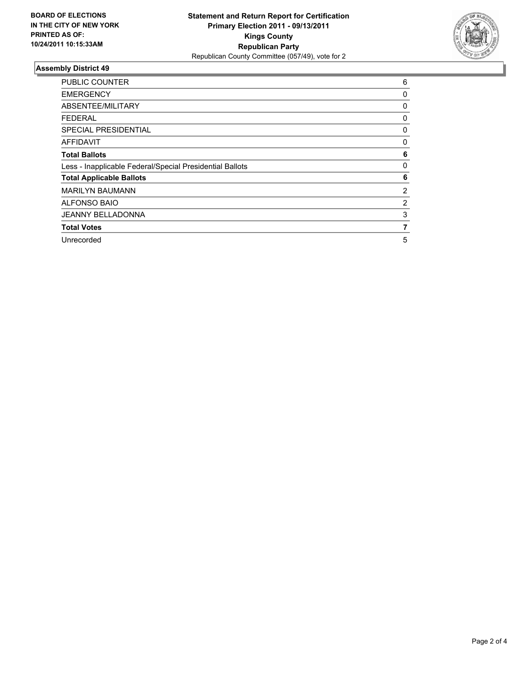

| <b>PUBLIC COUNTER</b>                                    | 6 |
|----------------------------------------------------------|---|
| <b>EMERGENCY</b>                                         | 0 |
| ABSENTEE/MILITARY                                        | 0 |
| FEDERAL                                                  | 0 |
| <b>SPECIAL PRESIDENTIAL</b>                              | 0 |
| AFFIDAVIT                                                | 0 |
| <b>Total Ballots</b>                                     | 6 |
| Less - Inapplicable Federal/Special Presidential Ballots | 0 |
| <b>Total Applicable Ballots</b>                          | 6 |
| <b>MARILYN BAUMANN</b>                                   | 2 |
| <b>ALFONSO BAIO</b>                                      | 2 |
| <b>JEANNY BELLADONNA</b>                                 | 3 |
| <b>Total Votes</b>                                       | 7 |
| Unrecorded                                               | 5 |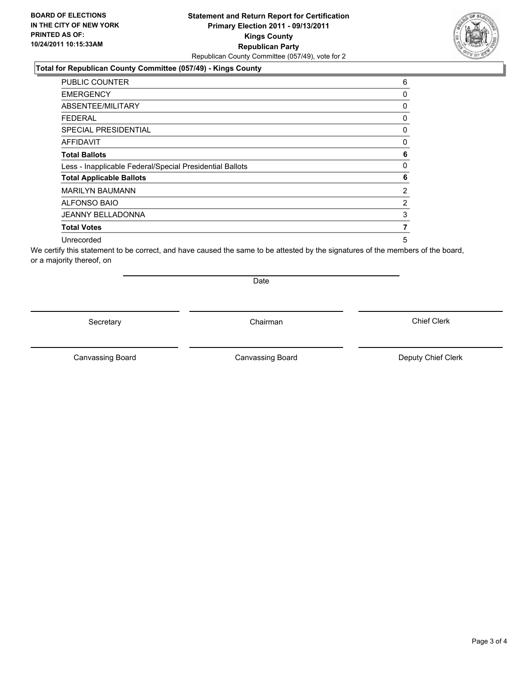### **Total for Republican County Committee (057/49) - Kings County**

| <b>PUBLIC COUNTER</b>                                    | 6              |
|----------------------------------------------------------|----------------|
| <b>EMERGENCY</b>                                         | 0              |
| ABSENTEE/MILITARY                                        | $\mathbf{0}$   |
| <b>FEDERAL</b>                                           | 0              |
| SPECIAL PRESIDENTIAL                                     | 0              |
| <b>AFFIDAVIT</b>                                         | 0              |
| <b>Total Ballots</b>                                     | 6              |
| Less - Inapplicable Federal/Special Presidential Ballots | $\mathbf{0}$   |
| <b>Total Applicable Ballots</b>                          | 6              |
| <b>MARILYN BAUMANN</b>                                   | $\overline{2}$ |
| <b>ALFONSO BAIO</b>                                      | $\overline{2}$ |
| <b>JEANNY BELLADONNA</b>                                 | 3              |
| <b>Total Votes</b>                                       | 7              |
| Unrecorded                                               | 5              |

We certify this statement to be correct, and have caused the same to be attested by the signatures of the members of the board, or a majority thereof, on

Secretary **Chairman** 

Date

Canvassing Board **Canvassing Board** Canvassing Board **Deputy Chief Clerk** 

Canvassing Board

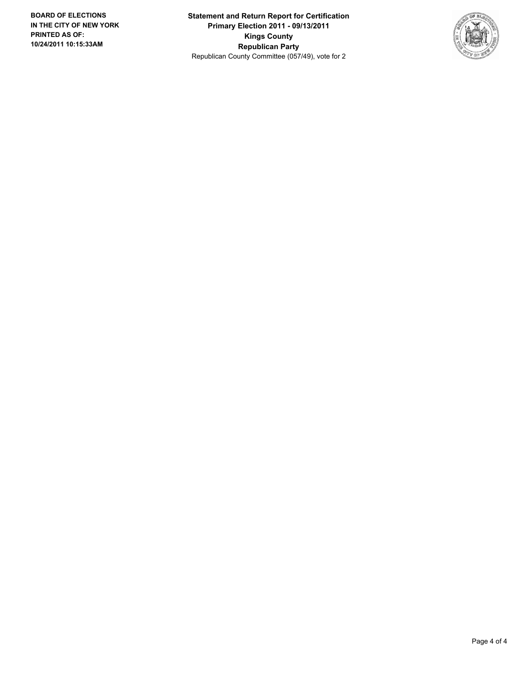**Statement and Return Report for Certification Primary Election 2011 - 09/13/2011 Kings County Republican Party** Republican County Committee (057/49), vote for 2

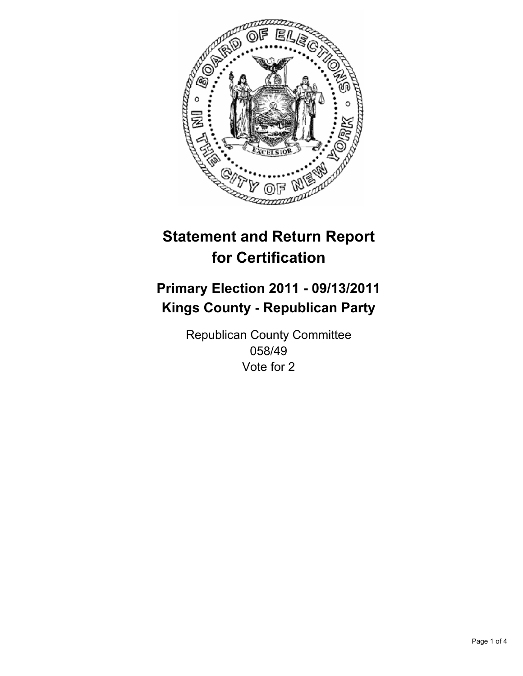

## **Primary Election 2011 - 09/13/2011 Kings County - Republican Party**

Republican County Committee 058/49 Vote for 2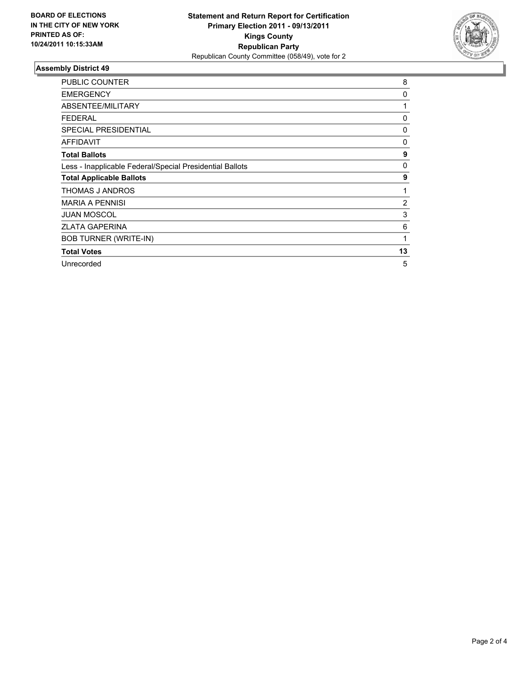

| <b>PUBLIC COUNTER</b>                                    | 8              |
|----------------------------------------------------------|----------------|
| <b>EMERGENCY</b>                                         | 0              |
| ABSENTEE/MILITARY                                        | 1              |
| FEDERAL                                                  | 0              |
| SPECIAL PRESIDENTIAL                                     | 0              |
| <b>AFFIDAVIT</b>                                         | 0              |
| <b>Total Ballots</b>                                     | 9              |
| Less - Inapplicable Federal/Special Presidential Ballots | 0              |
| <b>Total Applicable Ballots</b>                          | 9              |
| THOMAS J ANDROS                                          |                |
| <b>MARIA A PENNISI</b>                                   | $\overline{2}$ |
| <b>JUAN MOSCOL</b>                                       | 3              |
| <b>ZLATA GAPERINA</b>                                    | 6              |
| <b>BOB TURNER (WRITE-IN)</b>                             | 1              |
| <b>Total Votes</b>                                       | 13             |
| Unrecorded                                               | 5              |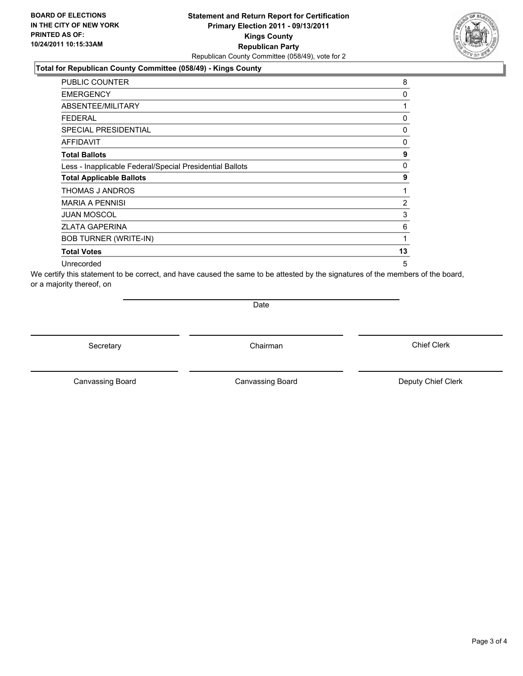#### **Total for Republican County Committee (058/49) - Kings County**

| <b>PUBLIC COUNTER</b>                                    | 8              |
|----------------------------------------------------------|----------------|
| <b>EMERGENCY</b>                                         | 0              |
| ABSENTEE/MILITARY                                        | 1              |
| <b>FEDERAL</b>                                           | 0              |
| <b>SPECIAL PRESIDENTIAL</b>                              | 0              |
| <b>AFFIDAVIT</b>                                         | 0              |
| <b>Total Ballots</b>                                     | 9              |
| Less - Inapplicable Federal/Special Presidential Ballots | 0              |
| <b>Total Applicable Ballots</b>                          | 9              |
| <b>THOMAS J ANDROS</b>                                   | 1              |
| <b>MARIA A PENNISI</b>                                   | $\overline{2}$ |
| <b>JUAN MOSCOL</b>                                       | 3              |
| <b>ZLATA GAPERINA</b>                                    | 6              |
| <b>BOB TURNER (WRITE-IN)</b>                             | 1              |
| <b>Total Votes</b>                                       | 13             |
| Unrecorded                                               | 5              |

We certify this statement to be correct, and have caused the same to be attested by the signatures of the members of the board, or a majority thereof, on

**Date** 

Secretary **Chairman** 

Canvassing Board **Canvassing Board** Canvassing Board **Deputy Chief Clerk** 

Canvassing Board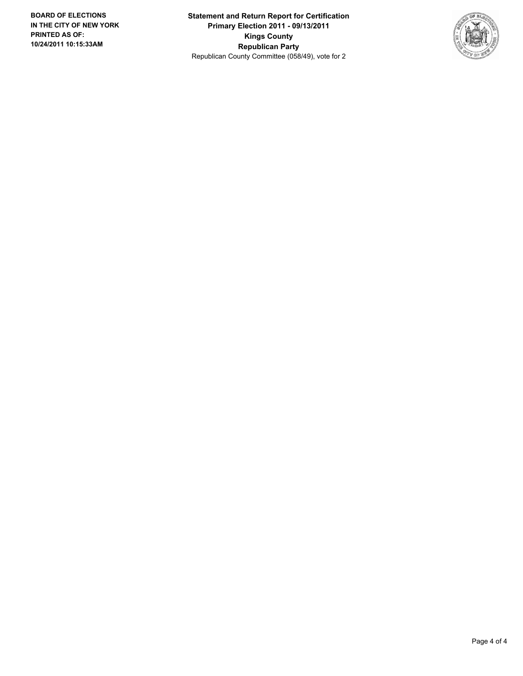**Statement and Return Report for Certification Primary Election 2011 - 09/13/2011 Kings County Republican Party** Republican County Committee (058/49), vote for 2

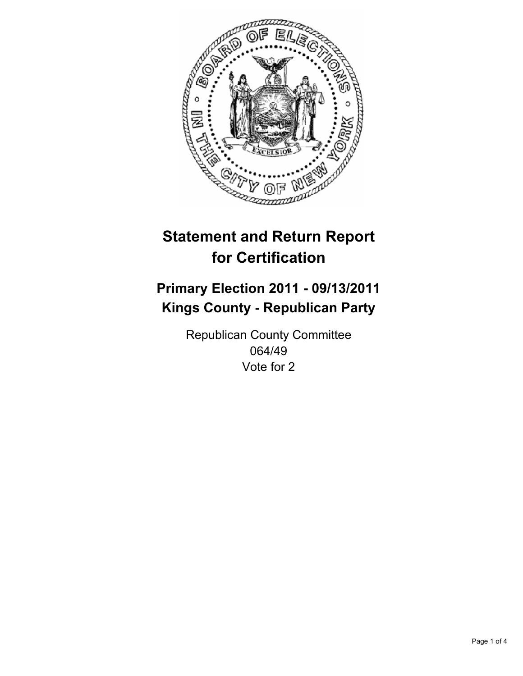

## **Primary Election 2011 - 09/13/2011 Kings County - Republican Party**

Republican County Committee 064/49 Vote for 2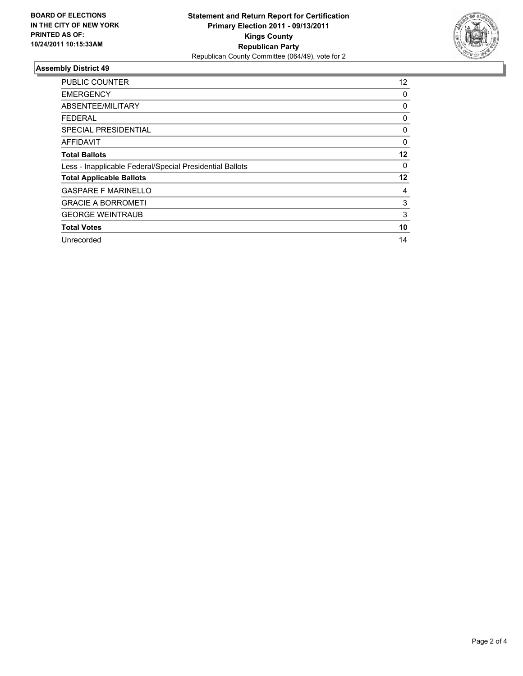

| <b>PUBLIC COUNTER</b>                                    | $12 \overline{ }$ |
|----------------------------------------------------------|-------------------|
| <b>EMERGENCY</b>                                         | 0                 |
| ABSENTEE/MILITARY                                        | 0                 |
| <b>FEDERAL</b>                                           | 0                 |
| SPECIAL PRESIDENTIAL                                     | 0                 |
| AFFIDAVIT                                                | 0                 |
| <b>Total Ballots</b>                                     | 12                |
| Less - Inapplicable Federal/Special Presidential Ballots | 0                 |
| <b>Total Applicable Ballots</b>                          | 12                |
| <b>GASPARE F MARINELLO</b>                               | 4                 |
| <b>GRACIE A BORROMETI</b>                                | 3                 |
| <b>GEORGE WEINTRAUB</b>                                  | 3                 |
| <b>Total Votes</b>                                       | 10                |
| Unrecorded                                               | 14                |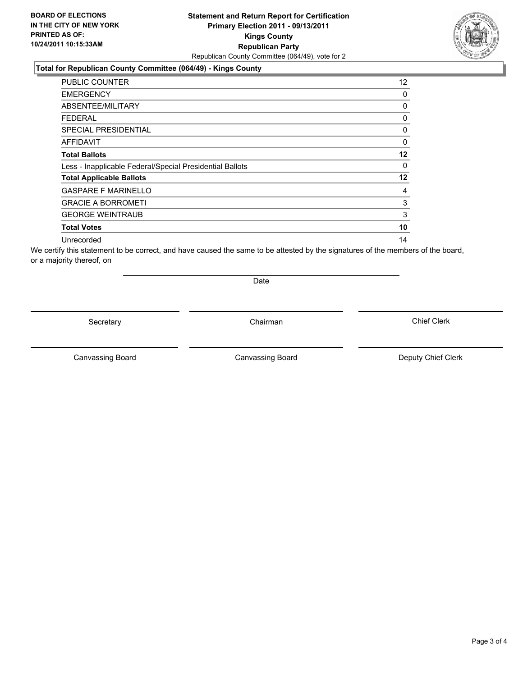### **Total for Republican County Committee (064/49) - Kings County**

| <b>PUBLIC COUNTER</b>                                    | 12 |
|----------------------------------------------------------|----|
| <b>EMERGENCY</b>                                         | 0  |
| ABSENTEE/MILITARY                                        | 0  |
| FEDERAL                                                  | 0  |
| <b>SPECIAL PRESIDENTIAL</b>                              | 0  |
| <b>AFFIDAVIT</b>                                         | 0  |
| <b>Total Ballots</b>                                     | 12 |
| Less - Inapplicable Federal/Special Presidential Ballots | 0  |
| <b>Total Applicable Ballots</b>                          | 12 |
| <b>GASPARE F MARINELLO</b>                               | 4  |
| <b>GRACIE A BORROMETI</b>                                | 3  |
| <b>GEORGE WEINTRAUB</b>                                  | 3  |
| <b>Total Votes</b>                                       | 10 |
| Unrecorded                                               | 14 |

We certify this statement to be correct, and have caused the same to be attested by the signatures of the members of the board, or a majority thereof, on

Secretary **Chairman** 

Date

Canvassing Board **Canvassing Board** Canvassing Board **Deputy Chief Clerk** 

Canvassing Board

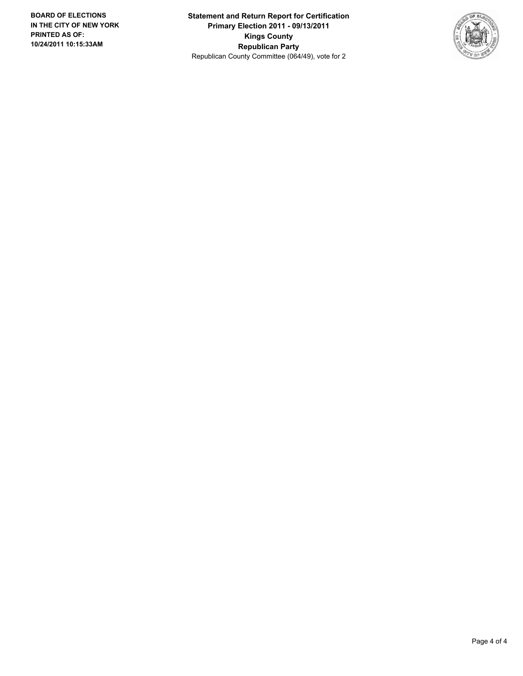**Statement and Return Report for Certification Primary Election 2011 - 09/13/2011 Kings County Republican Party** Republican County Committee (064/49), vote for 2

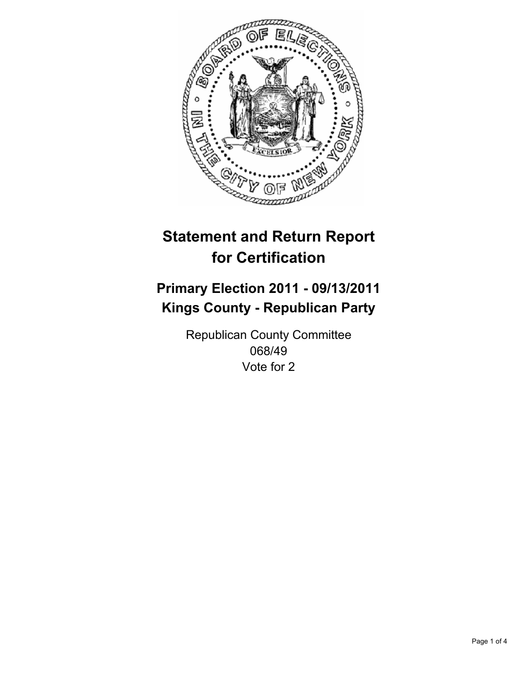

## **Primary Election 2011 - 09/13/2011 Kings County - Republican Party**

Republican County Committee 068/49 Vote for 2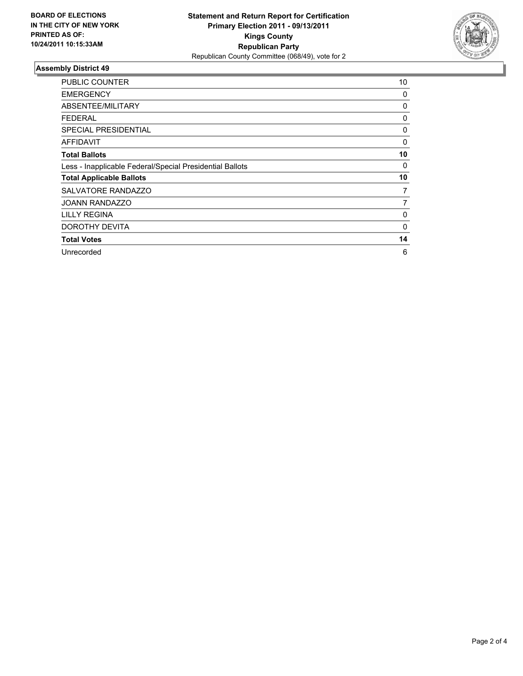

| <b>PUBLIC COUNTER</b>                                    | 10       |
|----------------------------------------------------------|----------|
| <b>EMERGENCY</b>                                         | 0        |
| ABSENTEE/MILITARY                                        | 0        |
| <b>FEDERAL</b>                                           | 0        |
| <b>SPECIAL PRESIDENTIAL</b>                              | 0        |
| AFFIDAVIT                                                | 0        |
| <b>Total Ballots</b>                                     | 10       |
| Less - Inapplicable Federal/Special Presidential Ballots | 0        |
| <b>Total Applicable Ballots</b>                          | 10       |
| SALVATORE RANDAZZO                                       | 7        |
| <b>JOANN RANDAZZO</b>                                    | 7        |
| <b>LILLY REGINA</b>                                      | 0        |
| DOROTHY DEVITA                                           | $\Omega$ |
| <b>Total Votes</b>                                       | 14       |
| Unrecorded                                               | 6        |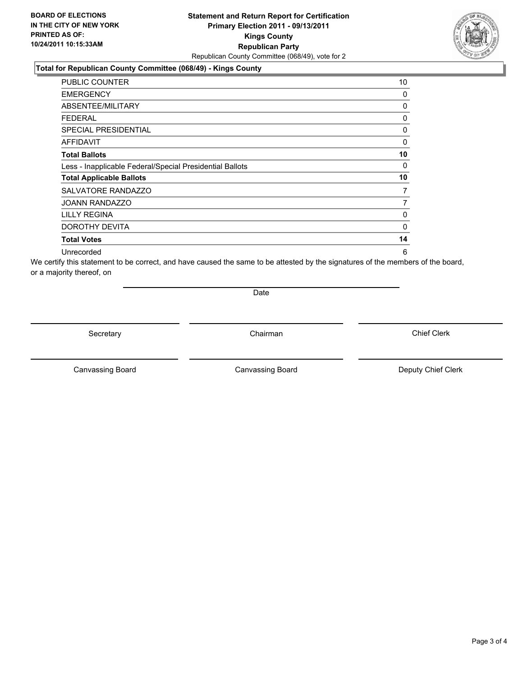#### **Total for Republican County Committee (068/49) - Kings County**

| <b>PUBLIC COUNTER</b>                                    | 10 |
|----------------------------------------------------------|----|
| <b>EMERGENCY</b>                                         | 0  |
| ABSENTEE/MILITARY                                        | 0  |
| FEDERAL                                                  | 0  |
| <b>SPECIAL PRESIDENTIAL</b>                              | 0  |
| AFFIDAVIT                                                | 0  |
| <b>Total Ballots</b>                                     | 10 |
| Less - Inapplicable Federal/Special Presidential Ballots | 0  |
| <b>Total Applicable Ballots</b>                          | 10 |
| SALVATORE RANDAZZO                                       | 7  |
| <b>JOANN RANDAZZO</b>                                    | 7  |
| <b>LILLY REGINA</b>                                      | 0  |
| DOROTHY DEVITA                                           | 0  |
| <b>Total Votes</b>                                       | 14 |
| Unrecorded                                               | 6  |

We certify this statement to be correct, and have caused the same to be attested by the signatures of the members of the board, or a majority thereof, on

Date

Secretary **Chairman** 

Canvassing Board **Canvassing Board** Canvassing Board **Deputy Chief Clerk** 

Canvassing Board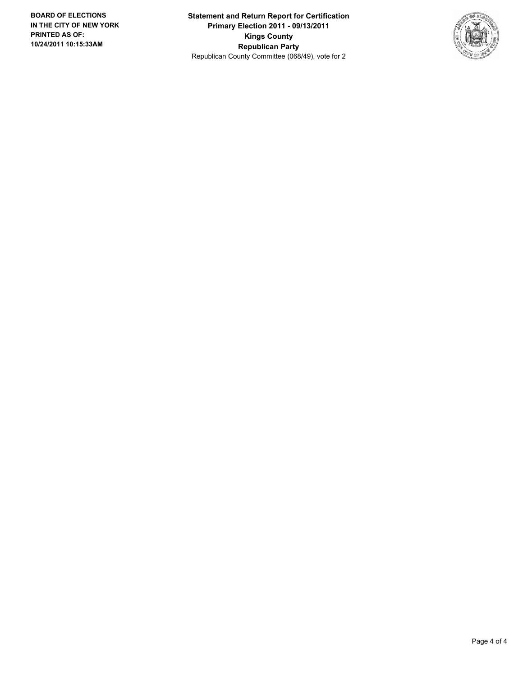**Statement and Return Report for Certification Primary Election 2011 - 09/13/2011 Kings County Republican Party** Republican County Committee (068/49), vote for 2

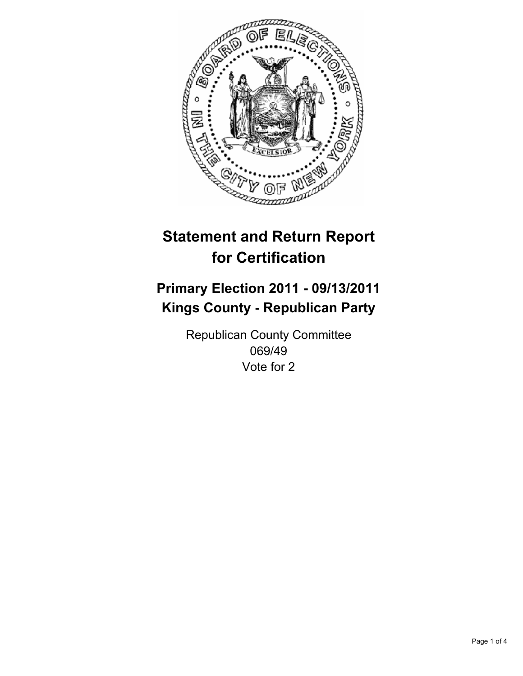

## **Primary Election 2011 - 09/13/2011 Kings County - Republican Party**

Republican County Committee 069/49 Vote for 2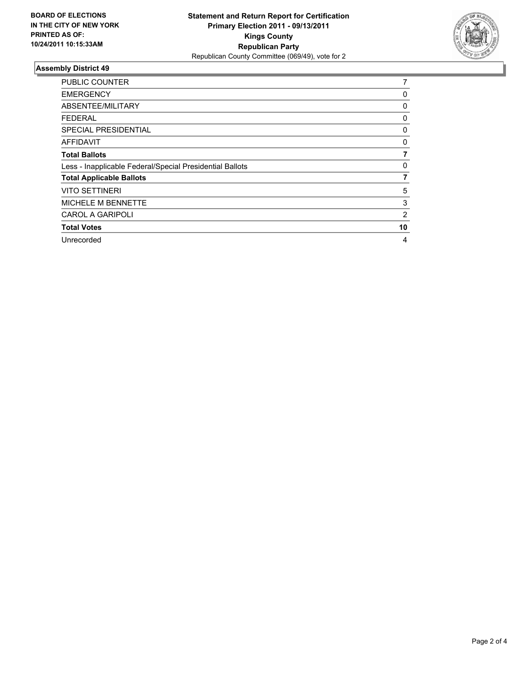

| <b>PUBLIC COUNTER</b>                                    | 7  |
|----------------------------------------------------------|----|
| <b>EMERGENCY</b>                                         | 0  |
| ABSENTEE/MILITARY                                        | 0  |
| <b>FEDERAL</b>                                           | 0  |
| <b>SPECIAL PRESIDENTIAL</b>                              | 0  |
| <b>AFFIDAVIT</b>                                         | 0  |
| <b>Total Ballots</b>                                     |    |
| Less - Inapplicable Federal/Special Presidential Ballots | 0  |
| <b>Total Applicable Ballots</b>                          | 7  |
| <b>VITO SETTINERI</b>                                    | 5  |
| MICHELE M BENNETTE                                       | 3  |
| <b>CAROL A GARIPOLI</b>                                  | 2  |
| <b>Total Votes</b>                                       | 10 |
| Unrecorded                                               | 4  |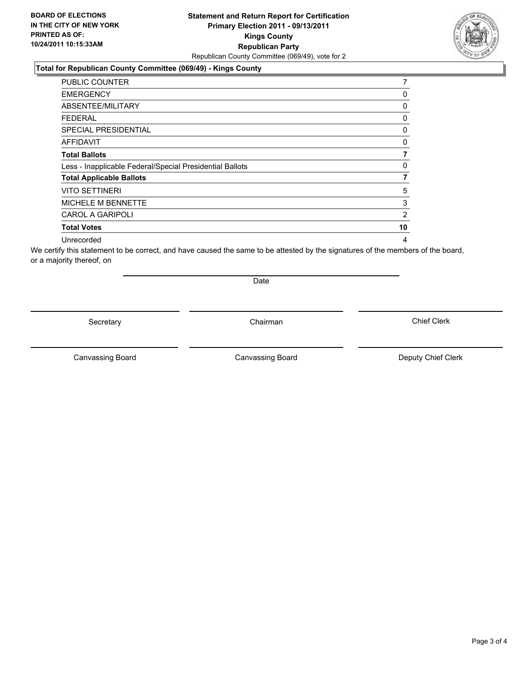### **Total for Republican County Committee (069/49) - Kings County**

| <b>PUBLIC COUNTER</b>                                    | 7              |
|----------------------------------------------------------|----------------|
| <b>EMERGENCY</b>                                         | 0              |
| ABSENTEE/MILITARY                                        | 0              |
| FEDERAL                                                  | 0              |
| <b>SPECIAL PRESIDENTIAL</b>                              | 0              |
| <b>AFFIDAVIT</b>                                         | 0              |
| <b>Total Ballots</b>                                     |                |
| Less - Inapplicable Federal/Special Presidential Ballots | 0              |
| <b>Total Applicable Ballots</b>                          | 7              |
| <b>VITO SETTINERI</b>                                    | 5              |
| <b>MICHELE M BENNETTE</b>                                | 3              |
| <b>CAROL A GARIPOLI</b>                                  | $\overline{2}$ |
| <b>Total Votes</b>                                       | 10             |
| Unrecorded                                               | 4              |

We certify this statement to be correct, and have caused the same to be attested by the signatures of the members of the board, or a majority thereof, on

Secretary **Chairman** 

Date

Canvassing Board

Canvassing Board **Canvassing Board** Canvassing Board **Deputy Chief Clerk**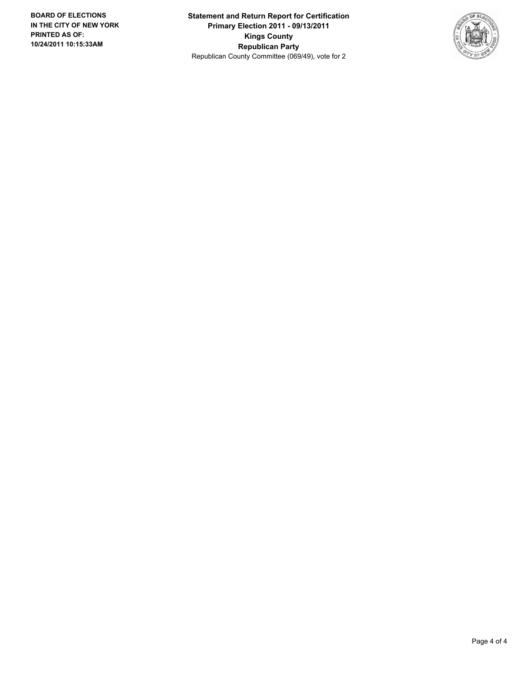**Statement and Return Report for Certification Primary Election 2011 - 09/13/2011 Kings County Republican Party** Republican County Committee (069/49), vote for 2

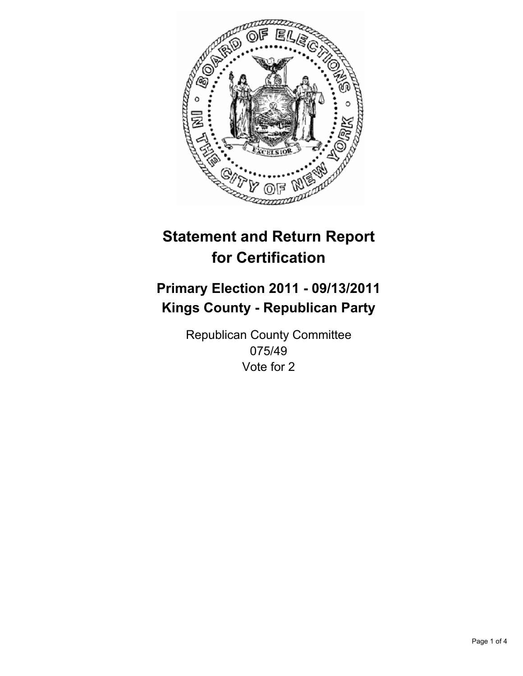

## **Primary Election 2011 - 09/13/2011 Kings County - Republican Party**

Republican County Committee 075/49 Vote for 2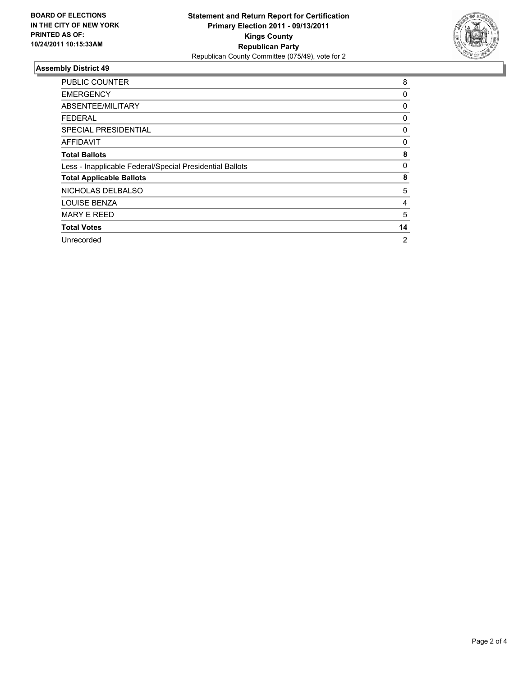

| <b>PUBLIC COUNTER</b>                                    | 8              |
|----------------------------------------------------------|----------------|
| <b>EMERGENCY</b>                                         | 0              |
| ABSENTEE/MILITARY                                        | 0              |
| <b>FEDERAL</b>                                           | 0              |
| <b>SPECIAL PRESIDENTIAL</b>                              | 0              |
| <b>AFFIDAVIT</b>                                         | 0              |
| <b>Total Ballots</b>                                     | 8              |
| Less - Inapplicable Federal/Special Presidential Ballots | 0              |
| <b>Total Applicable Ballots</b>                          | 8              |
| NICHOLAS DELBALSO                                        | 5              |
| <b>LOUISE BENZA</b>                                      | 4              |
| <b>MARY E REED</b>                                       | 5              |
| <b>Total Votes</b>                                       | 14             |
| Unrecorded                                               | $\overline{2}$ |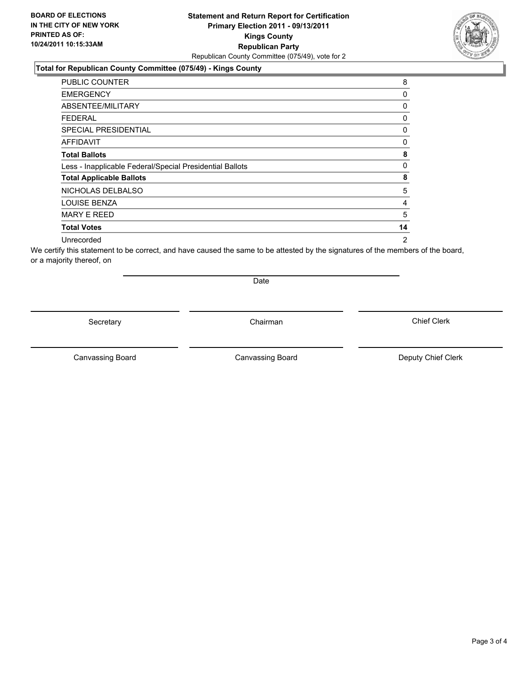### **Statement and Return Report for Certification Primary Election 2011 - 09/13/2011 Kings County Republican Party** Republican County Committee (075/49), vote for 2

### **Total for Republican County Committee (075/49) - Kings County**

| <b>PUBLIC COUNTER</b>                                    | 8              |
|----------------------------------------------------------|----------------|
| <b>EMERGENCY</b>                                         | 0              |
| ABSENTEE/MILITARY                                        | 0              |
| FEDERAL                                                  | 0              |
| <b>SPECIAL PRESIDENTIAL</b>                              | 0              |
| <b>AFFIDAVIT</b>                                         | 0              |
| <b>Total Ballots</b>                                     | 8              |
| Less - Inapplicable Federal/Special Presidential Ballots | 0              |
| <b>Total Applicable Ballots</b>                          | 8              |
| NICHOLAS DELBALSO                                        | 5              |
| <b>LOUISE BENZA</b>                                      | 4              |
| <b>MARY E REED</b>                                       | 5              |
| <b>Total Votes</b>                                       | 14             |
| Unrecorded                                               | $\overline{2}$ |

We certify this statement to be correct, and have caused the same to be attested by the signatures of the members of the board, or a majority thereof, on

Secretary **Chairman** 

Date

Canvassing Board

Canvassing Board **Canvassing Board** Canvassing Board **Deputy Chief Clerk**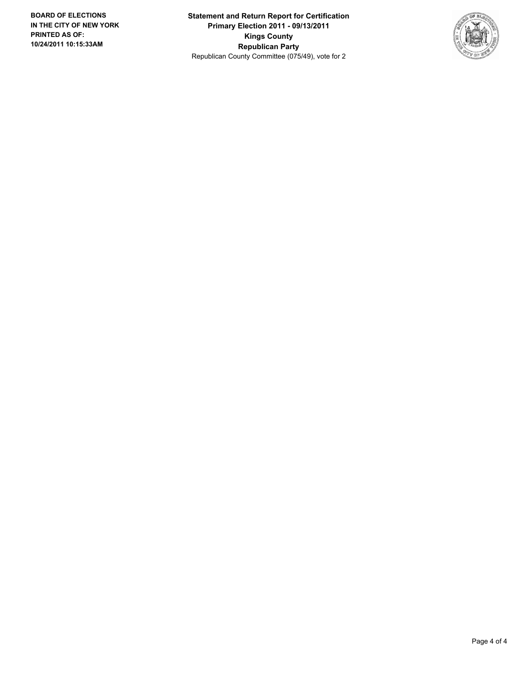**Statement and Return Report for Certification Primary Election 2011 - 09/13/2011 Kings County Republican Party** Republican County Committee (075/49), vote for 2

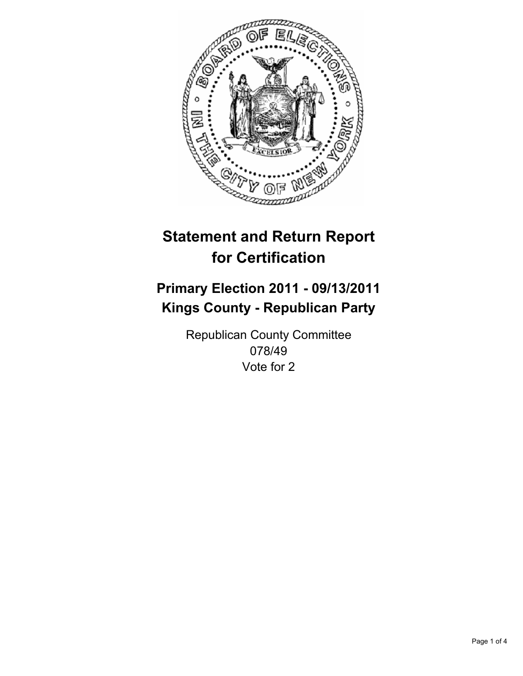

## **Primary Election 2011 - 09/13/2011 Kings County - Republican Party**

Republican County Committee 078/49 Vote for 2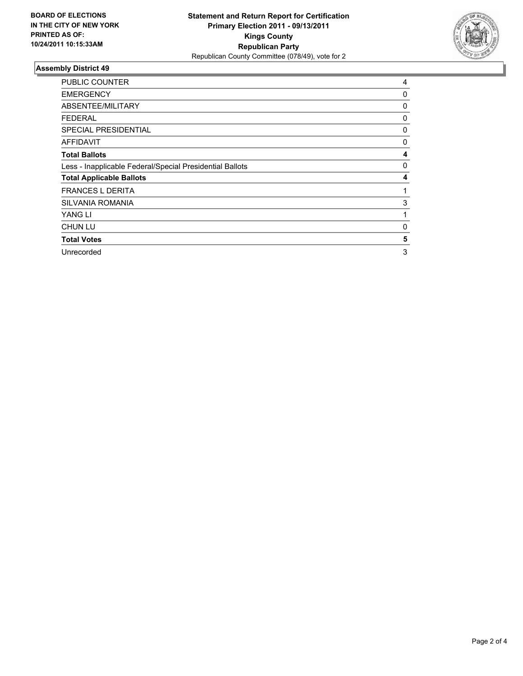

| <b>PUBLIC COUNTER</b>                                    | 4 |
|----------------------------------------------------------|---|
| <b>EMERGENCY</b>                                         | 0 |
| ABSENTEE/MILITARY                                        | 0 |
| <b>FEDERAL</b>                                           | 0 |
| <b>SPECIAL PRESIDENTIAL</b>                              | 0 |
| <b>AFFIDAVIT</b>                                         | 0 |
| <b>Total Ballots</b>                                     | 4 |
| Less - Inapplicable Federal/Special Presidential Ballots | 0 |
| <b>Total Applicable Ballots</b>                          | 4 |
| <b>FRANCES L DERITA</b>                                  | 1 |
| <b>SILVANIA ROMANIA</b>                                  | 3 |
| YANG LI                                                  | 1 |
| <b>CHUN LU</b>                                           | 0 |
| <b>Total Votes</b>                                       | 5 |
| Unrecorded                                               | 3 |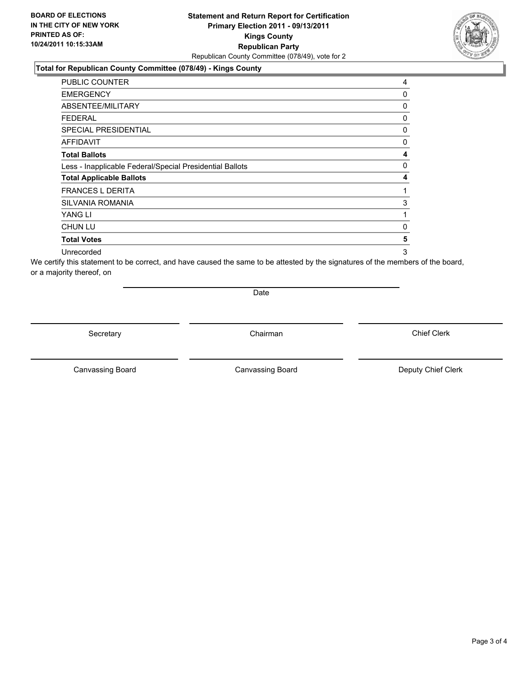### **Total for Republican County Committee (078/49) - Kings County**

| PUBLIC COUNTER                                           | 4 |
|----------------------------------------------------------|---|
| <b>EMERGENCY</b>                                         | 0 |
| ABSENTEE/MILITARY                                        | 0 |
| <b>FEDERAL</b>                                           | 0 |
| SPECIAL PRESIDENTIAL                                     | 0 |
| <b>AFFIDAVIT</b>                                         | 0 |
| <b>Total Ballots</b>                                     | 4 |
| Less - Inapplicable Federal/Special Presidential Ballots | 0 |
| <b>Total Applicable Ballots</b>                          | 4 |
| <b>FRANCES L DERITA</b>                                  | 1 |
| <b>SILVANIA ROMANIA</b>                                  | 3 |
| YANG LI                                                  | 1 |
| <b>CHUN LU</b>                                           | 0 |
| <b>Total Votes</b>                                       | 5 |
| Unrecorded                                               | 3 |

We certify this statement to be correct, and have caused the same to be attested by the signatures of the members of the board, or a majority thereof, on

Date

Secretary **Chairman** 

Canvassing Board

Canvassing Board **Canvassing Board** Canvassing Board **Deputy Chief Clerk** 

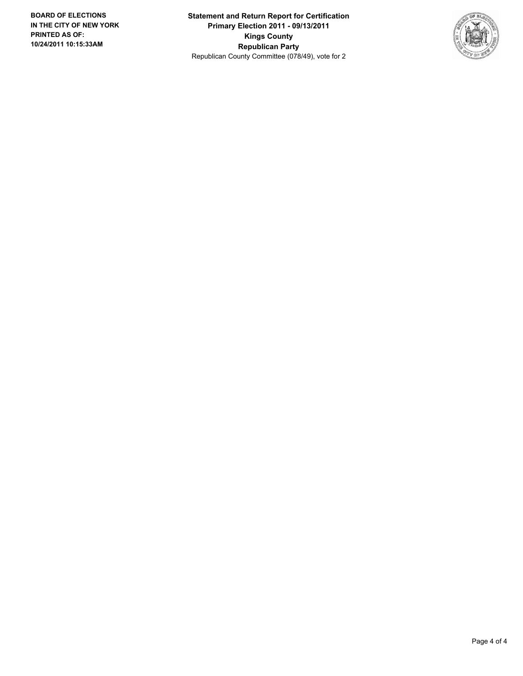**Statement and Return Report for Certification Primary Election 2011 - 09/13/2011 Kings County Republican Party** Republican County Committee (078/49), vote for 2

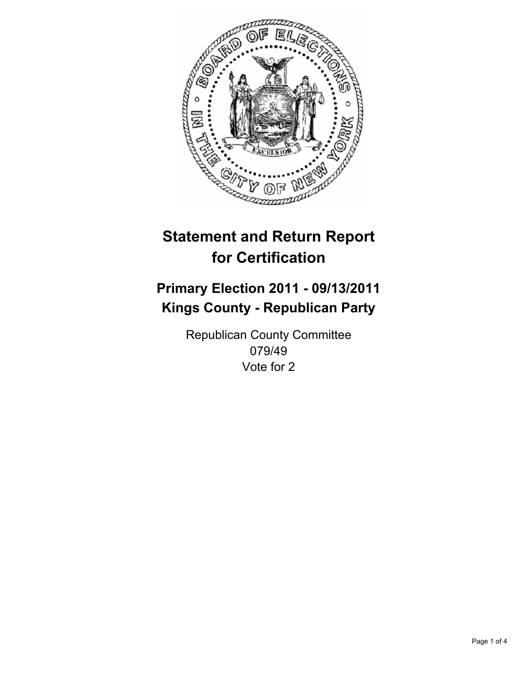

## **Primary Election 2011 - 09/13/2011 Kings County - Republican Party**

Republican County Committee 079/49 Vote for 2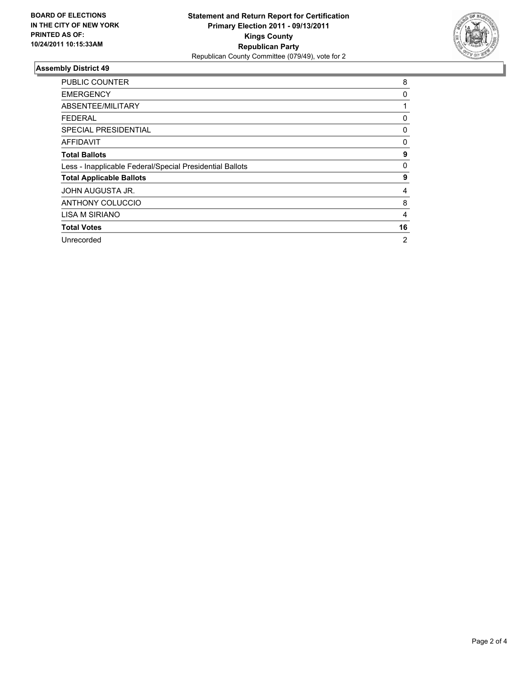

| <b>PUBLIC COUNTER</b>                                    | 8              |
|----------------------------------------------------------|----------------|
| <b>EMERGENCY</b>                                         | 0              |
| ABSENTEE/MILITARY                                        |                |
| <b>FEDERAL</b>                                           | 0              |
| <b>SPECIAL PRESIDENTIAL</b>                              | 0              |
| <b>AFFIDAVIT</b>                                         | 0              |
| <b>Total Ballots</b>                                     | 9              |
| Less - Inapplicable Federal/Special Presidential Ballots | 0              |
| <b>Total Applicable Ballots</b>                          | 9              |
| JOHN AUGUSTA JR.                                         | 4              |
| <b>ANTHONY COLUCCIO</b>                                  | 8              |
| <b>LISA M SIRIANO</b>                                    | 4              |
| <b>Total Votes</b>                                       | 16             |
| Unrecorded                                               | $\overline{2}$ |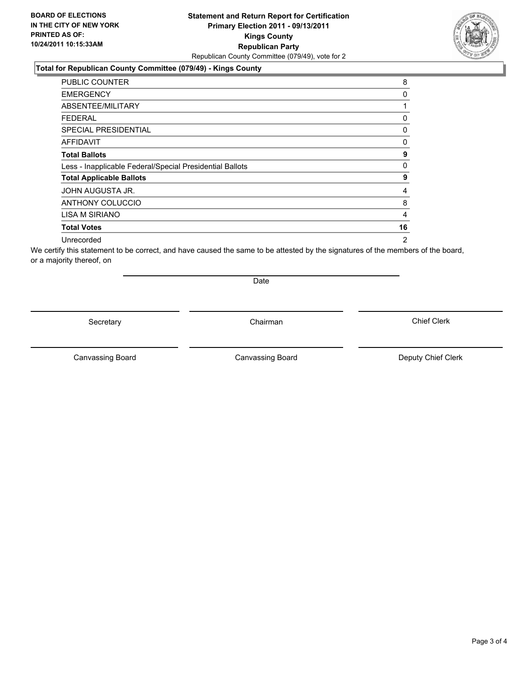### **Total for Republican County Committee (079/49) - Kings County**

| <b>PUBLIC COUNTER</b>                                    | 8              |
|----------------------------------------------------------|----------------|
| <b>EMERGENCY</b>                                         | 0              |
| ABSENTEE/MILITARY                                        |                |
| FEDERAL                                                  | 0              |
| <b>SPECIAL PRESIDENTIAL</b>                              | 0              |
| <b>AFFIDAVIT</b>                                         | 0              |
| <b>Total Ballots</b>                                     | 9              |
| Less - Inapplicable Federal/Special Presidential Ballots | $\Omega$       |
| <b>Total Applicable Ballots</b>                          | 9              |
| JOHN AUGUSTA JR.                                         | 4              |
| <b>ANTHONY COLUCCIO</b>                                  | 8              |
| LISA M SIRIANO                                           | 4              |
| <b>Total Votes</b>                                       | 16             |
| Unrecorded                                               | $\overline{2}$ |

We certify this statement to be correct, and have caused the same to be attested by the signatures of the members of the board, or a majority thereof, on

Secretary **Chairman** 

Date

Canvassing Board

Canvassing Board **Canvassing Board** Canvassing Board **Deputy Chief Clerk** 

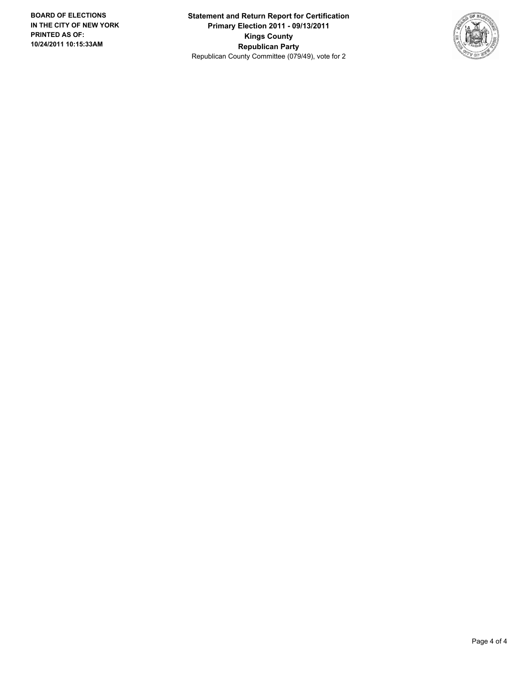**Statement and Return Report for Certification Primary Election 2011 - 09/13/2011 Kings County Republican Party** Republican County Committee (079/49), vote for 2

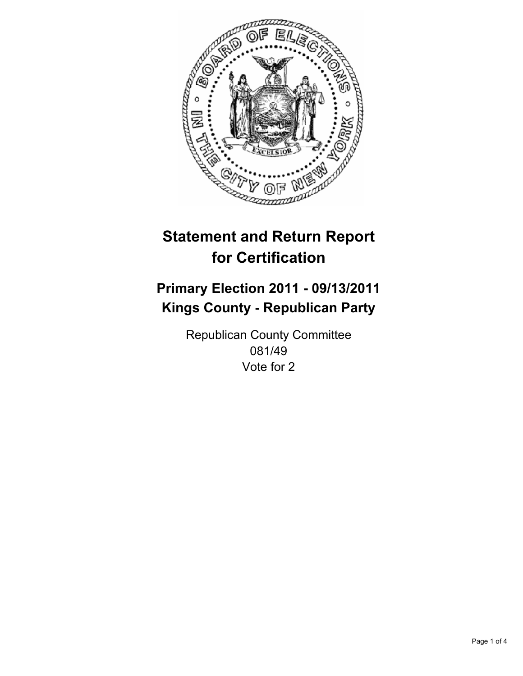

## **Primary Election 2011 - 09/13/2011 Kings County - Republican Party**

Republican County Committee 081/49 Vote for 2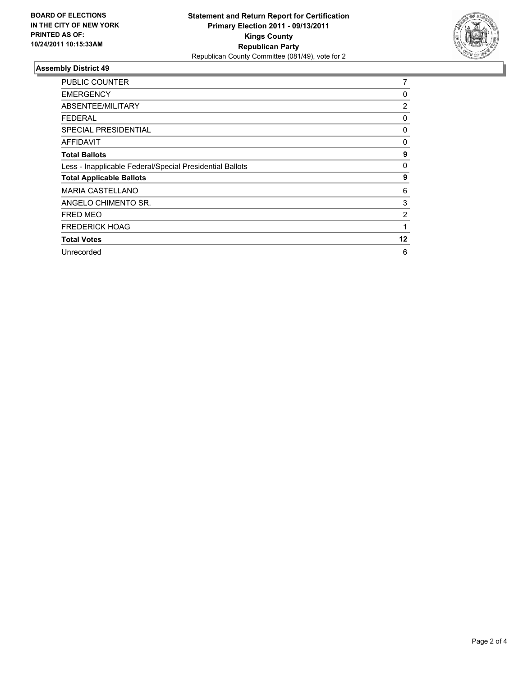

| <b>PUBLIC COUNTER</b>                                    | $\overline{7}$ |
|----------------------------------------------------------|----------------|
| <b>EMERGENCY</b>                                         | 0              |
| ABSENTEE/MILITARY                                        | 2              |
| FEDERAL                                                  | 0              |
| SPECIAL PRESIDENTIAL                                     | 0              |
| <b>AFFIDAVIT</b>                                         | 0              |
| <b>Total Ballots</b>                                     | 9              |
| Less - Inapplicable Federal/Special Presidential Ballots | 0              |
| <b>Total Applicable Ballots</b>                          | 9              |
| <b>MARIA CASTELLANO</b>                                  | 6              |
| ANGELO CHIMENTO SR.                                      | 3              |
| FRED MEO                                                 | 2              |
| <b>FREDERICK HOAG</b>                                    | 1              |
| <b>Total Votes</b>                                       | 12             |
| Unrecorded                                               | 6              |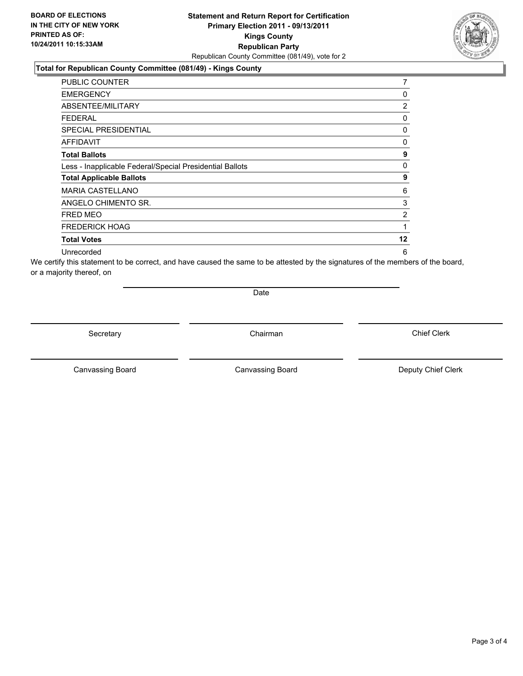### **Total for Republican County Committee (081/49) - Kings County**

| PUBLIC COUNTER                                           | 7              |
|----------------------------------------------------------|----------------|
| <b>EMERGENCY</b>                                         | 0              |
| ABSENTEE/MILITARY                                        | 2              |
| FEDERAL                                                  | 0              |
| <b>SPECIAL PRESIDENTIAL</b>                              | 0              |
| <b>AFFIDAVIT</b>                                         | 0              |
| <b>Total Ballots</b>                                     | 9              |
| Less - Inapplicable Federal/Special Presidential Ballots | 0              |
| <b>Total Applicable Ballots</b>                          | 9              |
| <b>MARIA CASTELLANO</b>                                  | 6              |
| ANGELO CHIMENTO SR.                                      | 3              |
| <b>FRED MEO</b>                                          | $\overline{2}$ |
| <b>FREDERICK HOAG</b>                                    | 1              |
| <b>Total Votes</b>                                       | 12             |
| Unrecorded                                               | 6              |

We certify this statement to be correct, and have caused the same to be attested by the signatures of the members of the board, or a majority thereof, on

Date

Secretary **Chairman** 

Canvassing Board **Canvassing Board** Canvassing Board **Deputy Chief Clerk** 

Canvassing Board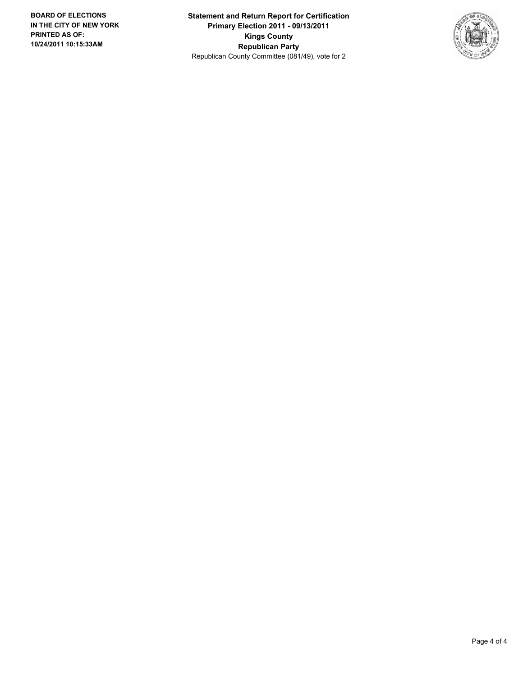**Statement and Return Report for Certification Primary Election 2011 - 09/13/2011 Kings County Republican Party** Republican County Committee (081/49), vote for 2

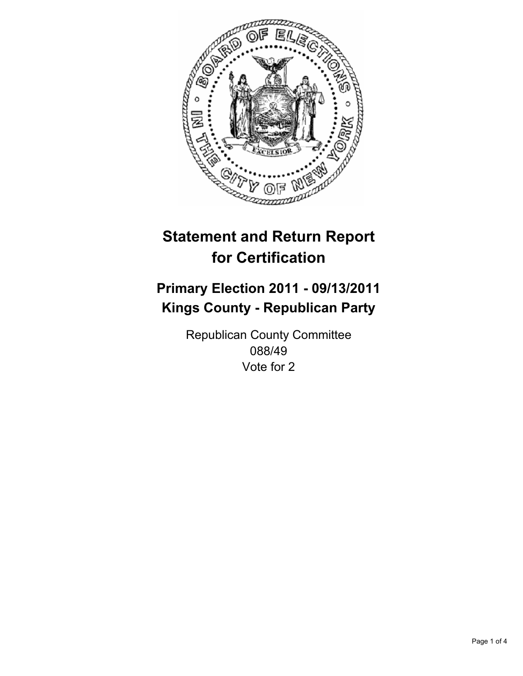

## **Primary Election 2011 - 09/13/2011 Kings County - Republican Party**

Republican County Committee 088/49 Vote for 2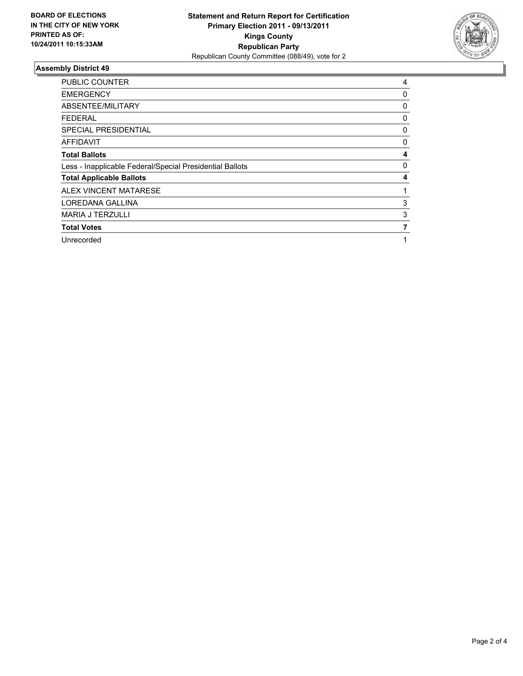

| <b>PUBLIC COUNTER</b>                                    | 4 |
|----------------------------------------------------------|---|
| <b>EMERGENCY</b>                                         | 0 |
| ABSENTEE/MILITARY                                        | 0 |
| FEDERAL                                                  | 0 |
| <b>SPECIAL PRESIDENTIAL</b>                              | 0 |
| <b>AFFIDAVIT</b>                                         | 0 |
| <b>Total Ballots</b>                                     | 4 |
| Less - Inapplicable Federal/Special Presidential Ballots | 0 |
| <b>Total Applicable Ballots</b>                          | 4 |
| ALEX VINCENT MATARESE                                    | 1 |
| LOREDANA GALLINA                                         | 3 |
| <b>MARIA J TERZULLI</b>                                  | 3 |
| <b>Total Votes</b>                                       | 7 |
| Unrecorded                                               | 1 |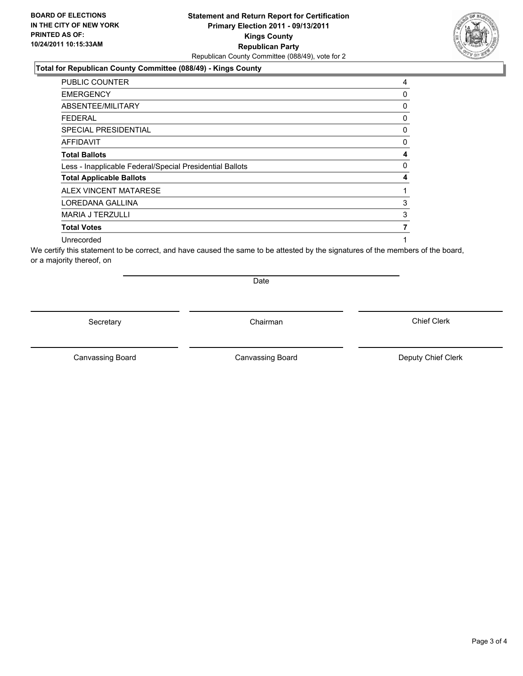### **Total for Republican County Committee (088/49) - Kings County**

| <b>PUBLIC COUNTER</b>                                    | 4           |
|----------------------------------------------------------|-------------|
| <b>EMERGENCY</b>                                         | 0           |
| ABSENTEE/MILITARY                                        | $\mathbf 0$ |
| <b>FEDERAL</b>                                           | 0           |
| <b>SPECIAL PRESIDENTIAL</b>                              | 0           |
| <b>AFFIDAVIT</b>                                         | 0           |
| <b>Total Ballots</b>                                     | 4           |
| Less - Inapplicable Federal/Special Presidential Ballots | $\mathbf 0$ |
| <b>Total Applicable Ballots</b>                          | 4           |
| <b>ALEX VINCENT MATARESE</b>                             |             |
| LOREDANA GALLINA                                         | 3           |
| <b>MARIA J TERZULLI</b>                                  | 3           |
| <b>Total Votes</b>                                       | 7           |
| Unrecorded                                               |             |

We certify this statement to be correct, and have caused the same to be attested by the signatures of the members of the board, or a majority thereof, on

Secretary **Chairman** 

Date

Canvassing Board **Canvassing Board** Canvassing Board **Deputy Chief Clerk** 

Canvassing Board

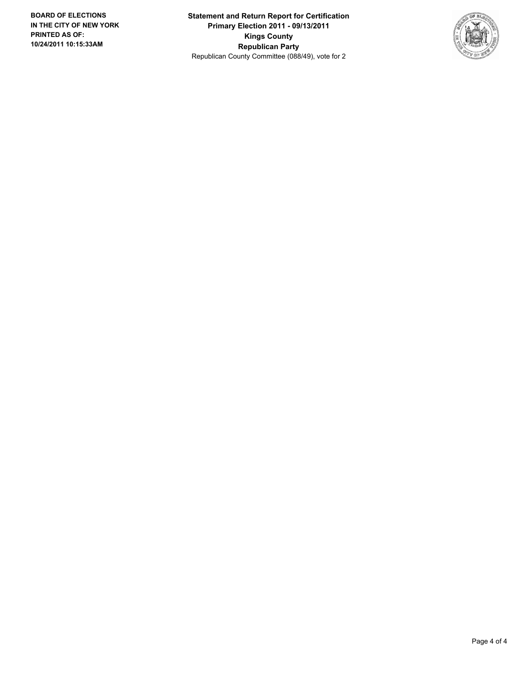**Statement and Return Report for Certification Primary Election 2011 - 09/13/2011 Kings County Republican Party** Republican County Committee (088/49), vote for 2

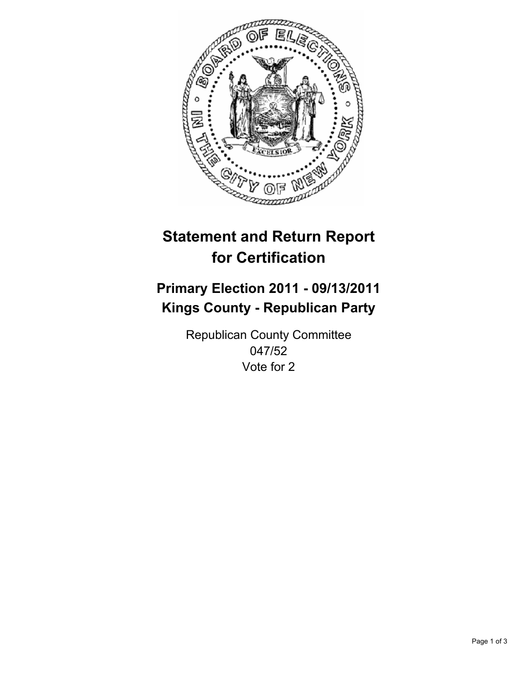

## **Primary Election 2011 - 09/13/2011 Kings County - Republican Party**

Republican County Committee 047/52 Vote for 2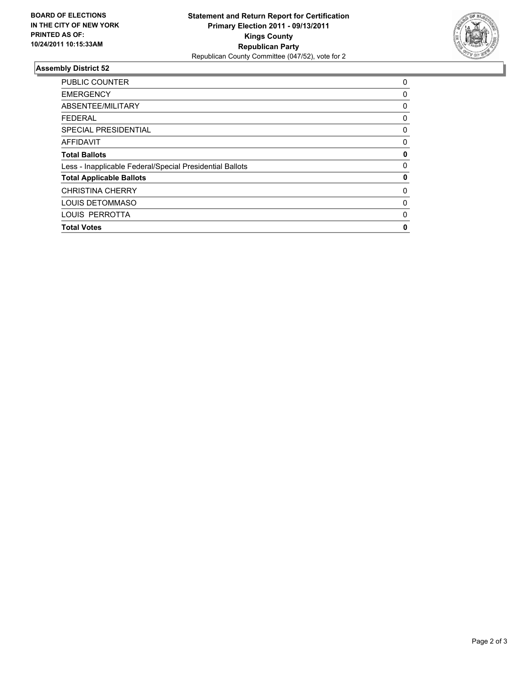

| PUBLIC COUNTER                                           | 0           |
|----------------------------------------------------------|-------------|
| <b>EMERGENCY</b>                                         | 0           |
| ABSENTEE/MILITARY                                        | 0           |
| <b>FEDERAL</b>                                           | 0           |
| SPECIAL PRESIDENTIAL                                     | 0           |
| <b>AFFIDAVIT</b>                                         | 0           |
| <b>Total Ballots</b>                                     | 0           |
| Less - Inapplicable Federal/Special Presidential Ballots | $\mathbf 0$ |
| <b>Total Applicable Ballots</b>                          | 0           |
| <b>CHRISTINA CHERRY</b>                                  | 0           |
| LOUIS DETOMMASO                                          | 0           |
| LOUIS PERROTTA                                           | 0           |
| <b>Total Votes</b>                                       | 0           |